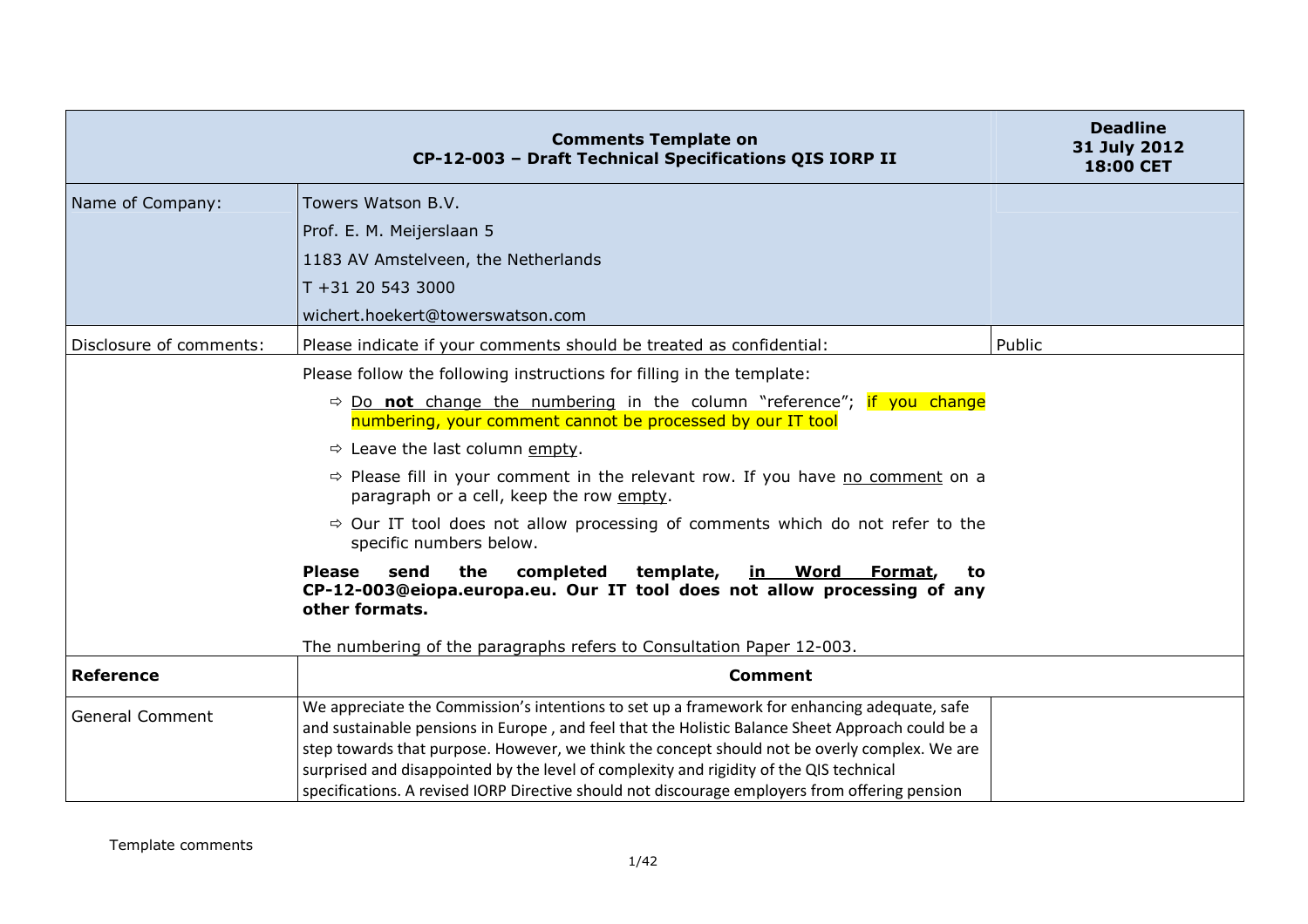|                         | <b>Comments Template on</b><br>CP-12-003 - Draft Technical Specifications QIS IORP II                                                                                                                                                                                                                                                                                                                                                                                                          | <b>Deadline</b><br>31 July 2012<br>18:00 CET |
|-------------------------|------------------------------------------------------------------------------------------------------------------------------------------------------------------------------------------------------------------------------------------------------------------------------------------------------------------------------------------------------------------------------------------------------------------------------------------------------------------------------------------------|----------------------------------------------|
| Name of Company:        | Towers Watson B.V.                                                                                                                                                                                                                                                                                                                                                                                                                                                                             |                                              |
|                         | Prof. E. M. Meijerslaan 5                                                                                                                                                                                                                                                                                                                                                                                                                                                                      |                                              |
|                         | 1183 AV Amstelveen, the Netherlands                                                                                                                                                                                                                                                                                                                                                                                                                                                            |                                              |
|                         | T +31 20 543 3000                                                                                                                                                                                                                                                                                                                                                                                                                                                                              |                                              |
|                         | wichert.hoekert@towerswatson.com                                                                                                                                                                                                                                                                                                                                                                                                                                                               |                                              |
| Disclosure of comments: | Please indicate if your comments should be treated as confidential:                                                                                                                                                                                                                                                                                                                                                                                                                            | Public                                       |
|                         | Please follow the following instructions for filling in the template:                                                                                                                                                                                                                                                                                                                                                                                                                          |                                              |
|                         | $\Rightarrow$ Do not change the numbering in the column "reference"; if you change<br>numbering, your comment cannot be processed by our IT tool                                                                                                                                                                                                                                                                                                                                               |                                              |
|                         | $\Rightarrow$ Leave the last column empty.                                                                                                                                                                                                                                                                                                                                                                                                                                                     |                                              |
|                         | $\Rightarrow$ Please fill in your comment in the relevant row. If you have no comment on a<br>paragraph or a cell, keep the row empty.                                                                                                                                                                                                                                                                                                                                                         |                                              |
|                         | $\Rightarrow$ Our IT tool does not allow processing of comments which do not refer to the<br>specific numbers below.                                                                                                                                                                                                                                                                                                                                                                           |                                              |
|                         | the<br>completed<br>template,<br><b>Please</b><br>send<br><u>in Word</u><br>Format,<br>to<br>CP-12-003@eiopa.europa.eu. Our IT tool does not allow processing of any<br>other formats.                                                                                                                                                                                                                                                                                                         |                                              |
|                         | The numbering of the paragraphs refers to Consultation Paper 12-003.                                                                                                                                                                                                                                                                                                                                                                                                                           |                                              |
| <b>Reference</b>        | <b>Comment</b>                                                                                                                                                                                                                                                                                                                                                                                                                                                                                 |                                              |
| <b>General Comment</b>  | We appreciate the Commission's intentions to set up a framework for enhancing adequate, safe<br>and sustainable pensions in Europe, and feel that the Holistic Balance Sheet Approach could be a<br>step towards that purpose. However, we think the concept should not be overly complex. We are<br>surprised and disappointed by the level of complexity and rigidity of the QIS technical<br>specifications. A revised IORP Directive should not discourage employers from offering pension |                                              |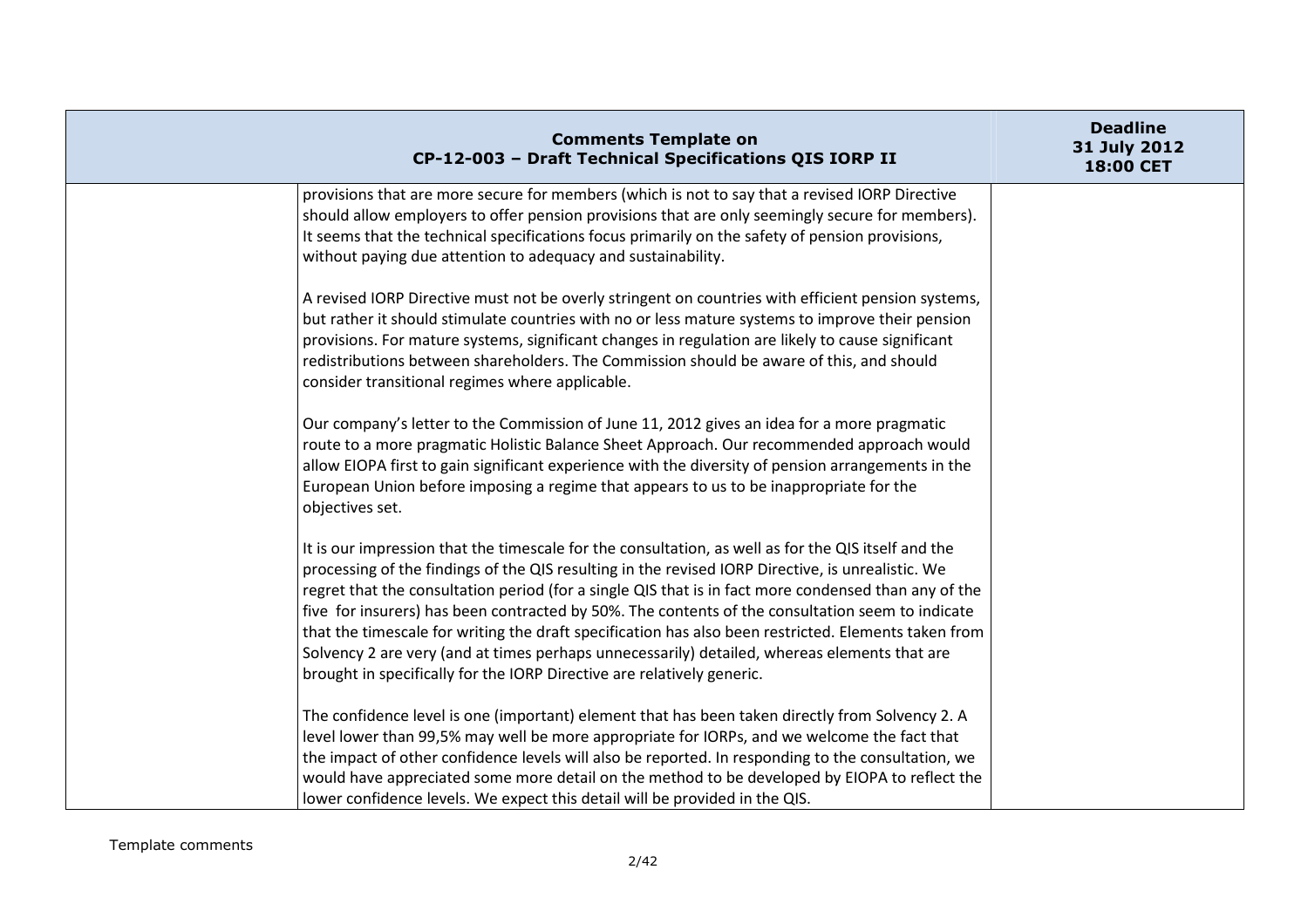| <b>Comments Template on</b><br>CP-12-003 - Draft Technical Specifications QIS IORP II                                                                                                                                                                                                                                                                                                                                                                                                                                                                                                                                                                                                                  | <b>Deadline</b><br>31 July 2012<br>18:00 CET |
|--------------------------------------------------------------------------------------------------------------------------------------------------------------------------------------------------------------------------------------------------------------------------------------------------------------------------------------------------------------------------------------------------------------------------------------------------------------------------------------------------------------------------------------------------------------------------------------------------------------------------------------------------------------------------------------------------------|----------------------------------------------|
| provisions that are more secure for members (which is not to say that a revised IORP Directive<br>should allow employers to offer pension provisions that are only seemingly secure for members).<br>It seems that the technical specifications focus primarily on the safety of pension provisions,<br>without paying due attention to adequacy and sustainability.                                                                                                                                                                                                                                                                                                                                   |                                              |
| A revised IORP Directive must not be overly stringent on countries with efficient pension systems,<br>but rather it should stimulate countries with no or less mature systems to improve their pension<br>provisions. For mature systems, significant changes in regulation are likely to cause significant<br>redistributions between shareholders. The Commission should be aware of this, and should<br>consider transitional regimes where applicable.                                                                                                                                                                                                                                             |                                              |
| Our company's letter to the Commission of June 11, 2012 gives an idea for a more pragmatic<br>route to a more pragmatic Holistic Balance Sheet Approach. Our recommended approach would<br>allow EIOPA first to gain significant experience with the diversity of pension arrangements in the<br>European Union before imposing a regime that appears to us to be inappropriate for the<br>objectives set.                                                                                                                                                                                                                                                                                             |                                              |
| It is our impression that the timescale for the consultation, as well as for the QIS itself and the<br>processing of the findings of the QIS resulting in the revised IORP Directive, is unrealistic. We<br>regret that the consultation period (for a single QIS that is in fact more condensed than any of the<br>five for insurers) has been contracted by 50%. The contents of the consultation seem to indicate<br>that the timescale for writing the draft specification has also been restricted. Elements taken from<br>Solvency 2 are very (and at times perhaps unnecessarily) detailed, whereas elements that are<br>brought in specifically for the IORP Directive are relatively generic. |                                              |
| The confidence level is one (important) element that has been taken directly from Solvency 2. A<br>level lower than 99,5% may well be more appropriate for IORPs, and we welcome the fact that<br>the impact of other confidence levels will also be reported. In responding to the consultation, we<br>would have appreciated some more detail on the method to be developed by EIOPA to reflect the<br>lower confidence levels. We expect this detail will be provided in the QIS.                                                                                                                                                                                                                   |                                              |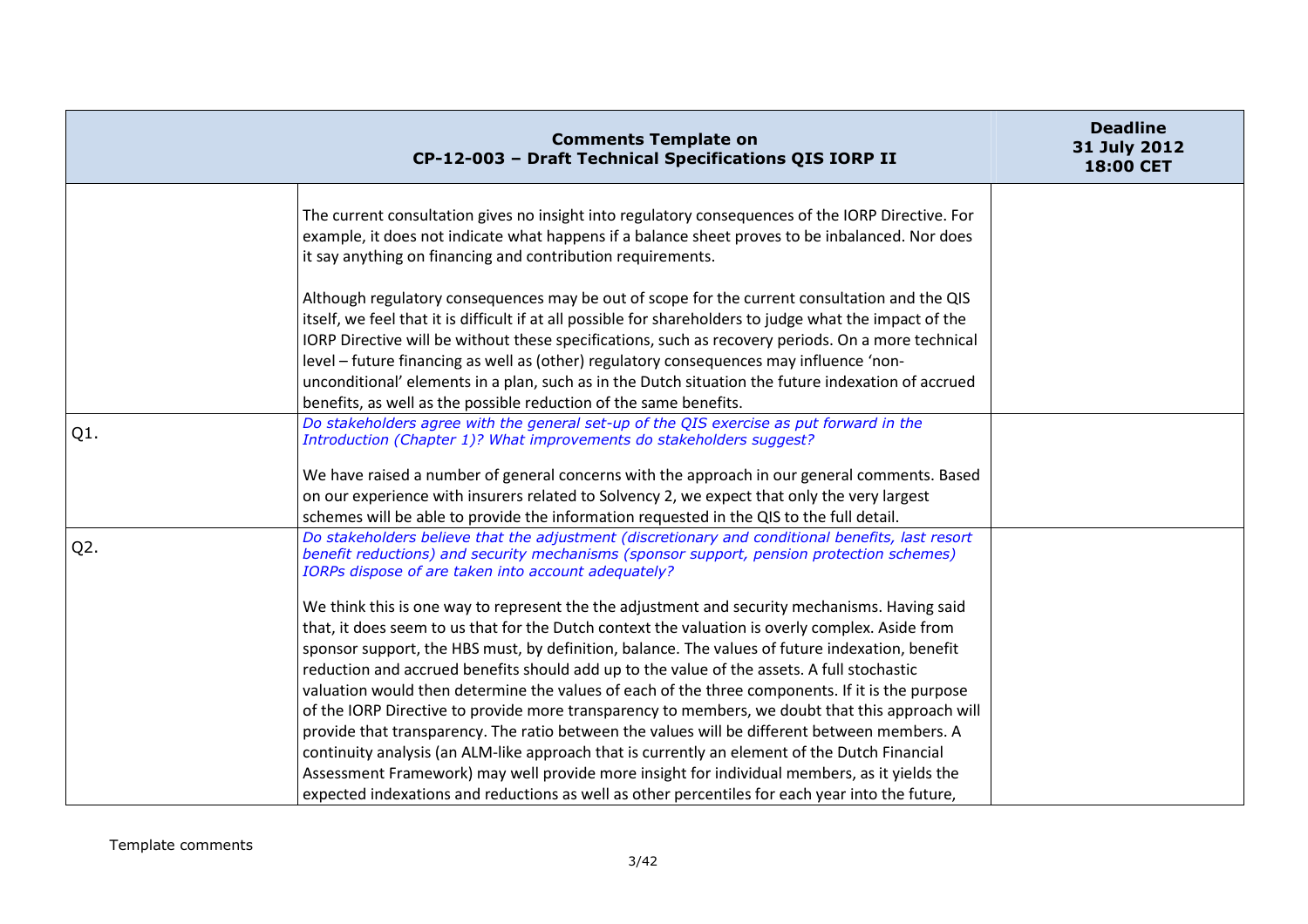|                  | <b>Comments Template on</b><br>CP-12-003 - Draft Technical Specifications QIS IORP II                                                                                                                                                                                                                                                                                                                                                                                                                                                                                                                                                                                                                                                                                                                                                                                                                                                                                                                       | <b>Deadline</b><br>31 July 2012<br><b>18:00 CET</b> |
|------------------|-------------------------------------------------------------------------------------------------------------------------------------------------------------------------------------------------------------------------------------------------------------------------------------------------------------------------------------------------------------------------------------------------------------------------------------------------------------------------------------------------------------------------------------------------------------------------------------------------------------------------------------------------------------------------------------------------------------------------------------------------------------------------------------------------------------------------------------------------------------------------------------------------------------------------------------------------------------------------------------------------------------|-----------------------------------------------------|
|                  | The current consultation gives no insight into regulatory consequences of the IORP Directive. For<br>example, it does not indicate what happens if a balance sheet proves to be inbalanced. Nor does<br>it say anything on financing and contribution requirements.                                                                                                                                                                                                                                                                                                                                                                                                                                                                                                                                                                                                                                                                                                                                         |                                                     |
|                  | Although regulatory consequences may be out of scope for the current consultation and the QIS<br>itself, we feel that it is difficult if at all possible for shareholders to judge what the impact of the<br>IORP Directive will be without these specifications, such as recovery periods. On a more technical<br>level - future financing as well as (other) regulatory consequences may influence 'non-<br>unconditional' elements in a plan, such as in the Dutch situation the future indexation of accrued<br>benefits, as well as the possible reduction of the same benefits.                                                                                                                                                                                                                                                                                                                                                                                                                       |                                                     |
| $Q1$ .           | Do stakeholders agree with the general set-up of the QIS exercise as put forward in the<br>Introduction (Chapter 1)? What improvements do stakeholders suggest?                                                                                                                                                                                                                                                                                                                                                                                                                                                                                                                                                                                                                                                                                                                                                                                                                                             |                                                     |
|                  | We have raised a number of general concerns with the approach in our general comments. Based<br>on our experience with insurers related to Solvency 2, we expect that only the very largest<br>schemes will be able to provide the information requested in the QIS to the full detail.                                                                                                                                                                                                                                                                                                                                                                                                                                                                                                                                                                                                                                                                                                                     |                                                     |
| Q <sub>2</sub> . | Do stakeholders believe that the adjustment (discretionary and conditional benefits, last resort<br>benefit reductions) and security mechanisms (sponsor support, pension protection schemes)<br>IORPs dispose of are taken into account adequately?                                                                                                                                                                                                                                                                                                                                                                                                                                                                                                                                                                                                                                                                                                                                                        |                                                     |
|                  | We think this is one way to represent the the adjustment and security mechanisms. Having said<br>that, it does seem to us that for the Dutch context the valuation is overly complex. Aside from<br>sponsor support, the HBS must, by definition, balance. The values of future indexation, benefit<br>reduction and accrued benefits should add up to the value of the assets. A full stochastic<br>valuation would then determine the values of each of the three components. If it is the purpose<br>of the IORP Directive to provide more transparency to members, we doubt that this approach will<br>provide that transparency. The ratio between the values will be different between members. A<br>continuity analysis (an ALM-like approach that is currently an element of the Dutch Financial<br>Assessment Framework) may well provide more insight for individual members, as it yields the<br>expected indexations and reductions as well as other percentiles for each year into the future, |                                                     |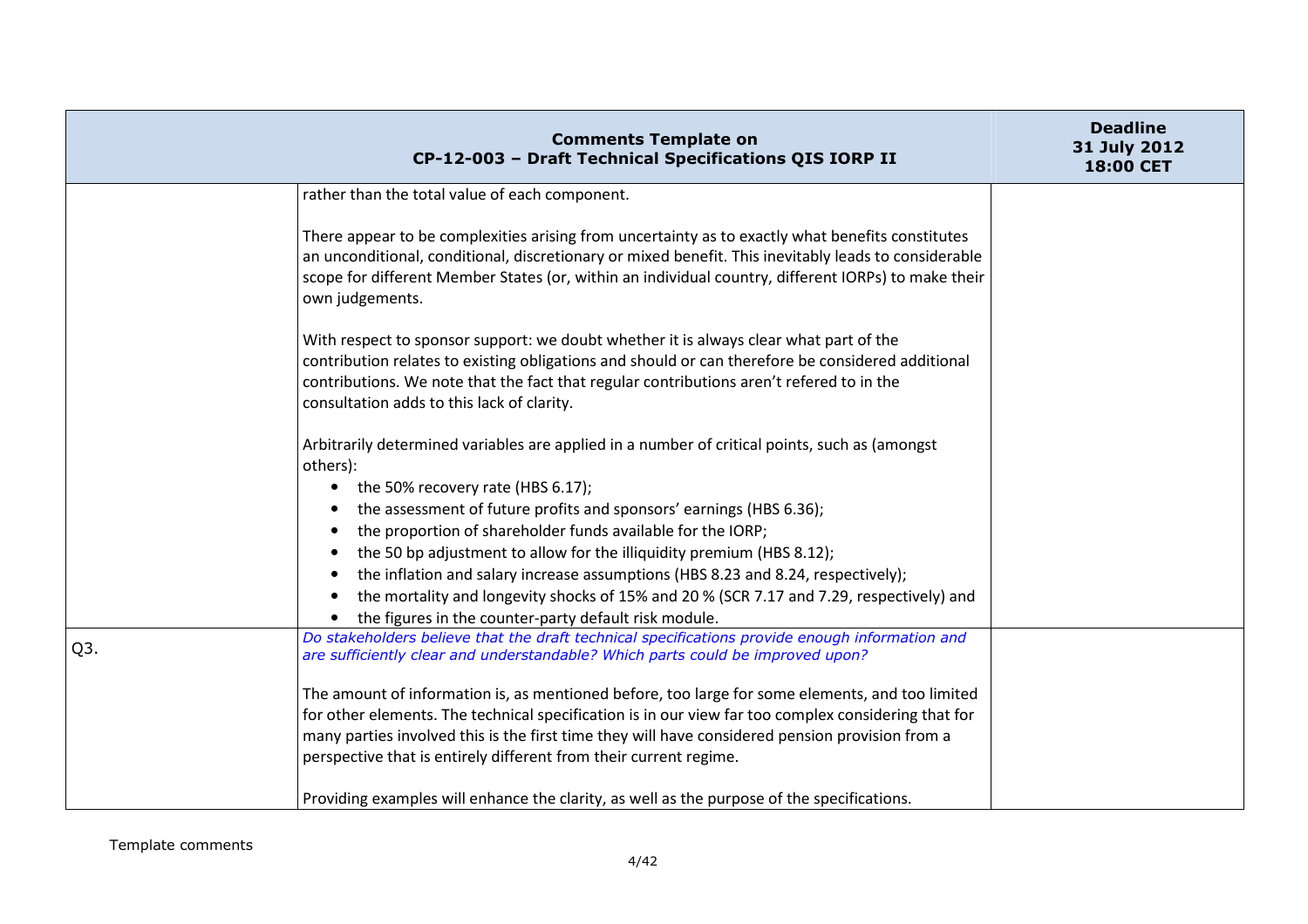|                  | <b>Comments Template on</b><br>CP-12-003 - Draft Technical Specifications QIS IORP II                                                                                                                                                                                                                                                | <b>Deadline</b><br>31 July 2012<br>18:00 CET |
|------------------|--------------------------------------------------------------------------------------------------------------------------------------------------------------------------------------------------------------------------------------------------------------------------------------------------------------------------------------|----------------------------------------------|
|                  | rather than the total value of each component.                                                                                                                                                                                                                                                                                       |                                              |
|                  | There appear to be complexities arising from uncertainty as to exactly what benefits constitutes<br>an unconditional, conditional, discretionary or mixed benefit. This inevitably leads to considerable<br>scope for different Member States (or, within an individual country, different IORPs) to make their<br>own judgements.   |                                              |
|                  | With respect to sponsor support: we doubt whether it is always clear what part of the<br>contribution relates to existing obligations and should or can therefore be considered additional<br>contributions. We note that the fact that regular contributions aren't refered to in the<br>consultation adds to this lack of clarity. |                                              |
|                  | Arbitrarily determined variables are applied in a number of critical points, such as (amongst<br>others):                                                                                                                                                                                                                            |                                              |
|                  | the 50% recovery rate (HBS 6.17);<br>$\bullet$                                                                                                                                                                                                                                                                                       |                                              |
|                  | the assessment of future profits and sponsors' earnings (HBS 6.36);<br>the proportion of shareholder funds available for the IORP;<br>$\bullet$                                                                                                                                                                                      |                                              |
|                  | the 50 bp adjustment to allow for the illiquidity premium (HBS 8.12);                                                                                                                                                                                                                                                                |                                              |
|                  | the inflation and salary increase assumptions (HBS 8.23 and 8.24, respectively);                                                                                                                                                                                                                                                     |                                              |
|                  | the mortality and longevity shocks of 15% and 20 % (SCR 7.17 and 7.29, respectively) and<br>the figures in the counter-party default risk module.                                                                                                                                                                                    |                                              |
| Q <sub>3</sub> . | Do stakeholders believe that the draft technical specifications provide enough information and<br>are sufficiently clear and understandable? Which parts could be improved upon?                                                                                                                                                     |                                              |
|                  | The amount of information is, as mentioned before, too large for some elements, and too limited                                                                                                                                                                                                                                      |                                              |
|                  | for other elements. The technical specification is in our view far too complex considering that for                                                                                                                                                                                                                                  |                                              |
|                  | many parties involved this is the first time they will have considered pension provision from a                                                                                                                                                                                                                                      |                                              |
|                  | perspective that is entirely different from their current regime.                                                                                                                                                                                                                                                                    |                                              |
|                  | Providing examples will enhance the clarity, as well as the purpose of the specifications.                                                                                                                                                                                                                                           |                                              |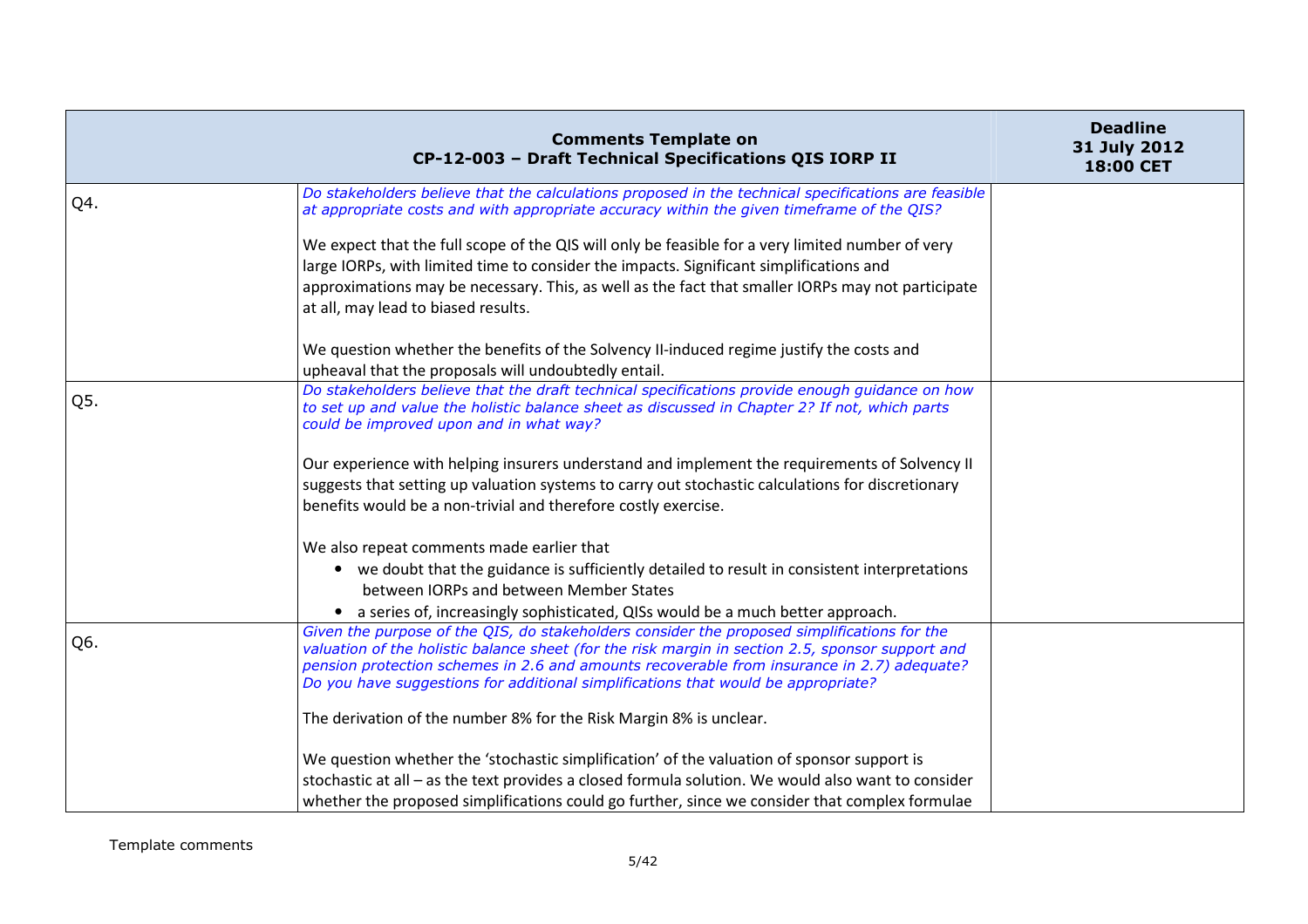|     | <b>Comments Template on</b><br>CP-12-003 - Draft Technical Specifications QIS IORP II                                                                                                                                                                                                                                                                                              | <b>Deadline</b><br>31 July 2012<br><b>18:00 CET</b> |
|-----|------------------------------------------------------------------------------------------------------------------------------------------------------------------------------------------------------------------------------------------------------------------------------------------------------------------------------------------------------------------------------------|-----------------------------------------------------|
| Q4. | Do stakeholders believe that the calculations proposed in the technical specifications are feasible<br>at appropriate costs and with appropriate accuracy within the given timeframe of the QIS?                                                                                                                                                                                   |                                                     |
|     | We expect that the full scope of the QIS will only be feasible for a very limited number of very<br>large IORPs, with limited time to consider the impacts. Significant simplifications and<br>approximations may be necessary. This, as well as the fact that smaller IORPs may not participate<br>at all, may lead to biased results.                                            |                                                     |
|     | We question whether the benefits of the Solvency II-induced regime justify the costs and<br>upheaval that the proposals will undoubtedly entail.                                                                                                                                                                                                                                   |                                                     |
| Q5. | Do stakeholders believe that the draft technical specifications provide enough guidance on how<br>to set up and value the holistic balance sheet as discussed in Chapter 2? If not, which parts<br>could be improved upon and in what way?                                                                                                                                         |                                                     |
|     | Our experience with helping insurers understand and implement the requirements of Solvency II<br>suggests that setting up valuation systems to carry out stochastic calculations for discretionary<br>benefits would be a non-trivial and therefore costly exercise.                                                                                                               |                                                     |
|     | We also repeat comments made earlier that<br>• we doubt that the guidance is sufficiently detailed to result in consistent interpretations<br>between IORPs and between Member States<br>• a series of, increasingly sophisticated, QISs would be a much better approach.                                                                                                          |                                                     |
| Q6. | Given the purpose of the QIS, do stakeholders consider the proposed simplifications for the<br>valuation of the holistic balance sheet (for the risk margin in section 2.5, sponsor support and<br>pension protection schemes in 2.6 and amounts recoverable from insurance in 2.7) adequate?<br>Do you have suggestions for additional simplifications that would be appropriate? |                                                     |
|     | The derivation of the number 8% for the Risk Margin 8% is unclear.                                                                                                                                                                                                                                                                                                                 |                                                     |
|     | We question whether the 'stochastic simplification' of the valuation of sponsor support is<br>stochastic at all - as the text provides a closed formula solution. We would also want to consider<br>whether the proposed simplifications could go further, since we consider that complex formulae                                                                                 |                                                     |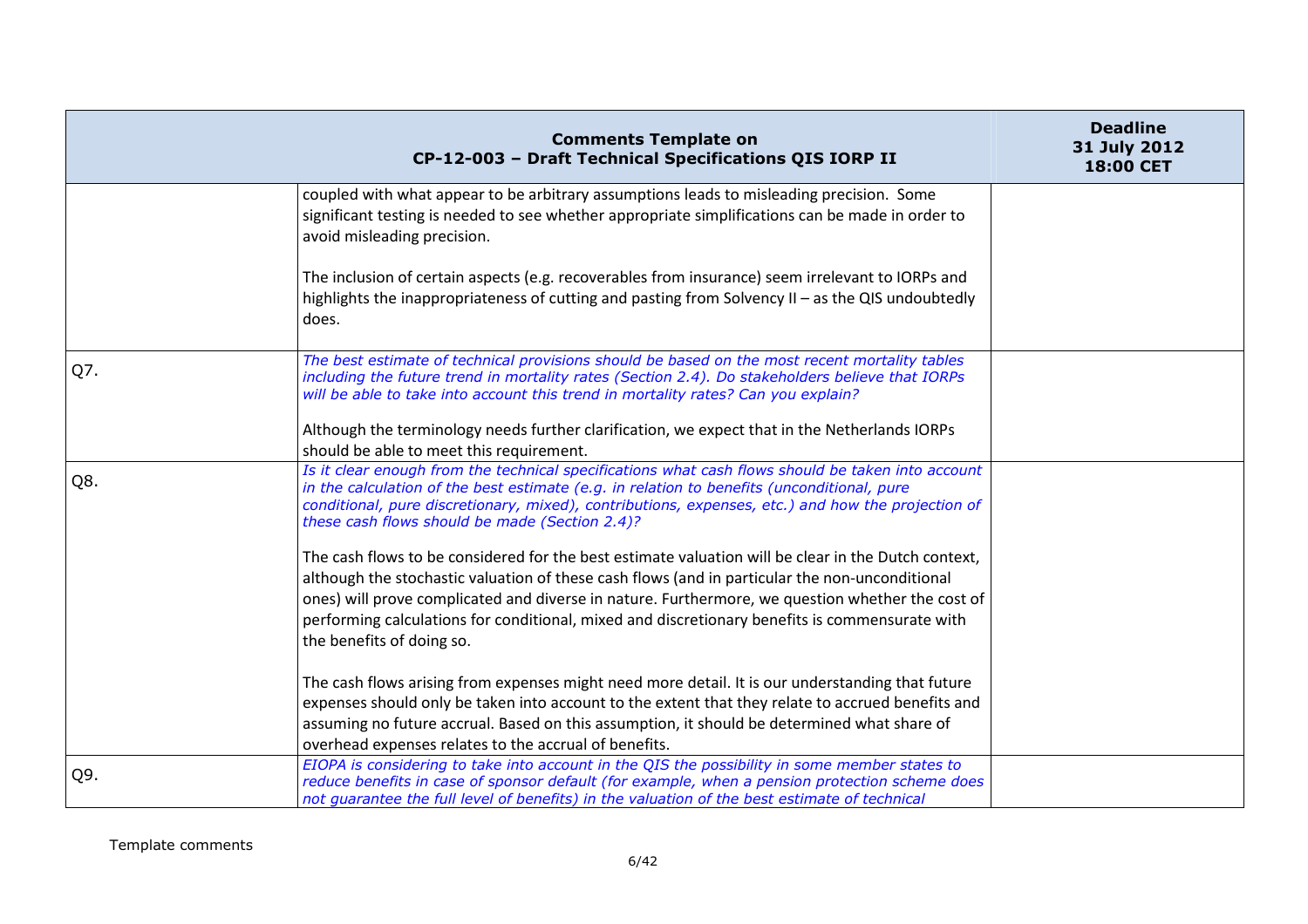|     | <b>Comments Template on</b><br>CP-12-003 - Draft Technical Specifications QIS IORP II                                                                                                                                                                                                                                                                  | <b>Deadline</b><br>31 July 2012<br>18:00 CET |
|-----|--------------------------------------------------------------------------------------------------------------------------------------------------------------------------------------------------------------------------------------------------------------------------------------------------------------------------------------------------------|----------------------------------------------|
|     | coupled with what appear to be arbitrary assumptions leads to misleading precision. Some<br>significant testing is needed to see whether appropriate simplifications can be made in order to<br>avoid misleading precision.                                                                                                                            |                                              |
|     | The inclusion of certain aspects (e.g. recoverables from insurance) seem irrelevant to IORPs and<br>highlights the inappropriateness of cutting and pasting from Solvency II - as the QIS undoubtedly<br>does.                                                                                                                                         |                                              |
| Q7. | The best estimate of technical provisions should be based on the most recent mortality tables<br>including the future trend in mortality rates (Section 2.4). Do stakeholders believe that IORPs<br>will be able to take into account this trend in mortality rates? Can you explain?                                                                  |                                              |
|     | Although the terminology needs further clarification, we expect that in the Netherlands IORPs<br>should be able to meet this requirement.                                                                                                                                                                                                              |                                              |
| Q8. | Is it clear enough from the technical specifications what cash flows should be taken into account<br>in the calculation of the best estimate (e.g. in relation to benefits (unconditional, pure<br>conditional, pure discretionary, mixed), contributions, expenses, etc.) and how the projection of<br>these cash flows should be made (Section 2.4)? |                                              |
|     | The cash flows to be considered for the best estimate valuation will be clear in the Dutch context,                                                                                                                                                                                                                                                    |                                              |
|     | although the stochastic valuation of these cash flows (and in particular the non-unconditional                                                                                                                                                                                                                                                         |                                              |
|     | ones) will prove complicated and diverse in nature. Furthermore, we question whether the cost of<br>performing calculations for conditional, mixed and discretionary benefits is commensurate with<br>the benefits of doing so.                                                                                                                        |                                              |
|     | The cash flows arising from expenses might need more detail. It is our understanding that future                                                                                                                                                                                                                                                       |                                              |
|     | expenses should only be taken into account to the extent that they relate to accrued benefits and                                                                                                                                                                                                                                                      |                                              |
|     | assuming no future accrual. Based on this assumption, it should be determined what share of<br>overhead expenses relates to the accrual of benefits.                                                                                                                                                                                                   |                                              |
| Q9. | EIOPA is considering to take into account in the QIS the possibility in some member states to<br>reduce benefits in case of sponsor default (for example, when a pension protection scheme does<br>not guarantee the full level of benefits) in the valuation of the best estimate of technical                                                        |                                              |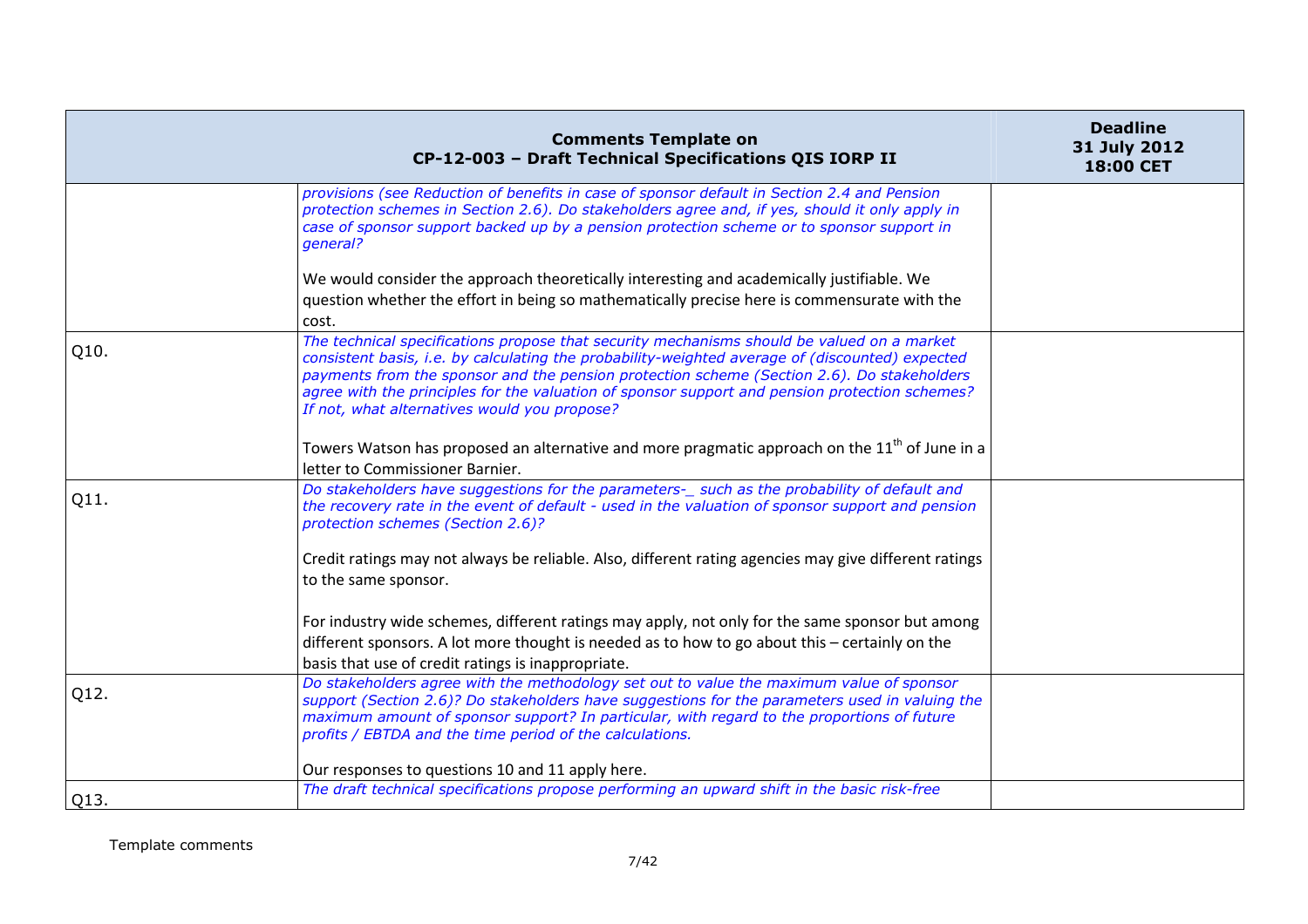|      | <b>Comments Template on</b><br>CP-12-003 - Draft Technical Specifications QIS IORP II                                                                                                                                                                                                                                                                                                                                                         | <b>Deadline</b><br>31 July 2012<br>18:00 CET |
|------|-----------------------------------------------------------------------------------------------------------------------------------------------------------------------------------------------------------------------------------------------------------------------------------------------------------------------------------------------------------------------------------------------------------------------------------------------|----------------------------------------------|
|      | provisions (see Reduction of benefits in case of sponsor default in Section 2.4 and Pension<br>protection schemes in Section 2.6). Do stakeholders agree and, if yes, should it only apply in<br>case of sponsor support backed up by a pension protection scheme or to sponsor support in<br>general?                                                                                                                                        |                                              |
|      | We would consider the approach theoretically interesting and academically justifiable. We                                                                                                                                                                                                                                                                                                                                                     |                                              |
|      | question whether the effort in being so mathematically precise here is commensurate with the<br>cost.                                                                                                                                                                                                                                                                                                                                         |                                              |
| Q10. | The technical specifications propose that security mechanisms should be valued on a market<br>consistent basis, i.e. by calculating the probability-weighted average of (discounted) expected<br>payments from the sponsor and the pension protection scheme (Section 2.6). Do stakeholders<br>agree with the principles for the valuation of sponsor support and pension protection schemes?<br>If not, what alternatives would you propose? |                                              |
|      | Towers Watson has proposed an alternative and more pragmatic approach on the 11 <sup>th</sup> of June in a<br>letter to Commissioner Barnier.                                                                                                                                                                                                                                                                                                 |                                              |
| Q11. | Do stakeholders have suggestions for the parameters-_ such as the probability of default and<br>the recovery rate in the event of default - used in the valuation of sponsor support and pension<br>protection schemes (Section 2.6)?                                                                                                                                                                                                         |                                              |
|      | Credit ratings may not always be reliable. Also, different rating agencies may give different ratings<br>to the same sponsor.                                                                                                                                                                                                                                                                                                                 |                                              |
|      | For industry wide schemes, different ratings may apply, not only for the same sponsor but among<br>different sponsors. A lot more thought is needed as to how to go about this - certainly on the<br>basis that use of credit ratings is inappropriate.                                                                                                                                                                                       |                                              |
| Q12. | Do stakeholders agree with the methodology set out to value the maximum value of sponsor<br>support (Section 2.6)? Do stakeholders have suggestions for the parameters used in valuing the<br>maximum amount of sponsor support? In particular, with regard to the proportions of future<br>profits / EBTDA and the time period of the calculations.                                                                                          |                                              |
|      | Our responses to questions 10 and 11 apply here.                                                                                                                                                                                                                                                                                                                                                                                              |                                              |
| Q13. | The draft technical specifications propose performing an upward shift in the basic risk-free                                                                                                                                                                                                                                                                                                                                                  |                                              |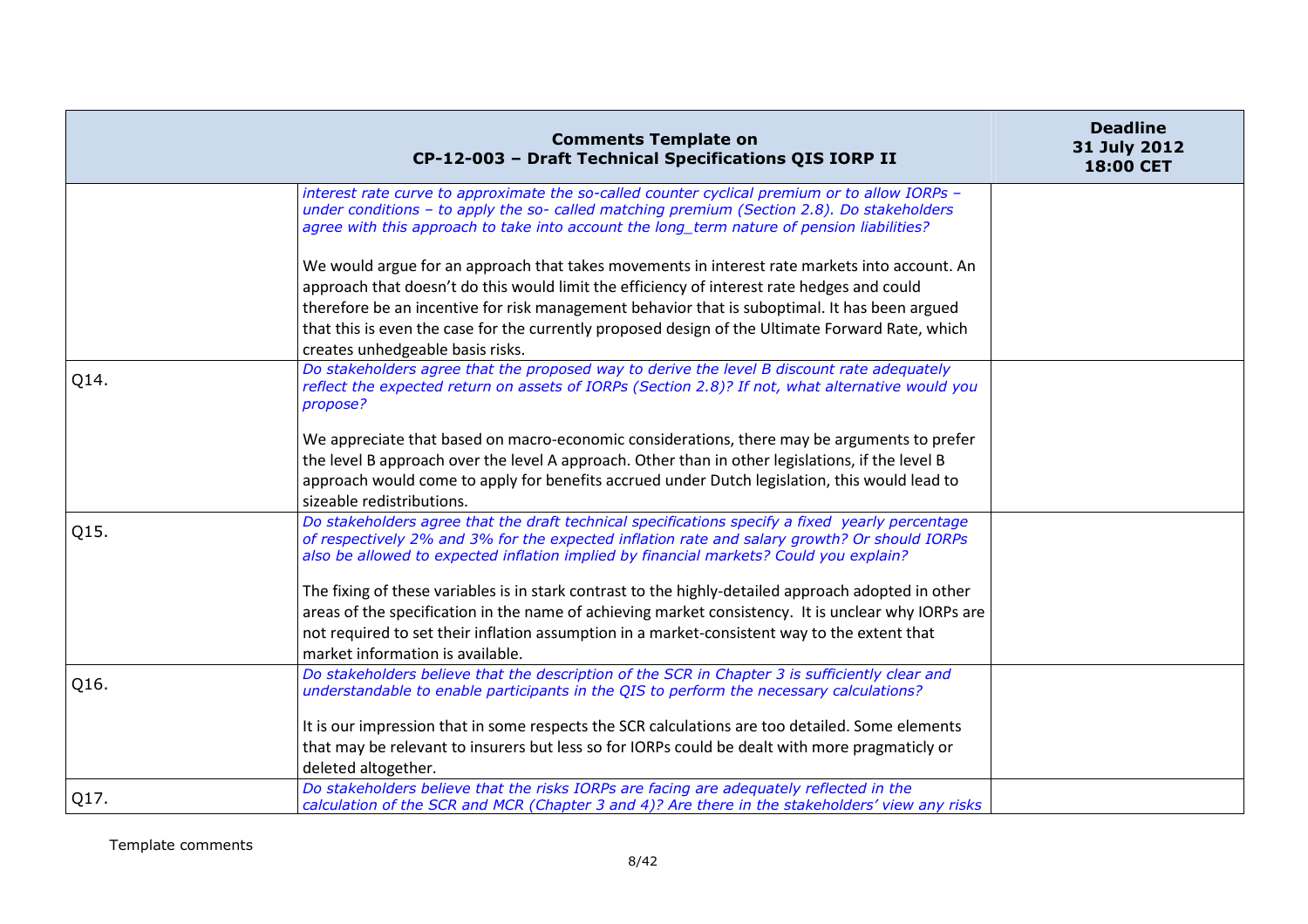|      | <b>Comments Template on</b><br>CP-12-003 - Draft Technical Specifications QIS IORP II                                                                                                                                                                                                                                                                                                                                                | <b>Deadline</b><br>31 July 2012<br>18:00 CET |
|------|--------------------------------------------------------------------------------------------------------------------------------------------------------------------------------------------------------------------------------------------------------------------------------------------------------------------------------------------------------------------------------------------------------------------------------------|----------------------------------------------|
|      | interest rate curve to approximate the so-called counter cyclical premium or to allow IORPs -<br>under conditions - to apply the so- called matching premium (Section 2.8). Do stakeholders<br>agree with this approach to take into account the long_term nature of pension liabilities?                                                                                                                                            |                                              |
|      | We would argue for an approach that takes movements in interest rate markets into account. An<br>approach that doesn't do this would limit the efficiency of interest rate hedges and could<br>therefore be an incentive for risk management behavior that is suboptimal. It has been argued<br>that this is even the case for the currently proposed design of the Ultimate Forward Rate, which<br>creates unhedgeable basis risks. |                                              |
| Q14. | Do stakeholders agree that the proposed way to derive the level B discount rate adequately<br>reflect the expected return on assets of IORPs (Section 2.8)? If not, what alternative would you<br>propose?                                                                                                                                                                                                                           |                                              |
|      | We appreciate that based on macro-economic considerations, there may be arguments to prefer<br>the level B approach over the level A approach. Other than in other legislations, if the level B<br>approach would come to apply for benefits accrued under Dutch legislation, this would lead to<br>sizeable redistributions.                                                                                                        |                                              |
| Q15. | Do stakeholders agree that the draft technical specifications specify a fixed yearly percentage<br>of respectively 2% and 3% for the expected inflation rate and salary growth? Or should IORPs<br>also be allowed to expected inflation implied by financial markets? Could you explain?                                                                                                                                            |                                              |
|      | The fixing of these variables is in stark contrast to the highly-detailed approach adopted in other<br>areas of the specification in the name of achieving market consistency. It is unclear why IORPs are<br>not required to set their inflation assumption in a market-consistent way to the extent that<br>market information is available.                                                                                       |                                              |
| Q16. | Do stakeholders believe that the description of the SCR in Chapter 3 is sufficiently clear and<br>understandable to enable participants in the QIS to perform the necessary calculations?                                                                                                                                                                                                                                            |                                              |
|      | It is our impression that in some respects the SCR calculations are too detailed. Some elements<br>that may be relevant to insurers but less so for IORPs could be dealt with more pragmaticly or<br>deleted altogether.                                                                                                                                                                                                             |                                              |
| Q17. | Do stakeholders believe that the risks IORPs are facing are adequately reflected in the<br>calculation of the SCR and MCR (Chapter 3 and 4)? Are there in the stakeholders' view any risks                                                                                                                                                                                                                                           |                                              |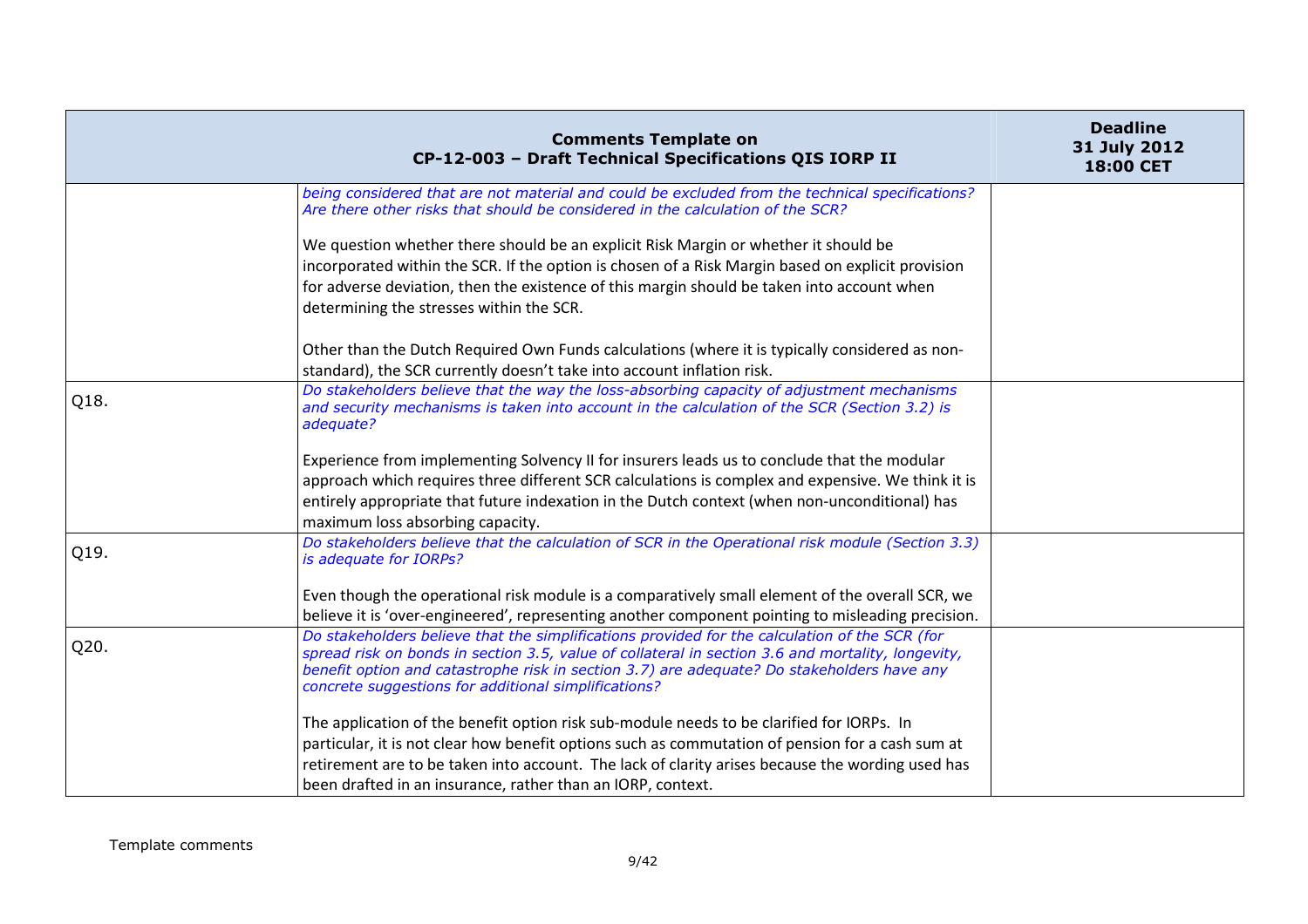|      | <b>Comments Template on</b><br>CP-12-003 - Draft Technical Specifications QIS IORP II                                                                                                                                                                                                                                                                            | <b>Deadline</b><br>31 July 2012<br>18:00 CET |
|------|------------------------------------------------------------------------------------------------------------------------------------------------------------------------------------------------------------------------------------------------------------------------------------------------------------------------------------------------------------------|----------------------------------------------|
|      | being considered that are not material and could be excluded from the technical specifications?<br>Are there other risks that should be considered in the calculation of the SCR?                                                                                                                                                                                |                                              |
|      | We question whether there should be an explicit Risk Margin or whether it should be<br>incorporated within the SCR. If the option is chosen of a Risk Margin based on explicit provision<br>for adverse deviation, then the existence of this margin should be taken into account when<br>determining the stresses within the SCR.                               |                                              |
|      | Other than the Dutch Required Own Funds calculations (where it is typically considered as non-<br>standard), the SCR currently doesn't take into account inflation risk.                                                                                                                                                                                         |                                              |
| Q18. | Do stakeholders believe that the way the loss-absorbing capacity of adjustment mechanisms<br>and security mechanisms is taken into account in the calculation of the SCR (Section 3.2) is<br>adequate?                                                                                                                                                           |                                              |
|      | Experience from implementing Solvency II for insurers leads us to conclude that the modular<br>approach which requires three different SCR calculations is complex and expensive. We think it is<br>entirely appropriate that future indexation in the Dutch context (when non-unconditional) has<br>maximum loss absorbing capacity.                            |                                              |
| Q19. | Do stakeholders believe that the calculation of SCR in the Operational risk module (Section 3.3)<br>is adequate for IORPs?                                                                                                                                                                                                                                       |                                              |
|      | Even though the operational risk module is a comparatively small element of the overall SCR, we<br>believe it is 'over-engineered', representing another component pointing to misleading precision.                                                                                                                                                             |                                              |
| Q20. | Do stakeholders believe that the simplifications provided for the calculation of the SCR (for<br>spread risk on bonds in section 3.5, value of collateral in section 3.6 and mortality, longevity,<br>benefit option and catastrophe risk in section 3.7) are adequate? Do stakeholders have any<br>concrete suggestions for additional simplifications?         |                                              |
|      | The application of the benefit option risk sub-module needs to be clarified for IORPs. In<br>particular, it is not clear how benefit options such as commutation of pension for a cash sum at<br>retirement are to be taken into account. The lack of clarity arises because the wording used has<br>been drafted in an insurance, rather than an IORP, context. |                                              |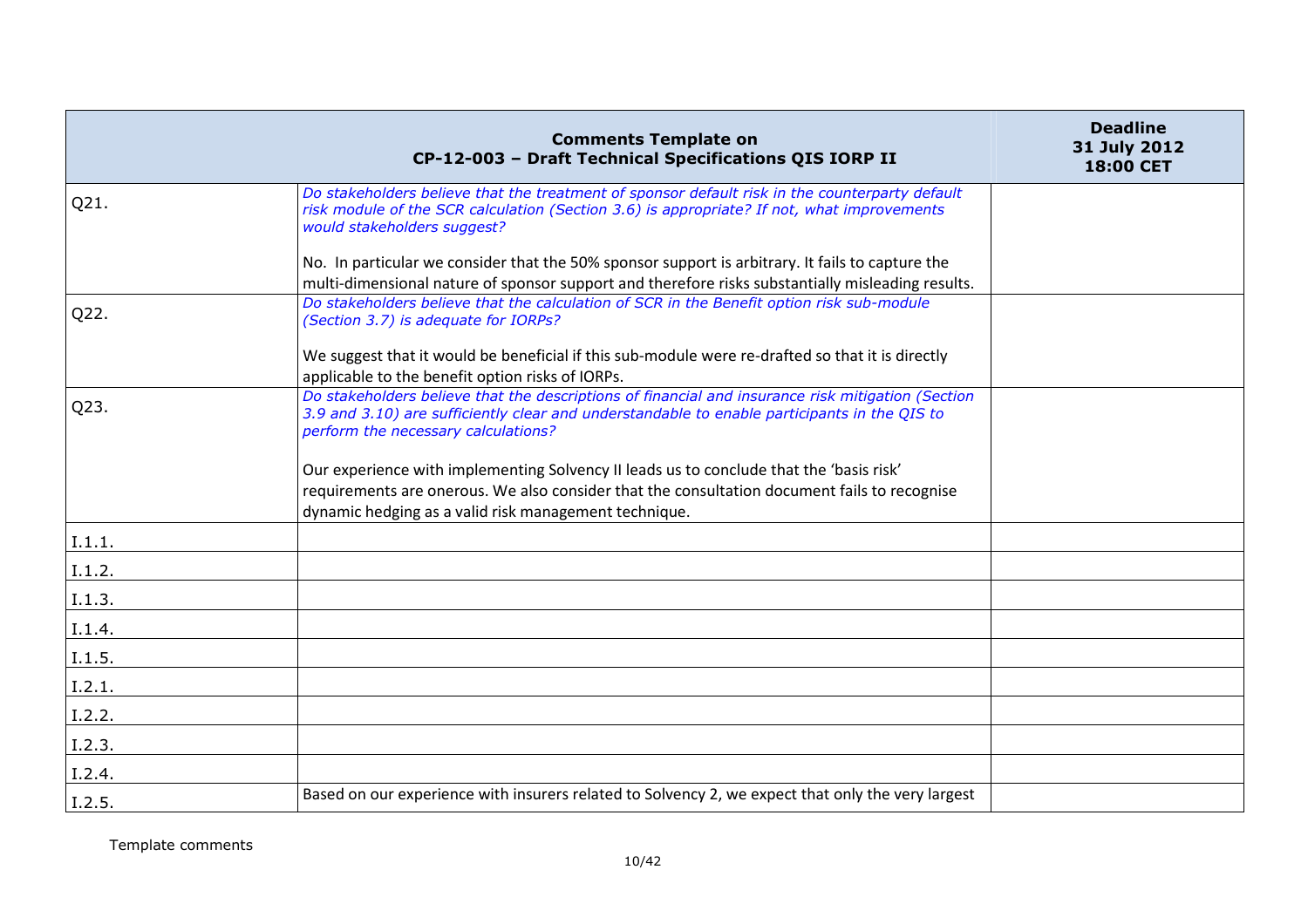|        | <b>Comments Template on</b><br>CP-12-003 - Draft Technical Specifications QIS IORP II                                                                                                                                                            | <b>Deadline</b><br>31 July 2012<br>18:00 CET |
|--------|--------------------------------------------------------------------------------------------------------------------------------------------------------------------------------------------------------------------------------------------------|----------------------------------------------|
| Q21.   | Do stakeholders believe that the treatment of sponsor default risk in the counterparty default<br>risk module of the SCR calculation (Section 3.6) is appropriate? If not, what improvements<br>would stakeholders suggest?                      |                                              |
|        | No. In particular we consider that the 50% sponsor support is arbitrary. It fails to capture the                                                                                                                                                 |                                              |
|        | multi-dimensional nature of sponsor support and therefore risks substantially misleading results.                                                                                                                                                |                                              |
| Q22.   | Do stakeholders believe that the calculation of SCR in the Benefit option risk sub-module<br>(Section 3.7) is adequate for IORPs?                                                                                                                |                                              |
|        | We suggest that it would be beneficial if this sub-module were re-drafted so that it is directly<br>applicable to the benefit option risks of IORPs.                                                                                             |                                              |
| Q23.   | Do stakeholders believe that the descriptions of financial and insurance risk mitigation (Section<br>3.9 and 3.10) are sufficiently clear and understandable to enable participants in the QIS to<br>perform the necessary calculations?         |                                              |
|        | Our experience with implementing Solvency II leads us to conclude that the 'basis risk'<br>requirements are onerous. We also consider that the consultation document fails to recognise<br>dynamic hedging as a valid risk management technique. |                                              |
| I.1.1. |                                                                                                                                                                                                                                                  |                                              |
| I.1.2. |                                                                                                                                                                                                                                                  |                                              |
| 1.1.3. |                                                                                                                                                                                                                                                  |                                              |
| I.1.4. |                                                                                                                                                                                                                                                  |                                              |
| I.1.5. |                                                                                                                                                                                                                                                  |                                              |
| I.2.1. |                                                                                                                                                                                                                                                  |                                              |
| I.2.2. |                                                                                                                                                                                                                                                  |                                              |
| I.2.3. |                                                                                                                                                                                                                                                  |                                              |
| I.2.4. |                                                                                                                                                                                                                                                  |                                              |
| I.2.5. | Based on our experience with insurers related to Solvency 2, we expect that only the very largest                                                                                                                                                |                                              |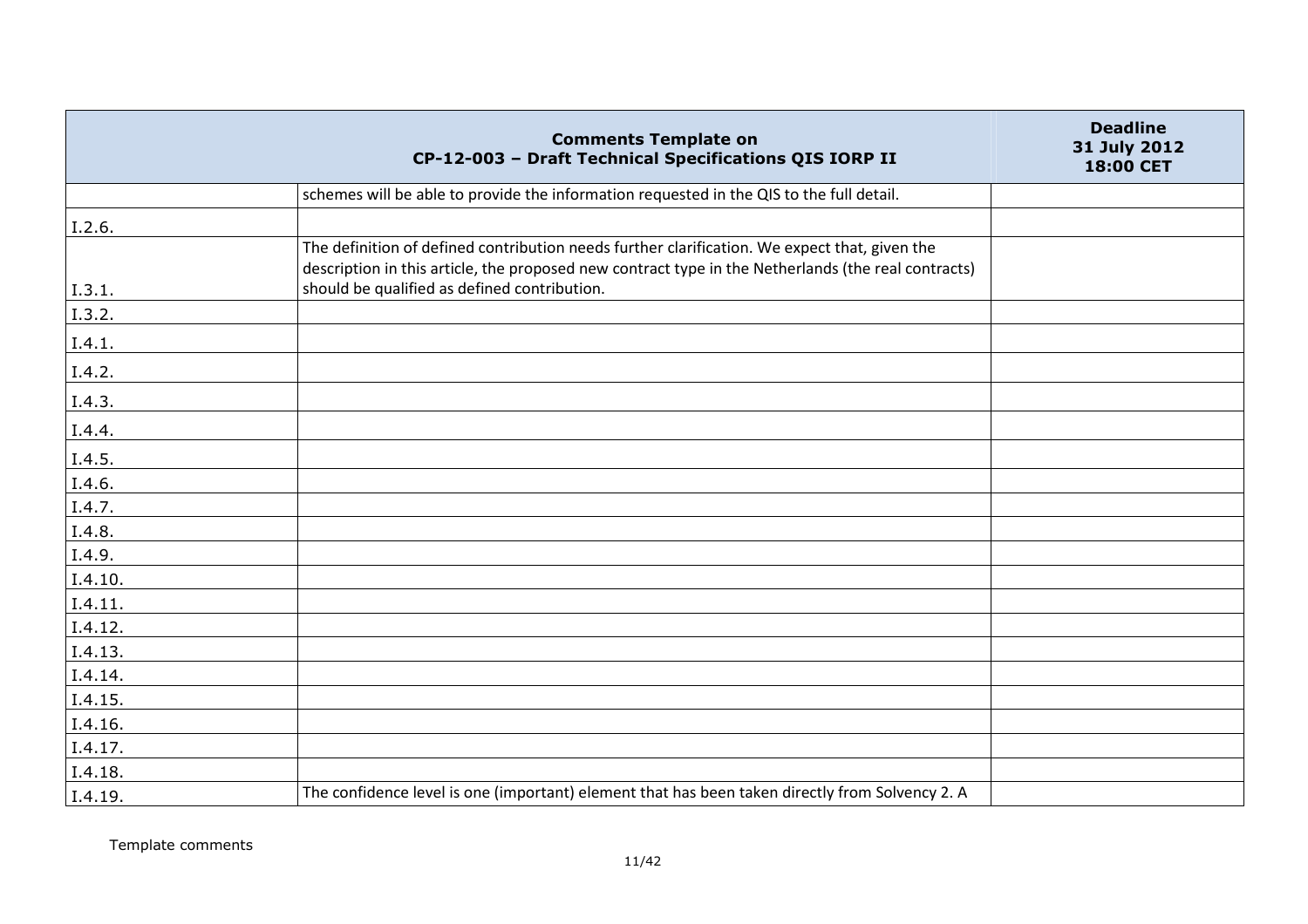|         | <b>Comments Template on</b><br>CP-12-003 - Draft Technical Specifications QIS IORP II                                                                                                                | <b>Deadline</b><br>31 July 2012<br>18:00 CET |
|---------|------------------------------------------------------------------------------------------------------------------------------------------------------------------------------------------------------|----------------------------------------------|
|         | schemes will be able to provide the information requested in the QIS to the full detail.                                                                                                             |                                              |
| I.2.6.  |                                                                                                                                                                                                      |                                              |
|         | The definition of defined contribution needs further clarification. We expect that, given the<br>description in this article, the proposed new contract type in the Netherlands (the real contracts) |                                              |
| I.3.1.  | should be qualified as defined contribution.                                                                                                                                                         |                                              |
| I.3.2.  |                                                                                                                                                                                                      |                                              |
| I.4.1.  |                                                                                                                                                                                                      |                                              |
| I.4.2.  |                                                                                                                                                                                                      |                                              |
| I.4.3.  |                                                                                                                                                                                                      |                                              |
| I.4.4.  |                                                                                                                                                                                                      |                                              |
| I.4.5.  |                                                                                                                                                                                                      |                                              |
| I.4.6.  |                                                                                                                                                                                                      |                                              |
| I.4.7.  |                                                                                                                                                                                                      |                                              |
| I.4.8.  |                                                                                                                                                                                                      |                                              |
| I.4.9.  |                                                                                                                                                                                                      |                                              |
| I.4.10. |                                                                                                                                                                                                      |                                              |
| I.4.11. |                                                                                                                                                                                                      |                                              |
| I.4.12. |                                                                                                                                                                                                      |                                              |
| I.4.13. |                                                                                                                                                                                                      |                                              |
| I.4.14. |                                                                                                                                                                                                      |                                              |
| I.4.15. |                                                                                                                                                                                                      |                                              |
| I.4.16. |                                                                                                                                                                                                      |                                              |
| I.4.17. |                                                                                                                                                                                                      |                                              |
| I.4.18. |                                                                                                                                                                                                      |                                              |
| I.4.19. | The confidence level is one (important) element that has been taken directly from Solvency 2. A                                                                                                      |                                              |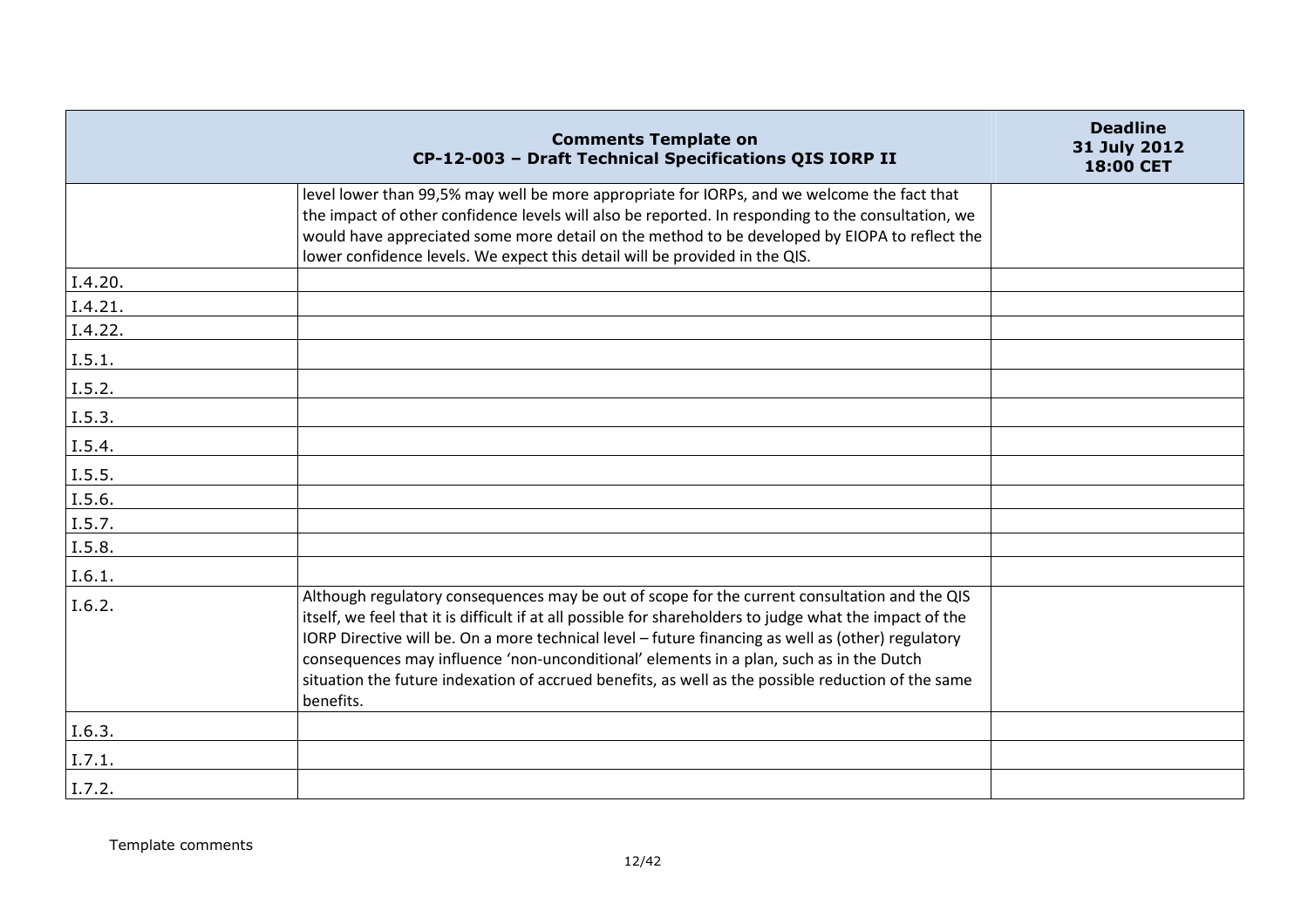|         | <b>Comments Template on</b><br>CP-12-003 - Draft Technical Specifications QIS IORP II                                                                                                                                                                                                                                                                                                                                                                                                                                         | <b>Deadline</b><br>31 July 2012<br>18:00 CET |
|---------|-------------------------------------------------------------------------------------------------------------------------------------------------------------------------------------------------------------------------------------------------------------------------------------------------------------------------------------------------------------------------------------------------------------------------------------------------------------------------------------------------------------------------------|----------------------------------------------|
|         | level lower than 99,5% may well be more appropriate for IORPs, and we welcome the fact that<br>the impact of other confidence levels will also be reported. In responding to the consultation, we<br>would have appreciated some more detail on the method to be developed by EIOPA to reflect the<br>lower confidence levels. We expect this detail will be provided in the QIS.                                                                                                                                             |                                              |
| I.4.20. |                                                                                                                                                                                                                                                                                                                                                                                                                                                                                                                               |                                              |
| I.4.21. |                                                                                                                                                                                                                                                                                                                                                                                                                                                                                                                               |                                              |
| I.4.22. |                                                                                                                                                                                                                                                                                                                                                                                                                                                                                                                               |                                              |
| I.5.1.  |                                                                                                                                                                                                                                                                                                                                                                                                                                                                                                                               |                                              |
| I.5.2.  |                                                                                                                                                                                                                                                                                                                                                                                                                                                                                                                               |                                              |
| I.5.3.  |                                                                                                                                                                                                                                                                                                                                                                                                                                                                                                                               |                                              |
| I.5.4.  |                                                                                                                                                                                                                                                                                                                                                                                                                                                                                                                               |                                              |
| I.5.5.  |                                                                                                                                                                                                                                                                                                                                                                                                                                                                                                                               |                                              |
| I.5.6.  |                                                                                                                                                                                                                                                                                                                                                                                                                                                                                                                               |                                              |
| I.5.7.  |                                                                                                                                                                                                                                                                                                                                                                                                                                                                                                                               |                                              |
| I.5.8.  |                                                                                                                                                                                                                                                                                                                                                                                                                                                                                                                               |                                              |
| I.6.1.  |                                                                                                                                                                                                                                                                                                                                                                                                                                                                                                                               |                                              |
| I.6.2.  | Although regulatory consequences may be out of scope for the current consultation and the QIS<br>itself, we feel that it is difficult if at all possible for shareholders to judge what the impact of the<br>IORP Directive will be. On a more technical level - future financing as well as (other) regulatory<br>consequences may influence 'non-unconditional' elements in a plan, such as in the Dutch<br>situation the future indexation of accrued benefits, as well as the possible reduction of the same<br>benefits. |                                              |
| I.6.3.  |                                                                                                                                                                                                                                                                                                                                                                                                                                                                                                                               |                                              |
| I.7.1.  |                                                                                                                                                                                                                                                                                                                                                                                                                                                                                                                               |                                              |
| 1.7.2.  |                                                                                                                                                                                                                                                                                                                                                                                                                                                                                                                               |                                              |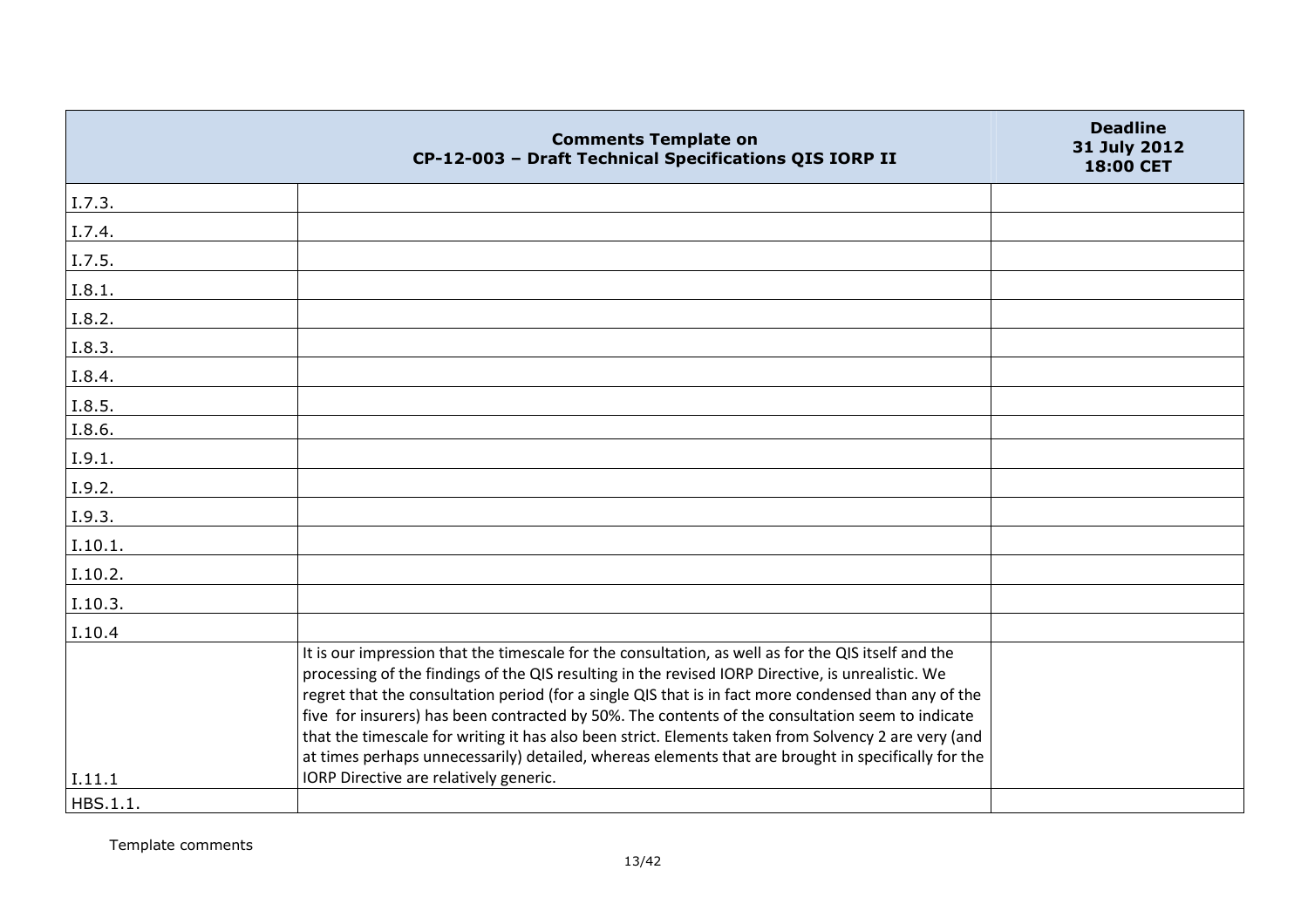|                    | <b>Comments Template on</b><br>CP-12-003 - Draft Technical Specifications QIS IORP II                                                                                                                                                                                                                                                                                                                                                                                                                                                                                                                                               | <b>Deadline</b><br>31 July 2012<br>18:00 CET |
|--------------------|-------------------------------------------------------------------------------------------------------------------------------------------------------------------------------------------------------------------------------------------------------------------------------------------------------------------------------------------------------------------------------------------------------------------------------------------------------------------------------------------------------------------------------------------------------------------------------------------------------------------------------------|----------------------------------------------|
| I.7.3.             |                                                                                                                                                                                                                                                                                                                                                                                                                                                                                                                                                                                                                                     |                                              |
| I.7.4.             |                                                                                                                                                                                                                                                                                                                                                                                                                                                                                                                                                                                                                                     |                                              |
| I.7.5.             |                                                                                                                                                                                                                                                                                                                                                                                                                                                                                                                                                                                                                                     |                                              |
| I.8.1.             |                                                                                                                                                                                                                                                                                                                                                                                                                                                                                                                                                                                                                                     |                                              |
| I.8.2.             |                                                                                                                                                                                                                                                                                                                                                                                                                                                                                                                                                                                                                                     |                                              |
| I.8.3.             |                                                                                                                                                                                                                                                                                                                                                                                                                                                                                                                                                                                                                                     |                                              |
| I.8.4.             |                                                                                                                                                                                                                                                                                                                                                                                                                                                                                                                                                                                                                                     |                                              |
| I.8.5.             |                                                                                                                                                                                                                                                                                                                                                                                                                                                                                                                                                                                                                                     |                                              |
| I.8.6.             |                                                                                                                                                                                                                                                                                                                                                                                                                                                                                                                                                                                                                                     |                                              |
| I.9.1.             |                                                                                                                                                                                                                                                                                                                                                                                                                                                                                                                                                                                                                                     |                                              |
| I.9.2.             |                                                                                                                                                                                                                                                                                                                                                                                                                                                                                                                                                                                                                                     |                                              |
| I.9.3.             |                                                                                                                                                                                                                                                                                                                                                                                                                                                                                                                                                                                                                                     |                                              |
| I.10.1.            |                                                                                                                                                                                                                                                                                                                                                                                                                                                                                                                                                                                                                                     |                                              |
| I.10.2.            |                                                                                                                                                                                                                                                                                                                                                                                                                                                                                                                                                                                                                                     |                                              |
| I.10.3.            |                                                                                                                                                                                                                                                                                                                                                                                                                                                                                                                                                                                                                                     |                                              |
| I.10.4             |                                                                                                                                                                                                                                                                                                                                                                                                                                                                                                                                                                                                                                     |                                              |
|                    | It is our impression that the timescale for the consultation, as well as for the QIS itself and the<br>processing of the findings of the QIS resulting in the revised IORP Directive, is unrealistic. We<br>regret that the consultation period (for a single QIS that is in fact more condensed than any of the<br>five for insurers) has been contracted by 50%. The contents of the consultation seem to indicate<br>that the timescale for writing it has also been strict. Elements taken from Solvency 2 are very (and<br>at times perhaps unnecessarily) detailed, whereas elements that are brought in specifically for the |                                              |
| I.11.1<br>HBS.1.1. | IORP Directive are relatively generic.                                                                                                                                                                                                                                                                                                                                                                                                                                                                                                                                                                                              |                                              |
|                    |                                                                                                                                                                                                                                                                                                                                                                                                                                                                                                                                                                                                                                     |                                              |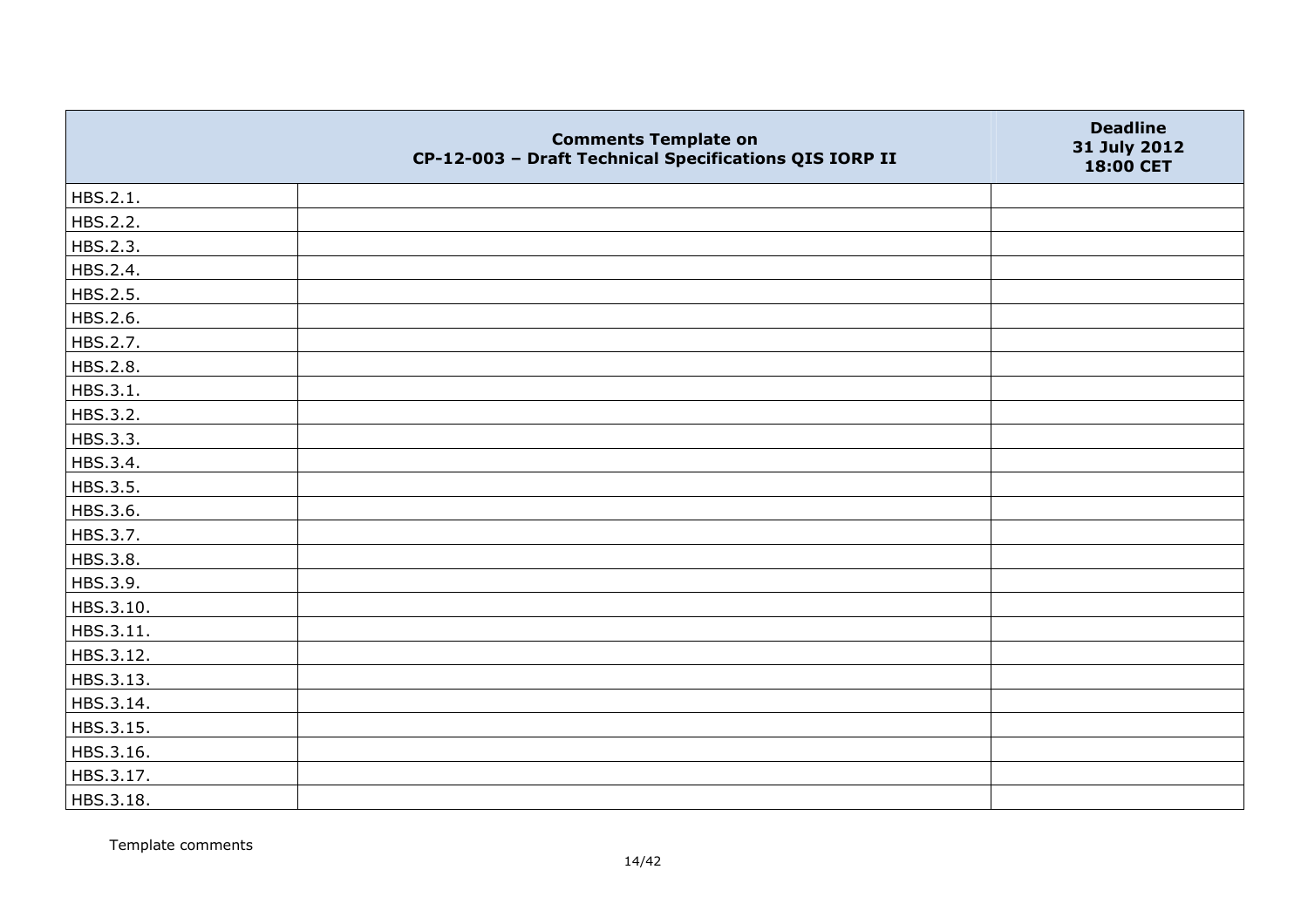|           | <b>Comments Template on</b><br>CP-12-003 - Draft Technical Specifications QIS IORP II | <b>Deadline</b><br>31 July 2012<br>18:00 CET |
|-----------|---------------------------------------------------------------------------------------|----------------------------------------------|
| HBS.2.1.  |                                                                                       |                                              |
| HBS.2.2.  |                                                                                       |                                              |
| HBS.2.3.  |                                                                                       |                                              |
| HBS.2.4.  |                                                                                       |                                              |
| HBS.2.5.  |                                                                                       |                                              |
| HBS.2.6.  |                                                                                       |                                              |
| HBS.2.7.  |                                                                                       |                                              |
| HBS.2.8.  |                                                                                       |                                              |
| HBS.3.1.  |                                                                                       |                                              |
| HBS.3.2.  |                                                                                       |                                              |
| HBS.3.3.  |                                                                                       |                                              |
| HBS.3.4.  |                                                                                       |                                              |
| HBS.3.5.  |                                                                                       |                                              |
| HBS.3.6.  |                                                                                       |                                              |
| HBS.3.7.  |                                                                                       |                                              |
| HBS.3.8.  |                                                                                       |                                              |
| HBS.3.9.  |                                                                                       |                                              |
| HBS.3.10. |                                                                                       |                                              |
| HBS.3.11. |                                                                                       |                                              |
| HBS.3.12. |                                                                                       |                                              |
| HBS.3.13. |                                                                                       |                                              |
| HBS.3.14. |                                                                                       |                                              |
| HBS.3.15. |                                                                                       |                                              |
| HBS.3.16. |                                                                                       |                                              |
| HBS.3.17. |                                                                                       |                                              |
| HBS.3.18. |                                                                                       |                                              |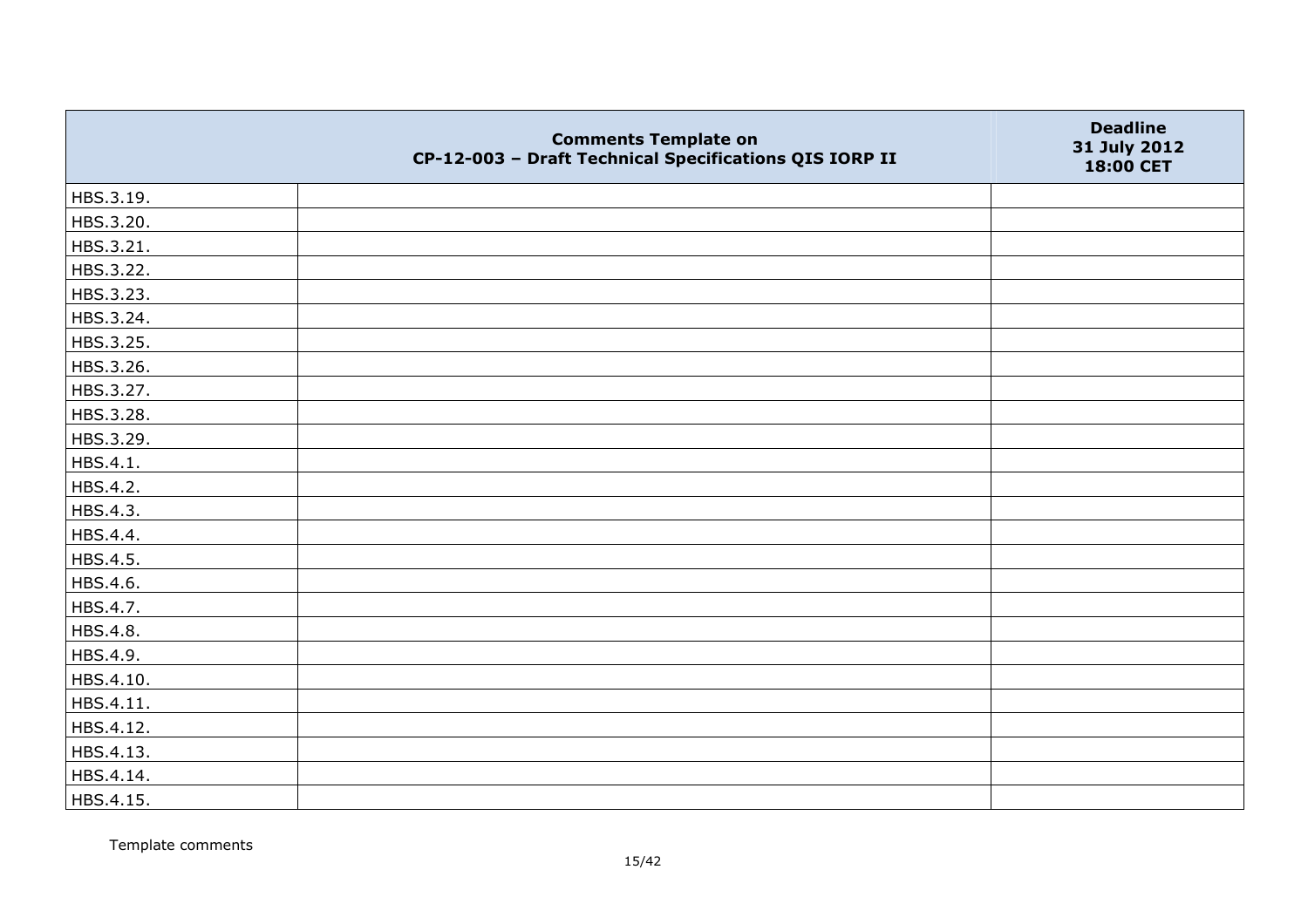|           | <b>Comments Template on</b><br>CP-12-003 - Draft Technical Specifications QIS IORP II | <b>Deadline</b><br>31 July 2012<br>18:00 CET |
|-----------|---------------------------------------------------------------------------------------|----------------------------------------------|
| HBS.3.19. |                                                                                       |                                              |
| HBS.3.20. |                                                                                       |                                              |
| HBS.3.21. |                                                                                       |                                              |
| HBS.3.22. |                                                                                       |                                              |
| HBS.3.23. |                                                                                       |                                              |
| HBS.3.24. |                                                                                       |                                              |
| HBS.3.25. |                                                                                       |                                              |
| HBS.3.26. |                                                                                       |                                              |
| HBS.3.27. |                                                                                       |                                              |
| HBS.3.28. |                                                                                       |                                              |
| HBS.3.29. |                                                                                       |                                              |
| HBS.4.1.  |                                                                                       |                                              |
| HBS.4.2.  |                                                                                       |                                              |
| HBS.4.3.  |                                                                                       |                                              |
| HBS.4.4.  |                                                                                       |                                              |
| HBS.4.5.  |                                                                                       |                                              |
| HBS.4.6.  |                                                                                       |                                              |
| HBS.4.7.  |                                                                                       |                                              |
| HBS.4.8.  |                                                                                       |                                              |
| HBS.4.9.  |                                                                                       |                                              |
| HBS.4.10. |                                                                                       |                                              |
| HBS.4.11. |                                                                                       |                                              |
| HBS.4.12. |                                                                                       |                                              |
| HBS.4.13. |                                                                                       |                                              |
| HBS.4.14. |                                                                                       |                                              |
| HBS.4.15. |                                                                                       |                                              |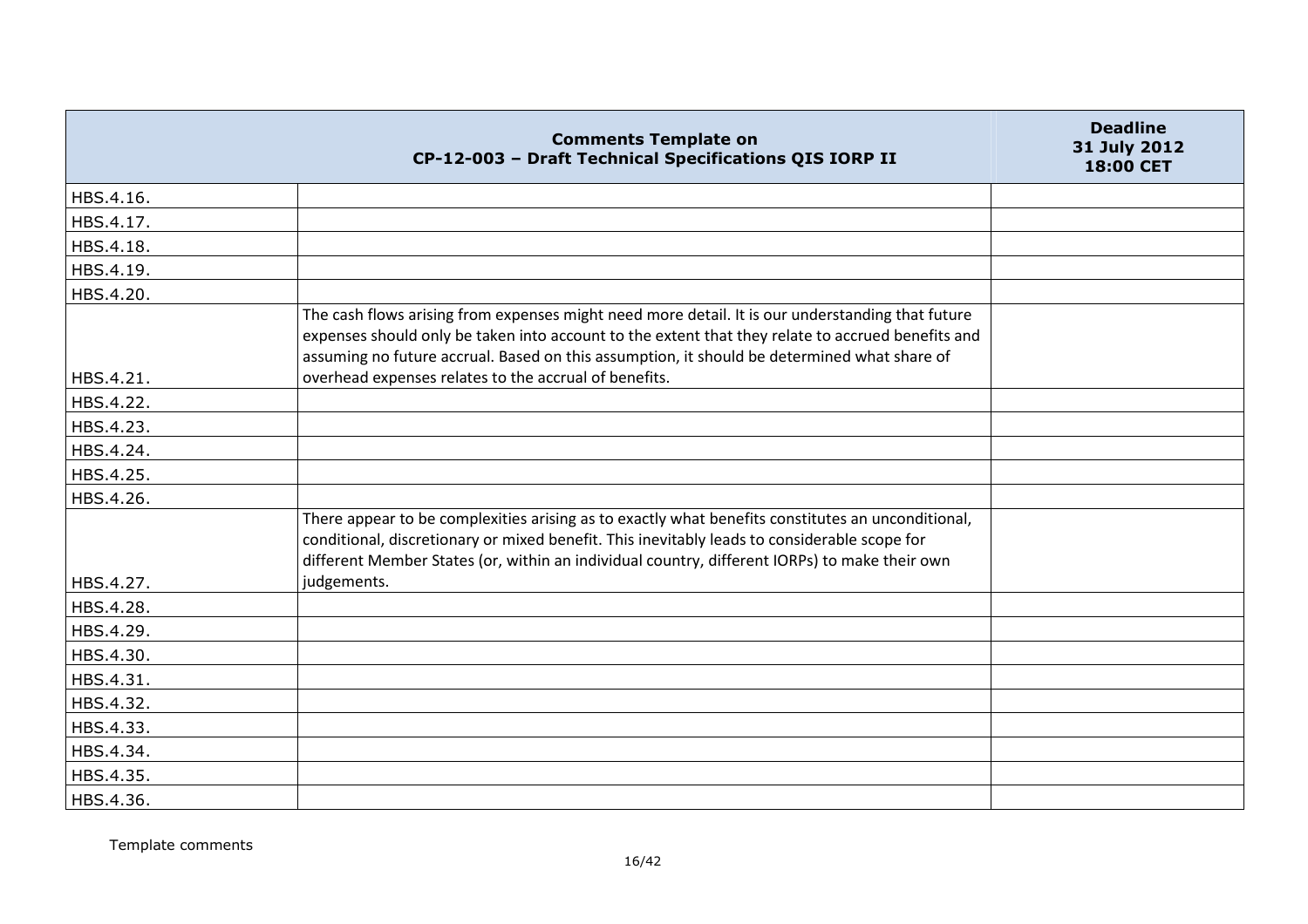|           | <b>Comments Template on</b><br>CP-12-003 - Draft Technical Specifications QIS IORP II                                                                                                                                                                                                                | <b>Deadline</b><br>31 July 2012<br>18:00 CET |
|-----------|------------------------------------------------------------------------------------------------------------------------------------------------------------------------------------------------------------------------------------------------------------------------------------------------------|----------------------------------------------|
| HBS.4.16. |                                                                                                                                                                                                                                                                                                      |                                              |
| HBS.4.17. |                                                                                                                                                                                                                                                                                                      |                                              |
| HBS.4.18. |                                                                                                                                                                                                                                                                                                      |                                              |
| HBS.4.19. |                                                                                                                                                                                                                                                                                                      |                                              |
| HBS.4.20. |                                                                                                                                                                                                                                                                                                      |                                              |
|           | The cash flows arising from expenses might need more detail. It is our understanding that future<br>expenses should only be taken into account to the extent that they relate to accrued benefits and<br>assuming no future accrual. Based on this assumption, it should be determined what share of |                                              |
| HBS.4.21. | overhead expenses relates to the accrual of benefits.                                                                                                                                                                                                                                                |                                              |
| HBS.4.22. |                                                                                                                                                                                                                                                                                                      |                                              |
| HBS.4.23. |                                                                                                                                                                                                                                                                                                      |                                              |
| HBS.4.24. |                                                                                                                                                                                                                                                                                                      |                                              |
| HBS.4.25. |                                                                                                                                                                                                                                                                                                      |                                              |
| HBS.4.26. |                                                                                                                                                                                                                                                                                                      |                                              |
|           | There appear to be complexities arising as to exactly what benefits constitutes an unconditional,<br>conditional, discretionary or mixed benefit. This inevitably leads to considerable scope for<br>different Member States (or, within an individual country, different IORPs) to make their own   |                                              |
| HBS.4.27. | judgements.                                                                                                                                                                                                                                                                                          |                                              |
| HBS.4.28. |                                                                                                                                                                                                                                                                                                      |                                              |
| HBS.4.29. |                                                                                                                                                                                                                                                                                                      |                                              |
| HBS.4.30. |                                                                                                                                                                                                                                                                                                      |                                              |
| HBS.4.31. |                                                                                                                                                                                                                                                                                                      |                                              |
| HBS.4.32. |                                                                                                                                                                                                                                                                                                      |                                              |
| HBS.4.33. |                                                                                                                                                                                                                                                                                                      |                                              |
| HBS.4.34. |                                                                                                                                                                                                                                                                                                      |                                              |
| HBS.4.35. |                                                                                                                                                                                                                                                                                                      |                                              |
| HBS.4.36. |                                                                                                                                                                                                                                                                                                      |                                              |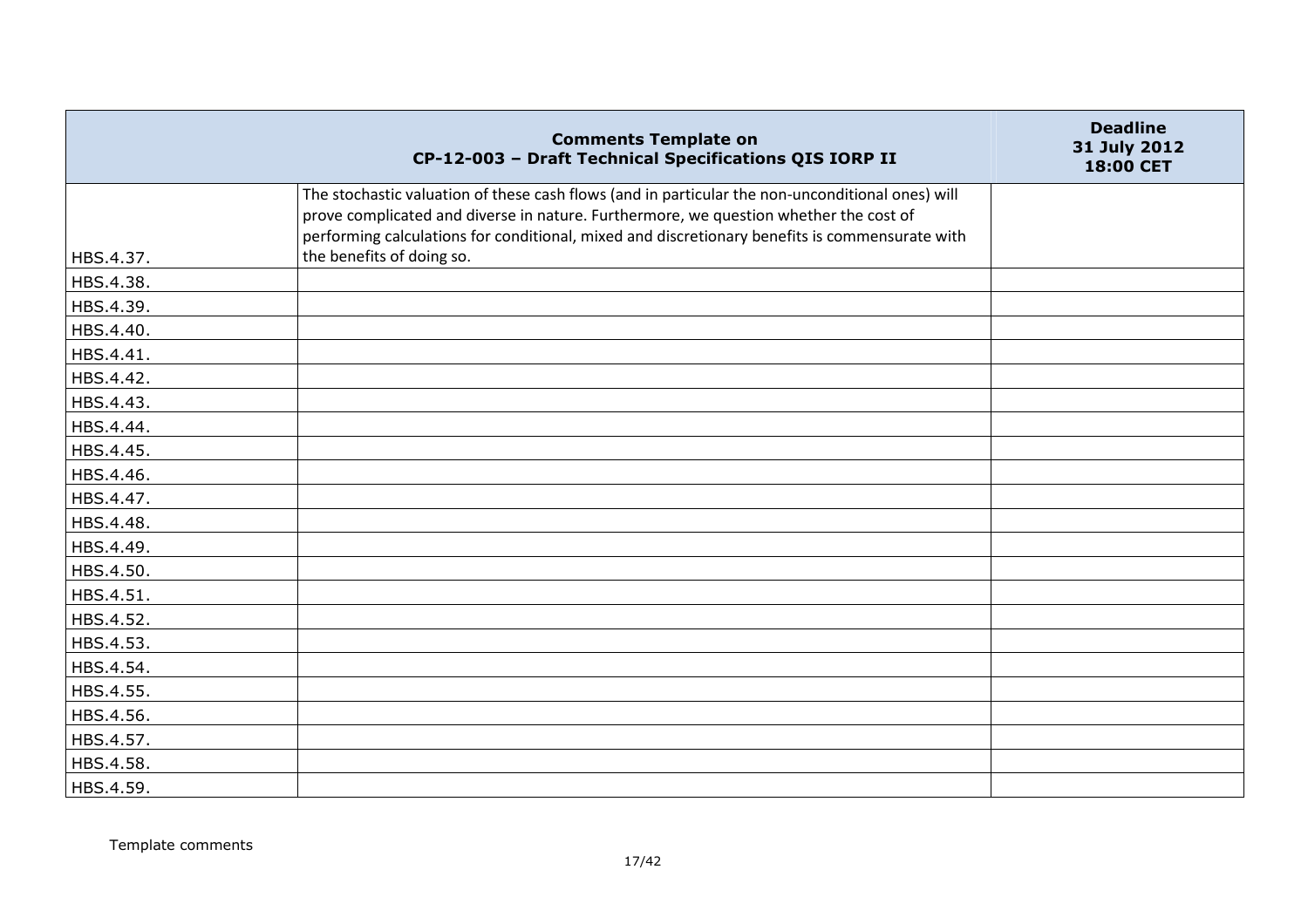|           | <b>Comments Template on</b><br>CP-12-003 - Draft Technical Specifications QIS IORP II                                                                                                                                                                                                       | <b>Deadline</b><br>31 July 2012<br>18:00 CET |
|-----------|---------------------------------------------------------------------------------------------------------------------------------------------------------------------------------------------------------------------------------------------------------------------------------------------|----------------------------------------------|
|           | The stochastic valuation of these cash flows (and in particular the non-unconditional ones) will<br>prove complicated and diverse in nature. Furthermore, we question whether the cost of<br>performing calculations for conditional, mixed and discretionary benefits is commensurate with |                                              |
| HBS.4.37. | the benefits of doing so.                                                                                                                                                                                                                                                                   |                                              |
| HBS.4.38. |                                                                                                                                                                                                                                                                                             |                                              |
| HBS.4.39. |                                                                                                                                                                                                                                                                                             |                                              |
| HBS.4.40. |                                                                                                                                                                                                                                                                                             |                                              |
| HBS.4.41. |                                                                                                                                                                                                                                                                                             |                                              |
| HBS.4.42. |                                                                                                                                                                                                                                                                                             |                                              |
| HBS.4.43. |                                                                                                                                                                                                                                                                                             |                                              |
| HBS.4.44. |                                                                                                                                                                                                                                                                                             |                                              |
| HBS.4.45. |                                                                                                                                                                                                                                                                                             |                                              |
| HBS.4.46. |                                                                                                                                                                                                                                                                                             |                                              |
| HBS.4.47. |                                                                                                                                                                                                                                                                                             |                                              |
| HBS.4.48. |                                                                                                                                                                                                                                                                                             |                                              |
| HBS.4.49. |                                                                                                                                                                                                                                                                                             |                                              |
| HBS.4.50. |                                                                                                                                                                                                                                                                                             |                                              |
| HBS.4.51. |                                                                                                                                                                                                                                                                                             |                                              |
| HBS.4.52. |                                                                                                                                                                                                                                                                                             |                                              |
| HBS.4.53. |                                                                                                                                                                                                                                                                                             |                                              |
| HBS.4.54. |                                                                                                                                                                                                                                                                                             |                                              |
| HBS.4.55. |                                                                                                                                                                                                                                                                                             |                                              |
| HBS.4.56. |                                                                                                                                                                                                                                                                                             |                                              |
| HBS.4.57. |                                                                                                                                                                                                                                                                                             |                                              |
| HBS.4.58. |                                                                                                                                                                                                                                                                                             |                                              |
| HBS.4.59. |                                                                                                                                                                                                                                                                                             |                                              |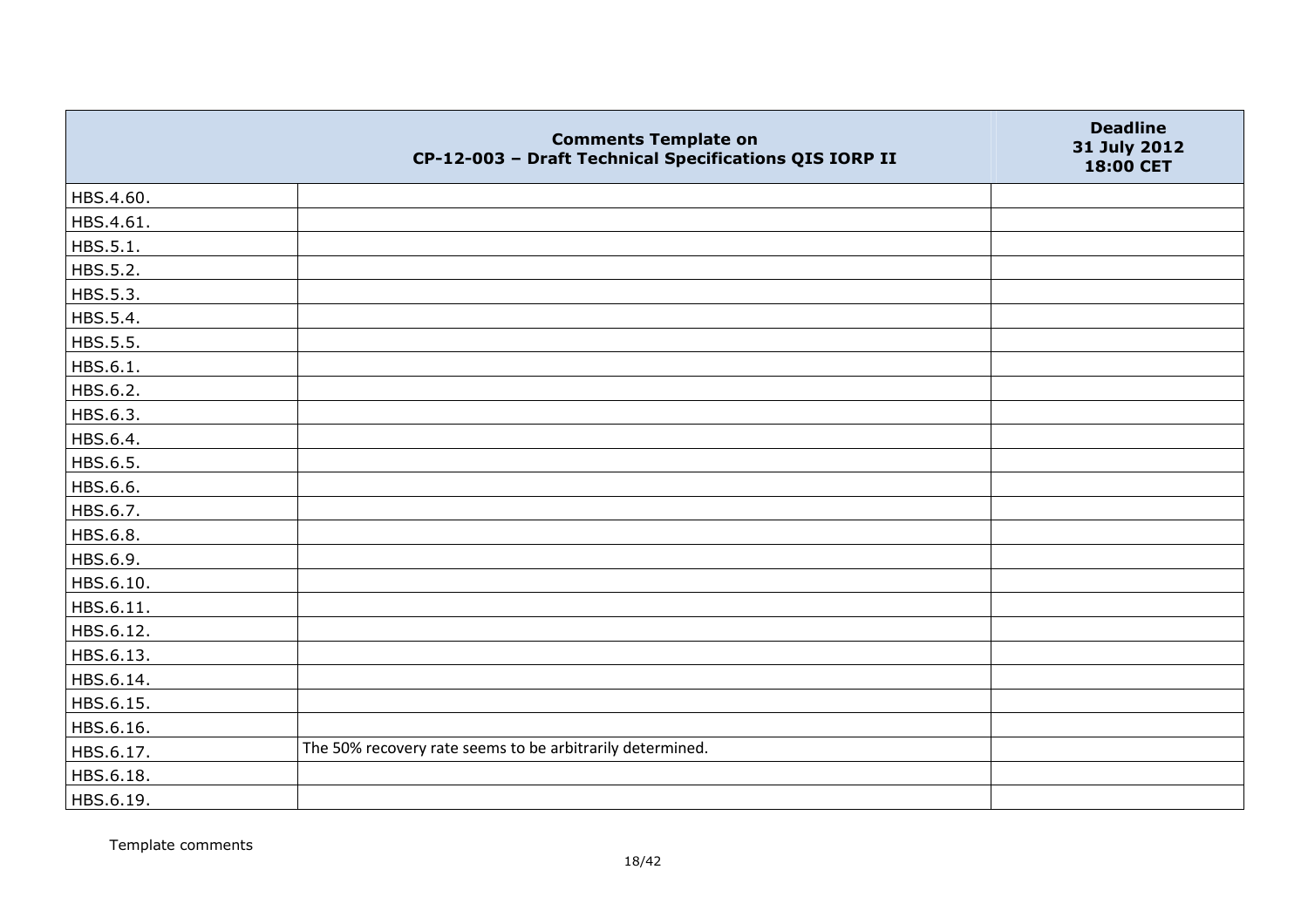|           | <b>Comments Template on</b><br>CP-12-003 - Draft Technical Specifications QIS IORP II | <b>Deadline</b><br>31 July 2012<br>18:00 CET |
|-----------|---------------------------------------------------------------------------------------|----------------------------------------------|
| HBS.4.60. |                                                                                       |                                              |
| HBS.4.61. |                                                                                       |                                              |
| HBS.5.1.  |                                                                                       |                                              |
| HBS.5.2.  |                                                                                       |                                              |
| HBS.5.3.  |                                                                                       |                                              |
| HBS.5.4.  |                                                                                       |                                              |
| HBS.5.5.  |                                                                                       |                                              |
| HBS.6.1.  |                                                                                       |                                              |
| HBS.6.2.  |                                                                                       |                                              |
| HBS.6.3.  |                                                                                       |                                              |
| HBS.6.4.  |                                                                                       |                                              |
| HBS.6.5.  |                                                                                       |                                              |
| HBS.6.6.  |                                                                                       |                                              |
| HBS.6.7.  |                                                                                       |                                              |
| HBS.6.8.  |                                                                                       |                                              |
| HBS.6.9.  |                                                                                       |                                              |
| HBS.6.10. |                                                                                       |                                              |
| HBS.6.11. |                                                                                       |                                              |
| HBS.6.12. |                                                                                       |                                              |
| HBS.6.13. |                                                                                       |                                              |
| HBS.6.14. |                                                                                       |                                              |
| HBS.6.15. |                                                                                       |                                              |
| HBS.6.16. |                                                                                       |                                              |
| HBS.6.17. | The 50% recovery rate seems to be arbitrarily determined.                             |                                              |
| HBS.6.18. |                                                                                       |                                              |
| HBS.6.19. |                                                                                       |                                              |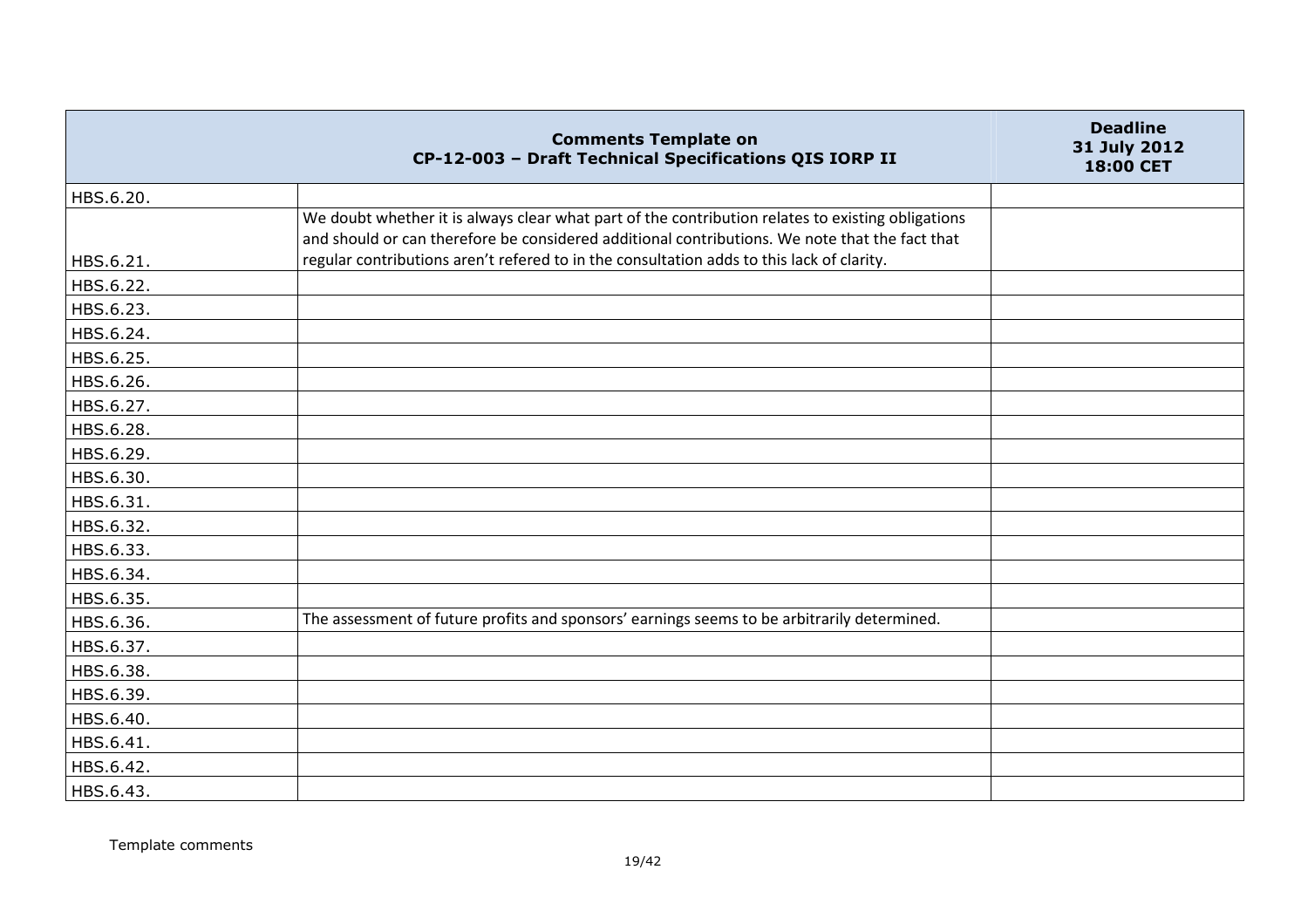|           | <b>Comments Template on</b><br>CP-12-003 - Draft Technical Specifications QIS IORP II                                                                                                               | <b>Deadline</b><br>31 July 2012<br>18:00 CET |
|-----------|-----------------------------------------------------------------------------------------------------------------------------------------------------------------------------------------------------|----------------------------------------------|
| HBS.6.20. |                                                                                                                                                                                                     |                                              |
|           | We doubt whether it is always clear what part of the contribution relates to existing obligations<br>and should or can therefore be considered additional contributions. We note that the fact that |                                              |
| HBS.6.21. | regular contributions aren't refered to in the consultation adds to this lack of clarity.                                                                                                           |                                              |
| HBS.6.22. |                                                                                                                                                                                                     |                                              |
| HBS.6.23. |                                                                                                                                                                                                     |                                              |
| HBS.6.24. |                                                                                                                                                                                                     |                                              |
| HBS.6.25. |                                                                                                                                                                                                     |                                              |
| HBS.6.26. |                                                                                                                                                                                                     |                                              |
| HBS.6.27. |                                                                                                                                                                                                     |                                              |
| HBS.6.28. |                                                                                                                                                                                                     |                                              |
| HBS.6.29. |                                                                                                                                                                                                     |                                              |
| HBS.6.30. |                                                                                                                                                                                                     |                                              |
| HBS.6.31. |                                                                                                                                                                                                     |                                              |
| HBS.6.32. |                                                                                                                                                                                                     |                                              |
| HBS.6.33. |                                                                                                                                                                                                     |                                              |
| HBS.6.34. |                                                                                                                                                                                                     |                                              |
| HBS.6.35. |                                                                                                                                                                                                     |                                              |
| HBS.6.36. | The assessment of future profits and sponsors' earnings seems to be arbitrarily determined.                                                                                                         |                                              |
| HBS.6.37. |                                                                                                                                                                                                     |                                              |
| HBS.6.38. |                                                                                                                                                                                                     |                                              |
| HBS.6.39. |                                                                                                                                                                                                     |                                              |
| HBS.6.40. |                                                                                                                                                                                                     |                                              |
| HBS.6.41. |                                                                                                                                                                                                     |                                              |
| HBS.6.42. |                                                                                                                                                                                                     |                                              |
| HBS.6.43. |                                                                                                                                                                                                     |                                              |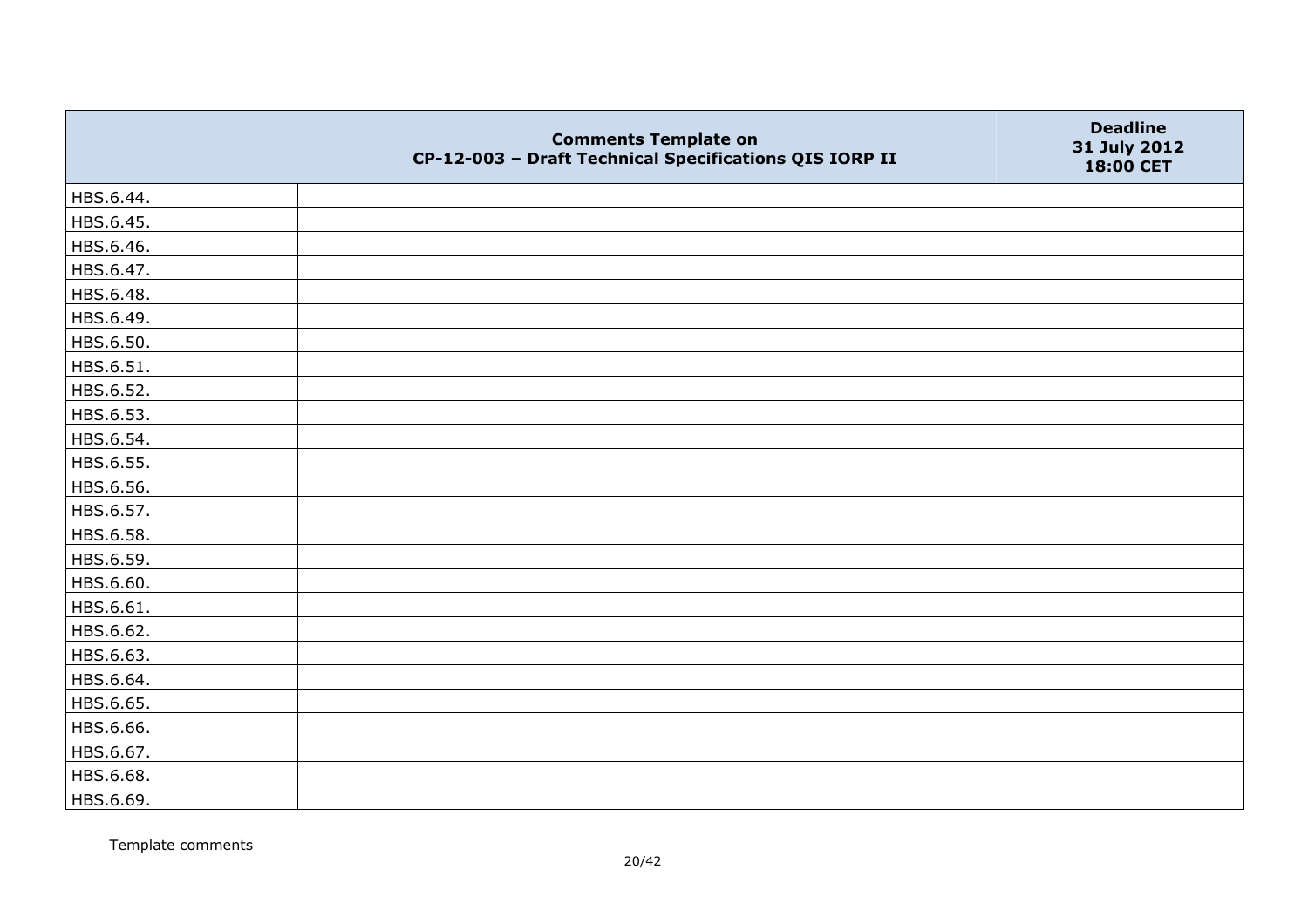|           | <b>Comments Template on</b><br>CP-12-003 - Draft Technical Specifications QIS IORP II | <b>Deadline</b><br>31 July 2012<br>18:00 CET |
|-----------|---------------------------------------------------------------------------------------|----------------------------------------------|
| HBS.6.44. |                                                                                       |                                              |
| HBS.6.45. |                                                                                       |                                              |
| HBS.6.46. |                                                                                       |                                              |
| HBS.6.47. |                                                                                       |                                              |
| HBS.6.48. |                                                                                       |                                              |
| HBS.6.49. |                                                                                       |                                              |
| HBS.6.50. |                                                                                       |                                              |
| HBS.6.51. |                                                                                       |                                              |
| HBS.6.52. |                                                                                       |                                              |
| HBS.6.53. |                                                                                       |                                              |
| HBS.6.54. |                                                                                       |                                              |
| HBS.6.55. |                                                                                       |                                              |
| HBS.6.56. |                                                                                       |                                              |
| HBS.6.57. |                                                                                       |                                              |
| HBS.6.58. |                                                                                       |                                              |
| HBS.6.59. |                                                                                       |                                              |
| HBS.6.60. |                                                                                       |                                              |
| HBS.6.61. |                                                                                       |                                              |
| HBS.6.62. |                                                                                       |                                              |
| HBS.6.63. |                                                                                       |                                              |
| HBS.6.64. |                                                                                       |                                              |
| HBS.6.65. |                                                                                       |                                              |
| HBS.6.66. |                                                                                       |                                              |
| HBS.6.67. |                                                                                       |                                              |
| HBS.6.68. |                                                                                       |                                              |
| HBS.6.69. |                                                                                       |                                              |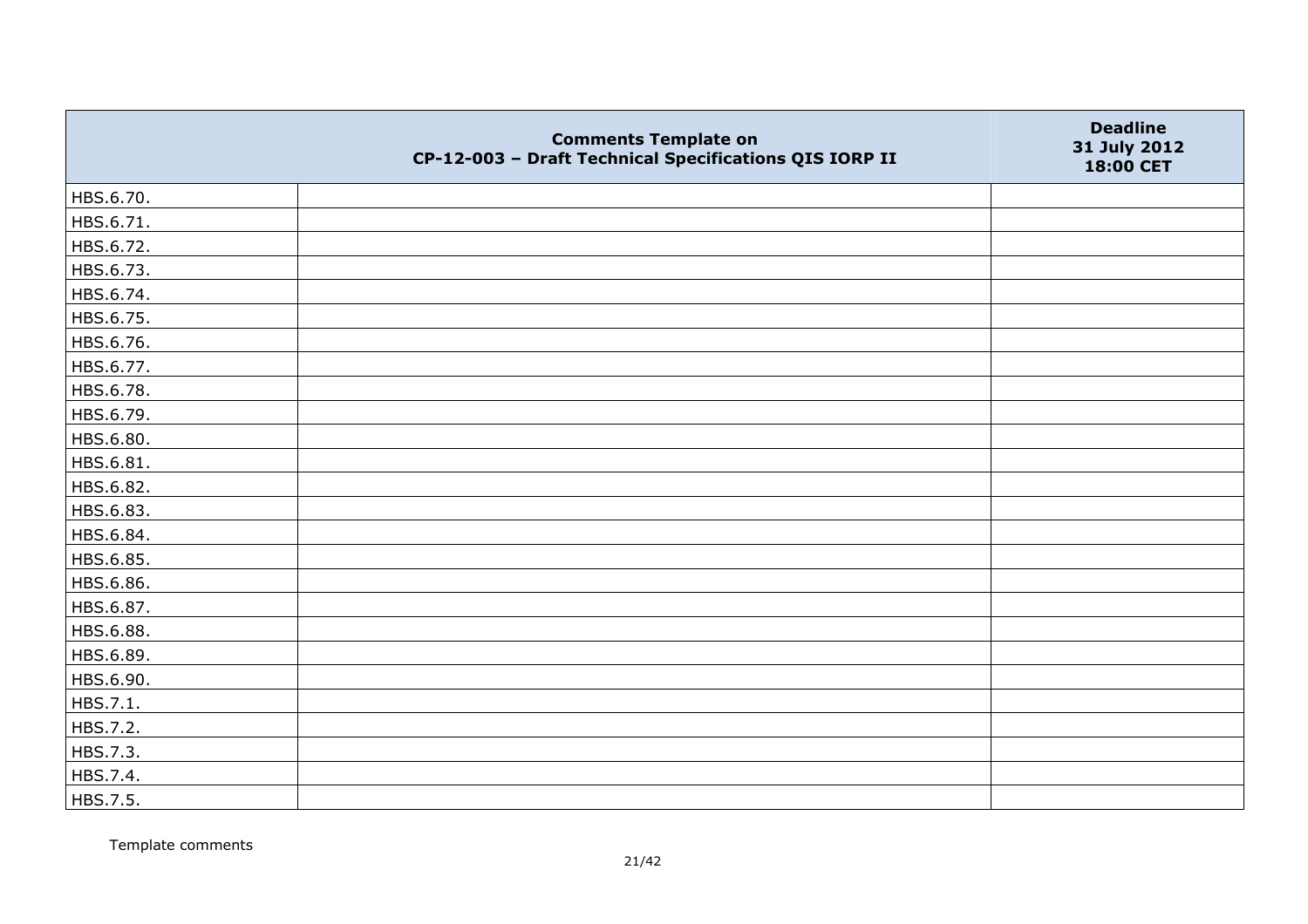|           | <b>Comments Template on</b><br>CP-12-003 - Draft Technical Specifications QIS IORP II | <b>Deadline</b><br>31 July 2012<br>18:00 CET |
|-----------|---------------------------------------------------------------------------------------|----------------------------------------------|
| HBS.6.70. |                                                                                       |                                              |
| HBS.6.71. |                                                                                       |                                              |
| HBS.6.72. |                                                                                       |                                              |
| HBS.6.73. |                                                                                       |                                              |
| HBS.6.74. |                                                                                       |                                              |
| HBS.6.75. |                                                                                       |                                              |
| HBS.6.76. |                                                                                       |                                              |
| HBS.6.77. |                                                                                       |                                              |
| HBS.6.78. |                                                                                       |                                              |
| HBS.6.79. |                                                                                       |                                              |
| HBS.6.80. |                                                                                       |                                              |
| HBS.6.81. |                                                                                       |                                              |
| HBS.6.82. |                                                                                       |                                              |
| HBS.6.83. |                                                                                       |                                              |
| HBS.6.84. |                                                                                       |                                              |
| HBS.6.85. |                                                                                       |                                              |
| HBS.6.86. |                                                                                       |                                              |
| HBS.6.87. |                                                                                       |                                              |
| HBS.6.88. |                                                                                       |                                              |
| HBS.6.89. |                                                                                       |                                              |
| HBS.6.90. |                                                                                       |                                              |
| HBS.7.1.  |                                                                                       |                                              |
| HBS.7.2.  |                                                                                       |                                              |
| HBS.7.3.  |                                                                                       |                                              |
| HBS.7.4.  |                                                                                       |                                              |
| HBS.7.5.  |                                                                                       |                                              |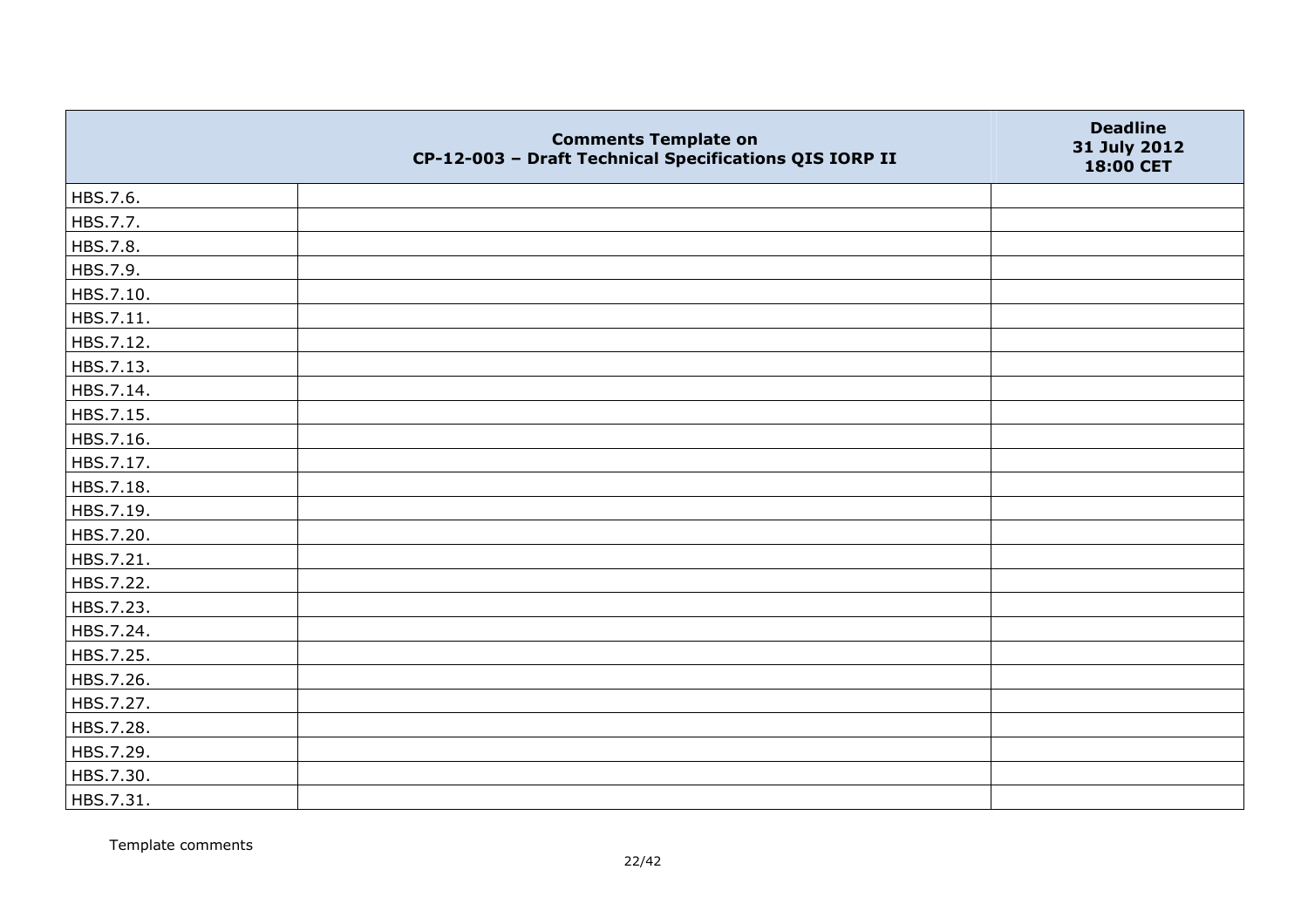|           | <b>Comments Template on</b><br>CP-12-003 - Draft Technical Specifications QIS IORP II | <b>Deadline</b><br>31 July 2012<br>18:00 CET |
|-----------|---------------------------------------------------------------------------------------|----------------------------------------------|
| HBS.7.6.  |                                                                                       |                                              |
| HBS.7.7.  |                                                                                       |                                              |
| HBS.7.8.  |                                                                                       |                                              |
| HBS.7.9.  |                                                                                       |                                              |
| HBS.7.10. |                                                                                       |                                              |
| HBS.7.11. |                                                                                       |                                              |
| HBS.7.12. |                                                                                       |                                              |
| HBS.7.13. |                                                                                       |                                              |
| HBS.7.14. |                                                                                       |                                              |
| HBS.7.15. |                                                                                       |                                              |
| HBS.7.16. |                                                                                       |                                              |
| HBS.7.17. |                                                                                       |                                              |
| HBS.7.18. |                                                                                       |                                              |
| HBS.7.19. |                                                                                       |                                              |
| HBS.7.20. |                                                                                       |                                              |
| HBS.7.21. |                                                                                       |                                              |
| HBS.7.22. |                                                                                       |                                              |
| HBS.7.23. |                                                                                       |                                              |
| HBS.7.24. |                                                                                       |                                              |
| HBS.7.25. |                                                                                       |                                              |
| HBS.7.26. |                                                                                       |                                              |
| HBS.7.27. |                                                                                       |                                              |
| HBS.7.28. |                                                                                       |                                              |
| HBS.7.29. |                                                                                       |                                              |
| HBS.7.30. |                                                                                       |                                              |
| HBS.7.31. |                                                                                       |                                              |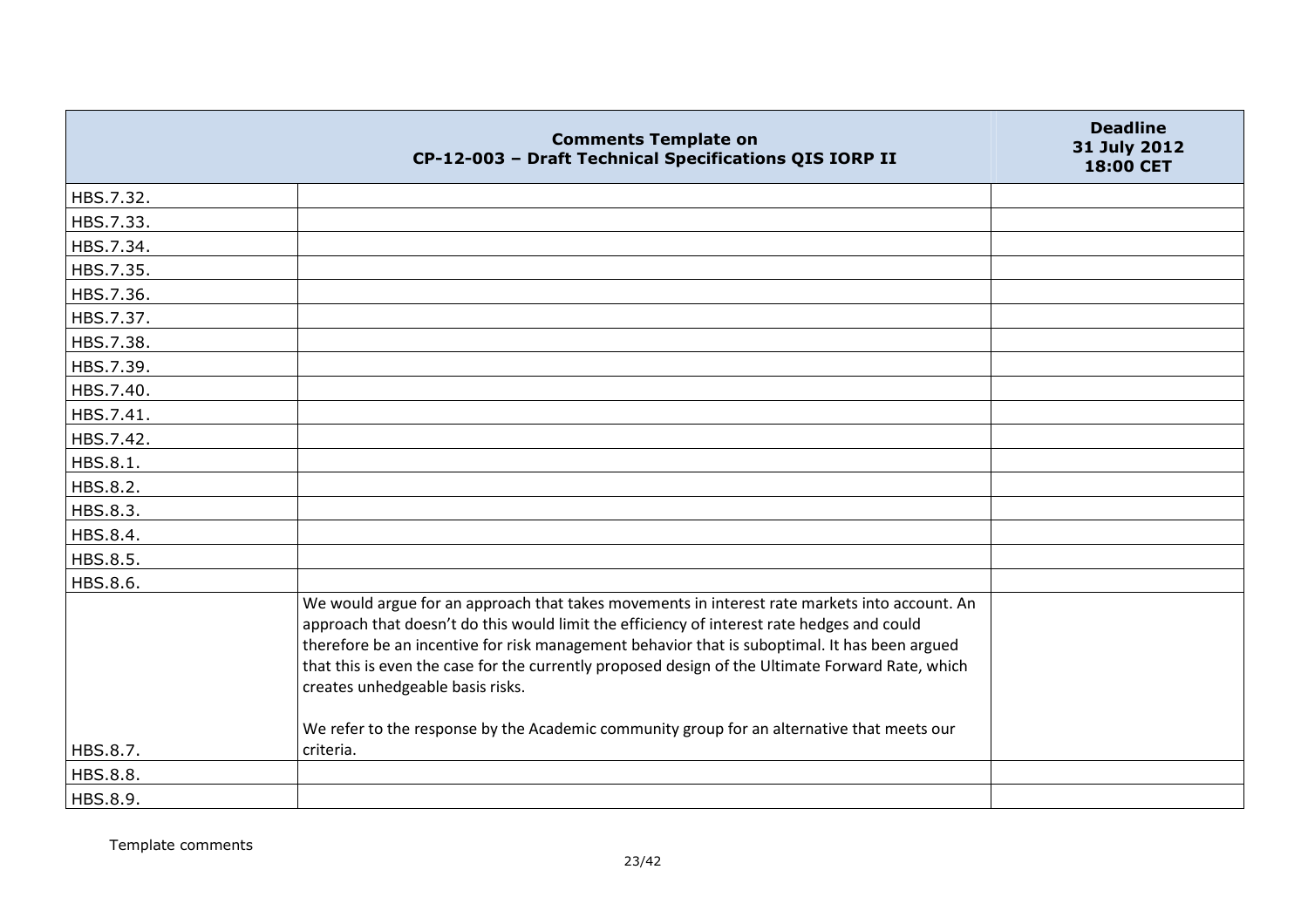|           | <b>Comments Template on</b><br>CP-12-003 - Draft Technical Specifications QIS IORP II                                                                                                                                                                                                                                                                                                                                                | <b>Deadline</b><br>31 July 2012<br>18:00 CET |
|-----------|--------------------------------------------------------------------------------------------------------------------------------------------------------------------------------------------------------------------------------------------------------------------------------------------------------------------------------------------------------------------------------------------------------------------------------------|----------------------------------------------|
| HBS.7.32. |                                                                                                                                                                                                                                                                                                                                                                                                                                      |                                              |
| HBS.7.33. |                                                                                                                                                                                                                                                                                                                                                                                                                                      |                                              |
| HBS.7.34. |                                                                                                                                                                                                                                                                                                                                                                                                                                      |                                              |
| HBS.7.35. |                                                                                                                                                                                                                                                                                                                                                                                                                                      |                                              |
| HBS.7.36. |                                                                                                                                                                                                                                                                                                                                                                                                                                      |                                              |
| HBS.7.37. |                                                                                                                                                                                                                                                                                                                                                                                                                                      |                                              |
| HBS.7.38. |                                                                                                                                                                                                                                                                                                                                                                                                                                      |                                              |
| HBS.7.39. |                                                                                                                                                                                                                                                                                                                                                                                                                                      |                                              |
| HBS.7.40. |                                                                                                                                                                                                                                                                                                                                                                                                                                      |                                              |
| HBS.7.41. |                                                                                                                                                                                                                                                                                                                                                                                                                                      |                                              |
| HBS.7.42. |                                                                                                                                                                                                                                                                                                                                                                                                                                      |                                              |
| HBS.8.1.  |                                                                                                                                                                                                                                                                                                                                                                                                                                      |                                              |
| HBS.8.2.  |                                                                                                                                                                                                                                                                                                                                                                                                                                      |                                              |
| HBS.8.3.  |                                                                                                                                                                                                                                                                                                                                                                                                                                      |                                              |
| HBS.8.4.  |                                                                                                                                                                                                                                                                                                                                                                                                                                      |                                              |
| HBS.8.5.  |                                                                                                                                                                                                                                                                                                                                                                                                                                      |                                              |
| HBS.8.6.  |                                                                                                                                                                                                                                                                                                                                                                                                                                      |                                              |
|           | We would argue for an approach that takes movements in interest rate markets into account. An<br>approach that doesn't do this would limit the efficiency of interest rate hedges and could<br>therefore be an incentive for risk management behavior that is suboptimal. It has been argued<br>that this is even the case for the currently proposed design of the Ultimate Forward Rate, which<br>creates unhedgeable basis risks. |                                              |
| HBS.8.7.  | We refer to the response by the Academic community group for an alternative that meets our<br>criteria.                                                                                                                                                                                                                                                                                                                              |                                              |
| HBS.8.8.  |                                                                                                                                                                                                                                                                                                                                                                                                                                      |                                              |
| HBS.8.9.  |                                                                                                                                                                                                                                                                                                                                                                                                                                      |                                              |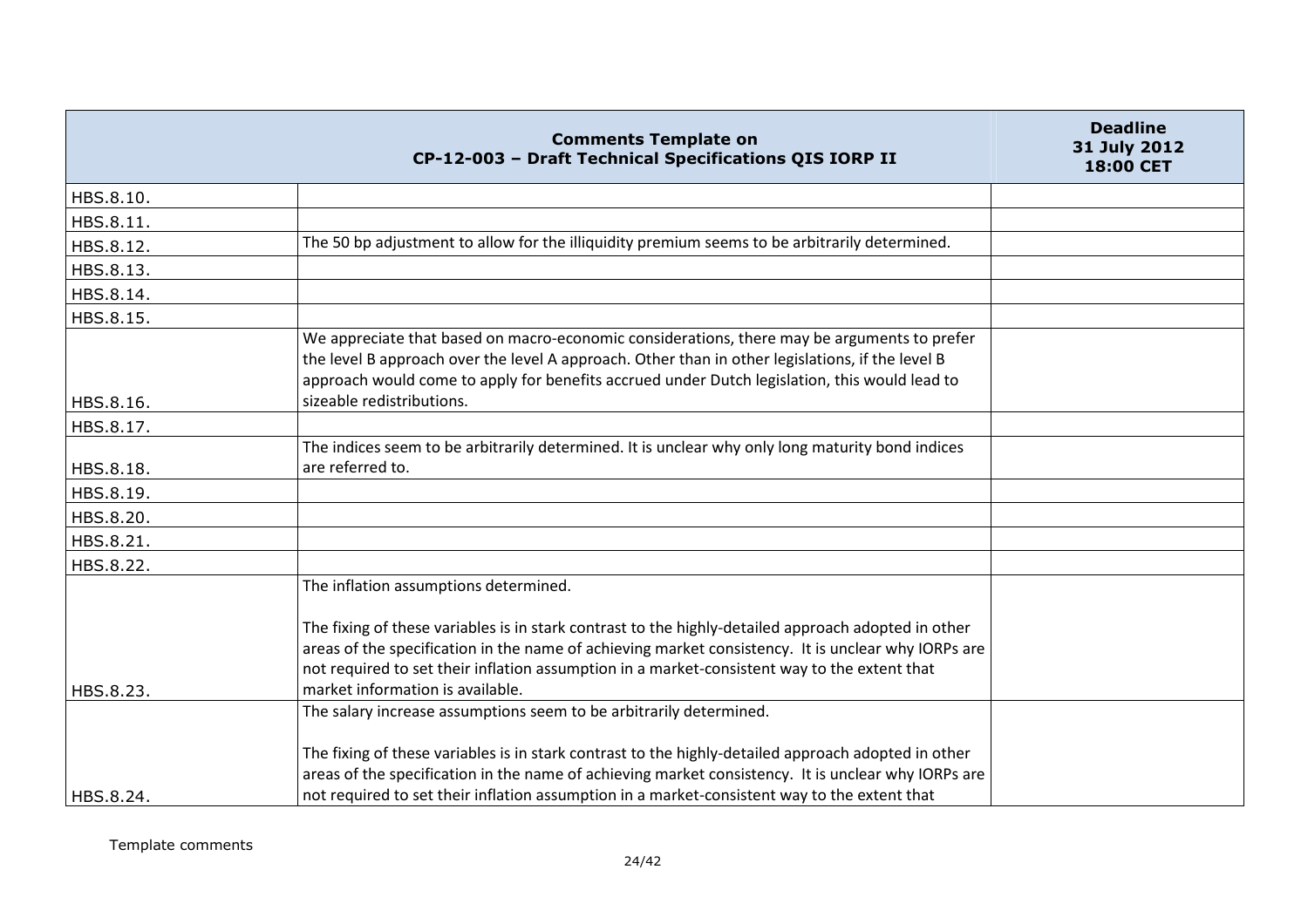|           | <b>Comments Template on</b><br>CP-12-003 - Draft Technical Specifications QIS IORP II                                                                                                                                                                                                                                                          | <b>Deadline</b><br>31 July 2012<br>18:00 CET |
|-----------|------------------------------------------------------------------------------------------------------------------------------------------------------------------------------------------------------------------------------------------------------------------------------------------------------------------------------------------------|----------------------------------------------|
| HBS.8.10. |                                                                                                                                                                                                                                                                                                                                                |                                              |
| HBS.8.11. |                                                                                                                                                                                                                                                                                                                                                |                                              |
| HBS.8.12. | The 50 bp adjustment to allow for the illiquidity premium seems to be arbitrarily determined.                                                                                                                                                                                                                                                  |                                              |
| HBS.8.13. |                                                                                                                                                                                                                                                                                                                                                |                                              |
| HBS.8.14. |                                                                                                                                                                                                                                                                                                                                                |                                              |
| HBS.8.15. |                                                                                                                                                                                                                                                                                                                                                |                                              |
| HBS.8.16. | We appreciate that based on macro-economic considerations, there may be arguments to prefer<br>the level B approach over the level A approach. Other than in other legislations, if the level B<br>approach would come to apply for benefits accrued under Dutch legislation, this would lead to<br>sizeable redistributions.                  |                                              |
| HBS.8.17. |                                                                                                                                                                                                                                                                                                                                                |                                              |
| HBS.8.18. | The indices seem to be arbitrarily determined. It is unclear why only long maturity bond indices<br>are referred to.                                                                                                                                                                                                                           |                                              |
| HBS.8.19. |                                                                                                                                                                                                                                                                                                                                                |                                              |
| HBS.8.20. |                                                                                                                                                                                                                                                                                                                                                |                                              |
| HBS.8.21. |                                                                                                                                                                                                                                                                                                                                                |                                              |
| HBS.8.22. |                                                                                                                                                                                                                                                                                                                                                |                                              |
|           | The inflation assumptions determined.                                                                                                                                                                                                                                                                                                          |                                              |
| HBS.8.23. | The fixing of these variables is in stark contrast to the highly-detailed approach adopted in other<br>areas of the specification in the name of achieving market consistency. It is unclear why IORPs are<br>not required to set their inflation assumption in a market-consistent way to the extent that<br>market information is available. |                                              |
|           | The salary increase assumptions seem to be arbitrarily determined.                                                                                                                                                                                                                                                                             |                                              |
|           | The fixing of these variables is in stark contrast to the highly-detailed approach adopted in other<br>areas of the specification in the name of achieving market consistency. It is unclear why IORPs are                                                                                                                                     |                                              |
| HBS.8.24. | not required to set their inflation assumption in a market-consistent way to the extent that                                                                                                                                                                                                                                                   |                                              |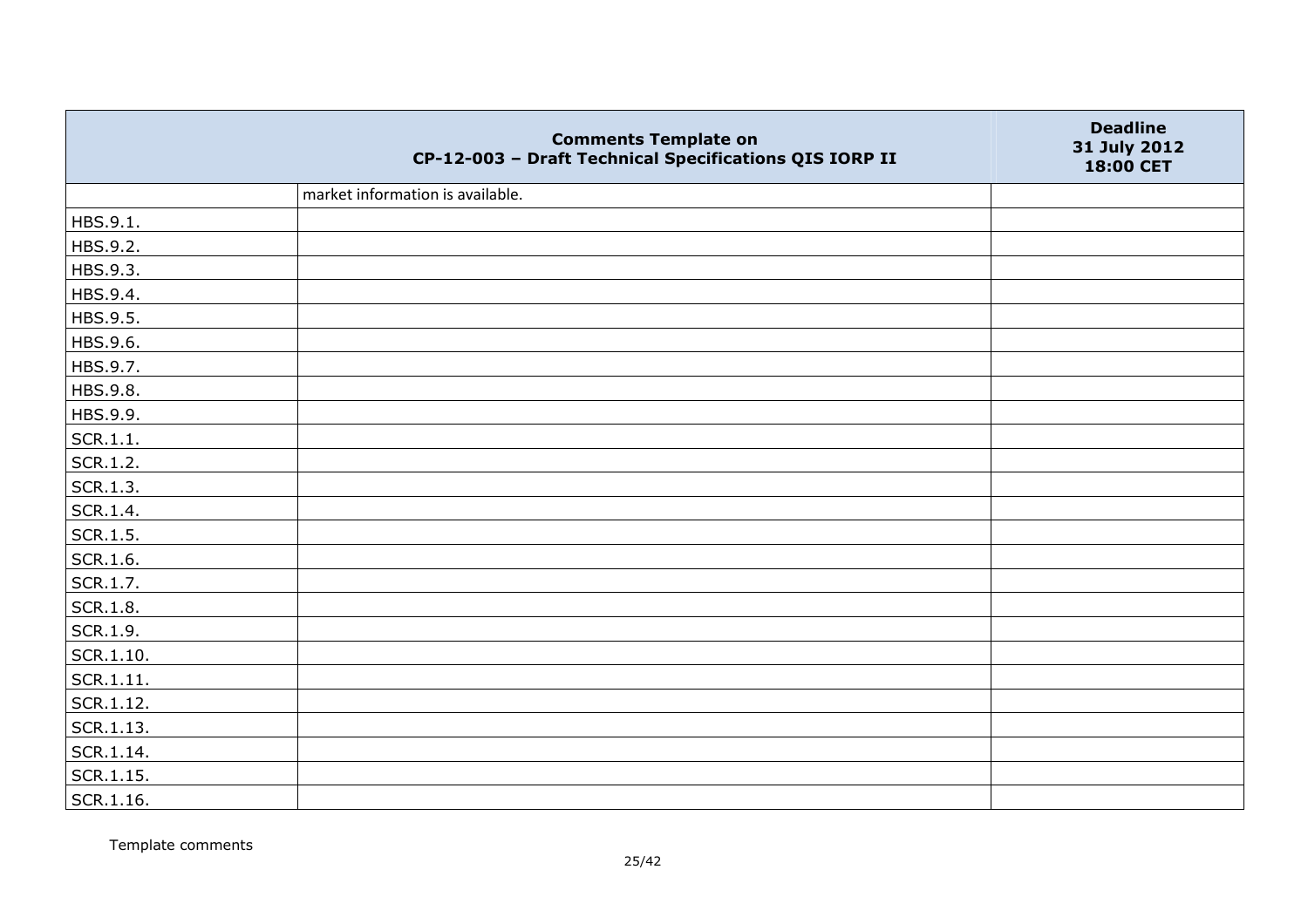|           | <b>Comments Template on</b><br>CP-12-003 - Draft Technical Specifications QIS IORP II | <b>Deadline</b><br>31 July 2012<br>18:00 CET |
|-----------|---------------------------------------------------------------------------------------|----------------------------------------------|
|           | market information is available.                                                      |                                              |
| HBS.9.1.  |                                                                                       |                                              |
| HBS.9.2.  |                                                                                       |                                              |
| HBS.9.3.  |                                                                                       |                                              |
| HBS.9.4.  |                                                                                       |                                              |
| HBS.9.5.  |                                                                                       |                                              |
| HBS.9.6.  |                                                                                       |                                              |
| HBS.9.7.  |                                                                                       |                                              |
| HBS.9.8.  |                                                                                       |                                              |
| HBS.9.9.  |                                                                                       |                                              |
| SCR.1.1.  |                                                                                       |                                              |
| SCR.1.2.  |                                                                                       |                                              |
| SCR.1.3.  |                                                                                       |                                              |
| SCR.1.4.  |                                                                                       |                                              |
| SCR.1.5.  |                                                                                       |                                              |
| SCR.1.6.  |                                                                                       |                                              |
| SCR.1.7.  |                                                                                       |                                              |
| SCR.1.8.  |                                                                                       |                                              |
| SCR.1.9.  |                                                                                       |                                              |
| SCR.1.10. |                                                                                       |                                              |
| SCR.1.11. |                                                                                       |                                              |
| SCR.1.12. |                                                                                       |                                              |
| SCR.1.13. |                                                                                       |                                              |
| SCR.1.14. |                                                                                       |                                              |
| SCR.1.15. |                                                                                       |                                              |
| SCR.1.16. |                                                                                       |                                              |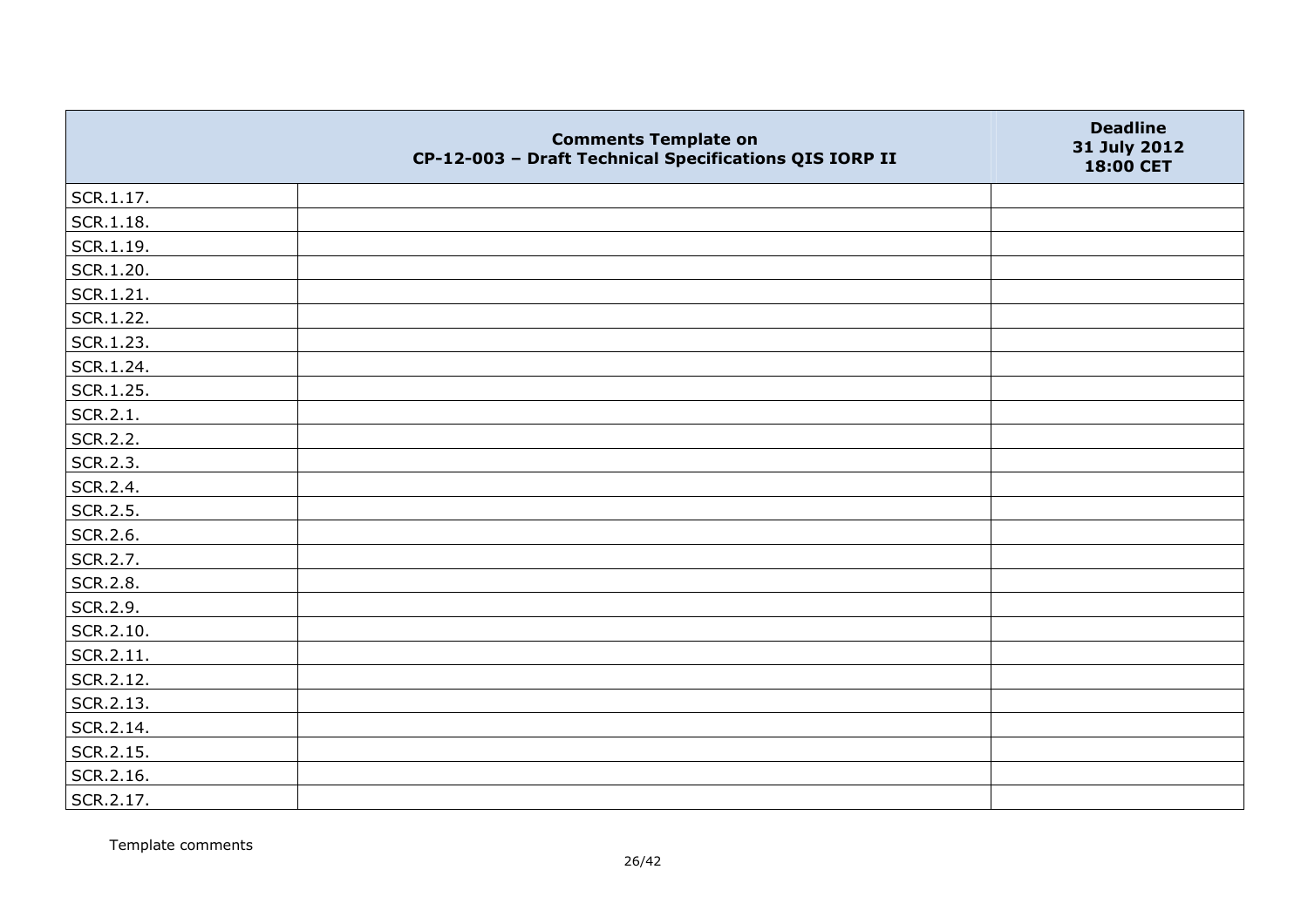|           | <b>Comments Template on</b><br>CP-12-003 - Draft Technical Specifications QIS IORP II | <b>Deadline</b><br>31 July 2012<br>18:00 CET |
|-----------|---------------------------------------------------------------------------------------|----------------------------------------------|
| SCR.1.17. |                                                                                       |                                              |
| SCR.1.18. |                                                                                       |                                              |
| SCR.1.19. |                                                                                       |                                              |
| SCR.1.20. |                                                                                       |                                              |
| SCR.1.21. |                                                                                       |                                              |
| SCR.1.22. |                                                                                       |                                              |
| SCR.1.23. |                                                                                       |                                              |
| SCR.1.24. |                                                                                       |                                              |
| SCR.1.25. |                                                                                       |                                              |
| SCR.2.1.  |                                                                                       |                                              |
| SCR.2.2.  |                                                                                       |                                              |
| SCR.2.3.  |                                                                                       |                                              |
| SCR.2.4.  |                                                                                       |                                              |
| SCR.2.5.  |                                                                                       |                                              |
| SCR.2.6.  |                                                                                       |                                              |
| SCR.2.7.  |                                                                                       |                                              |
| SCR.2.8.  |                                                                                       |                                              |
| SCR.2.9.  |                                                                                       |                                              |
| SCR.2.10. |                                                                                       |                                              |
| SCR.2.11. |                                                                                       |                                              |
| SCR.2.12. |                                                                                       |                                              |
| SCR.2.13. |                                                                                       |                                              |
| SCR.2.14. |                                                                                       |                                              |
| SCR.2.15. |                                                                                       |                                              |
| SCR.2.16. |                                                                                       |                                              |
| SCR.2.17. |                                                                                       |                                              |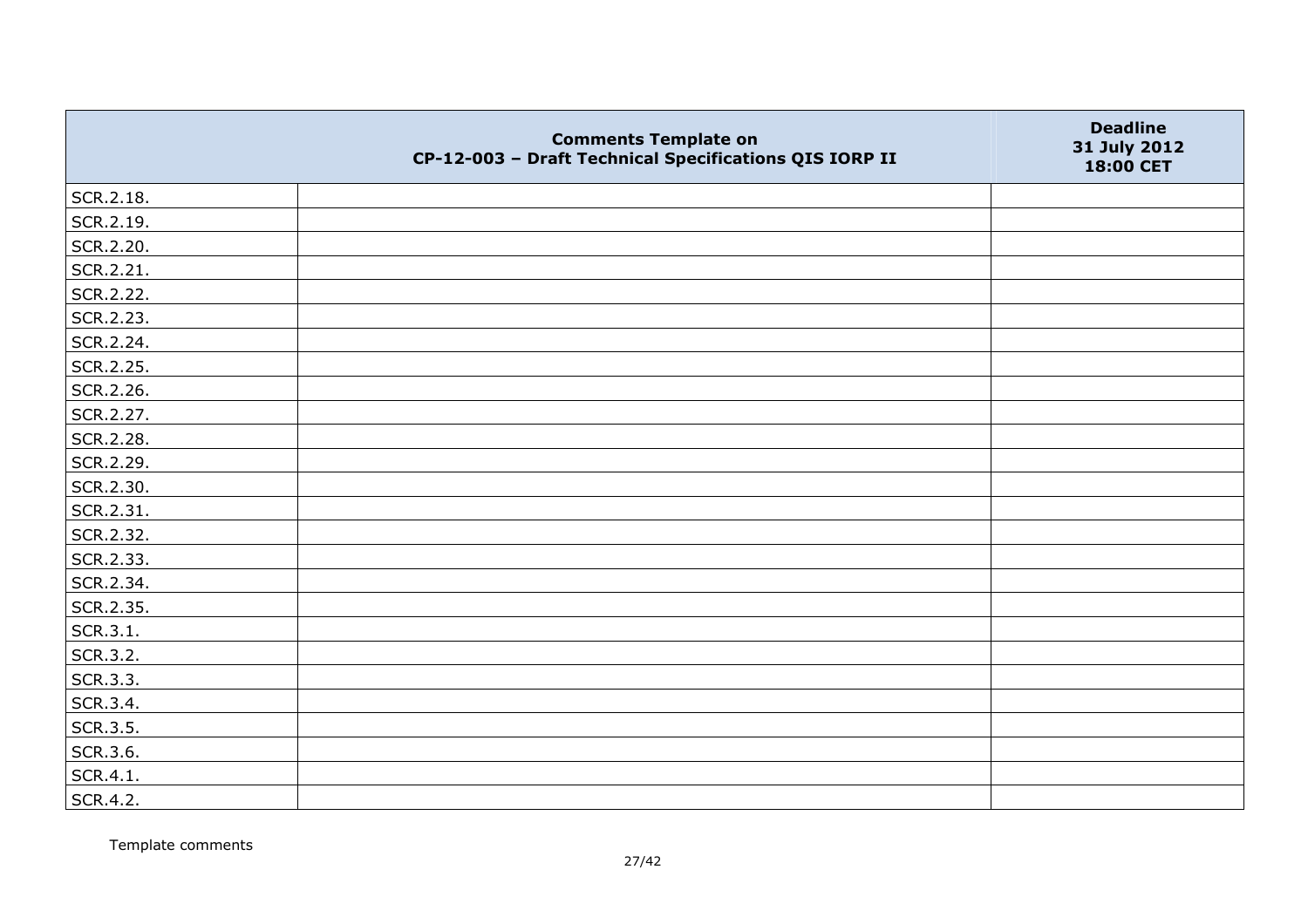|           | <b>Comments Template on</b><br>CP-12-003 - Draft Technical Specifications QIS IORP II | <b>Deadline</b><br>31 July 2012<br>18:00 CET |
|-----------|---------------------------------------------------------------------------------------|----------------------------------------------|
| SCR.2.18. |                                                                                       |                                              |
| SCR.2.19. |                                                                                       |                                              |
| SCR.2.20. |                                                                                       |                                              |
| SCR.2.21. |                                                                                       |                                              |
| SCR.2.22. |                                                                                       |                                              |
| SCR.2.23. |                                                                                       |                                              |
| SCR.2.24. |                                                                                       |                                              |
| SCR.2.25. |                                                                                       |                                              |
| SCR.2.26. |                                                                                       |                                              |
| SCR.2.27. |                                                                                       |                                              |
| SCR.2.28. |                                                                                       |                                              |
| SCR.2.29. |                                                                                       |                                              |
| SCR.2.30. |                                                                                       |                                              |
| SCR.2.31. |                                                                                       |                                              |
| SCR.2.32. |                                                                                       |                                              |
| SCR.2.33. |                                                                                       |                                              |
| SCR.2.34. |                                                                                       |                                              |
| SCR.2.35. |                                                                                       |                                              |
| SCR.3.1.  |                                                                                       |                                              |
| SCR.3.2.  |                                                                                       |                                              |
| SCR.3.3.  |                                                                                       |                                              |
| SCR.3.4.  |                                                                                       |                                              |
| SCR.3.5.  |                                                                                       |                                              |
| SCR.3.6.  |                                                                                       |                                              |
| SCR.4.1.  |                                                                                       |                                              |
| SCR.4.2.  |                                                                                       |                                              |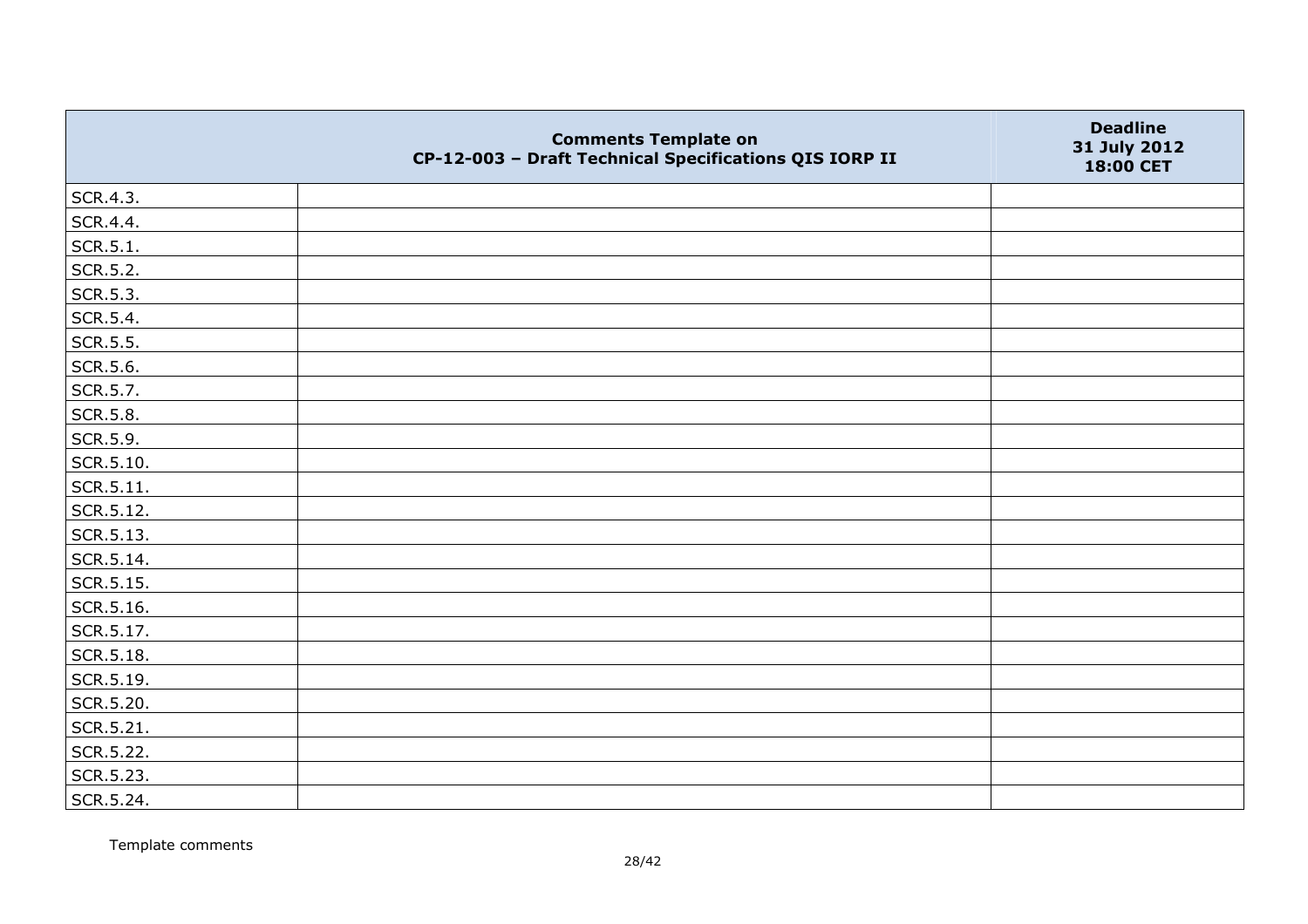|           | <b>Comments Template on</b><br>CP-12-003 - Draft Technical Specifications QIS IORP II | <b>Deadline</b><br>31 July 2012<br>18:00 CET |
|-----------|---------------------------------------------------------------------------------------|----------------------------------------------|
| SCR.4.3.  |                                                                                       |                                              |
| SCR.4.4.  |                                                                                       |                                              |
| SCR.5.1.  |                                                                                       |                                              |
| SCR.5.2.  |                                                                                       |                                              |
| SCR.5.3.  |                                                                                       |                                              |
| SCR.5.4.  |                                                                                       |                                              |
| SCR.5.5.  |                                                                                       |                                              |
| SCR.5.6.  |                                                                                       |                                              |
| SCR.5.7.  |                                                                                       |                                              |
| SCR.5.8.  |                                                                                       |                                              |
| SCR.5.9.  |                                                                                       |                                              |
| SCR.5.10. |                                                                                       |                                              |
| SCR.5.11. |                                                                                       |                                              |
| SCR.5.12. |                                                                                       |                                              |
| SCR.5.13. |                                                                                       |                                              |
| SCR.5.14. |                                                                                       |                                              |
| SCR.5.15. |                                                                                       |                                              |
| SCR.5.16. |                                                                                       |                                              |
| SCR.5.17. |                                                                                       |                                              |
| SCR.5.18. |                                                                                       |                                              |
| SCR.5.19. |                                                                                       |                                              |
| SCR.5.20. |                                                                                       |                                              |
| SCR.5.21. |                                                                                       |                                              |
| SCR.5.22. |                                                                                       |                                              |
| SCR.5.23. |                                                                                       |                                              |
| SCR.5.24. |                                                                                       |                                              |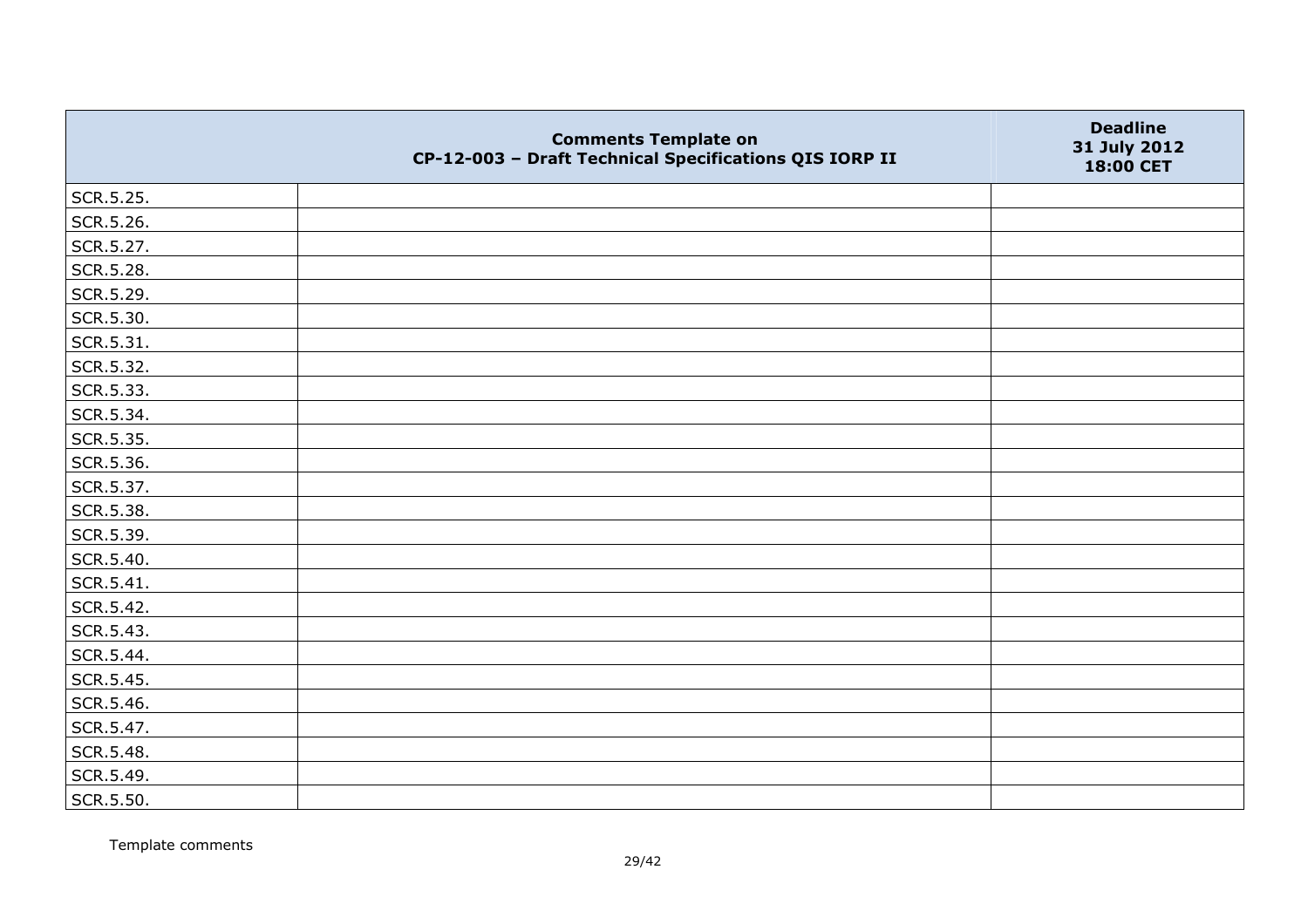|           | <b>Comments Template on</b><br>CP-12-003 - Draft Technical Specifications QIS IORP II | <b>Deadline</b><br>31 July 2012<br>18:00 CET |
|-----------|---------------------------------------------------------------------------------------|----------------------------------------------|
| SCR.5.25. |                                                                                       |                                              |
| SCR.5.26. |                                                                                       |                                              |
| SCR.5.27. |                                                                                       |                                              |
| SCR.5.28. |                                                                                       |                                              |
| SCR.5.29. |                                                                                       |                                              |
| SCR.5.30. |                                                                                       |                                              |
| SCR.5.31. |                                                                                       |                                              |
| SCR.5.32. |                                                                                       |                                              |
| SCR.5.33. |                                                                                       |                                              |
| SCR.5.34. |                                                                                       |                                              |
| SCR.5.35. |                                                                                       |                                              |
| SCR.5.36. |                                                                                       |                                              |
| SCR.5.37. |                                                                                       |                                              |
| SCR.5.38. |                                                                                       |                                              |
| SCR.5.39. |                                                                                       |                                              |
| SCR.5.40. |                                                                                       |                                              |
| SCR.5.41. |                                                                                       |                                              |
| SCR.5.42. |                                                                                       |                                              |
| SCR.5.43. |                                                                                       |                                              |
| SCR.5.44. |                                                                                       |                                              |
| SCR.5.45. |                                                                                       |                                              |
| SCR.5.46. |                                                                                       |                                              |
| SCR.5.47. |                                                                                       |                                              |
| SCR.5.48. |                                                                                       |                                              |
| SCR.5.49. |                                                                                       |                                              |
| SCR.5.50. |                                                                                       |                                              |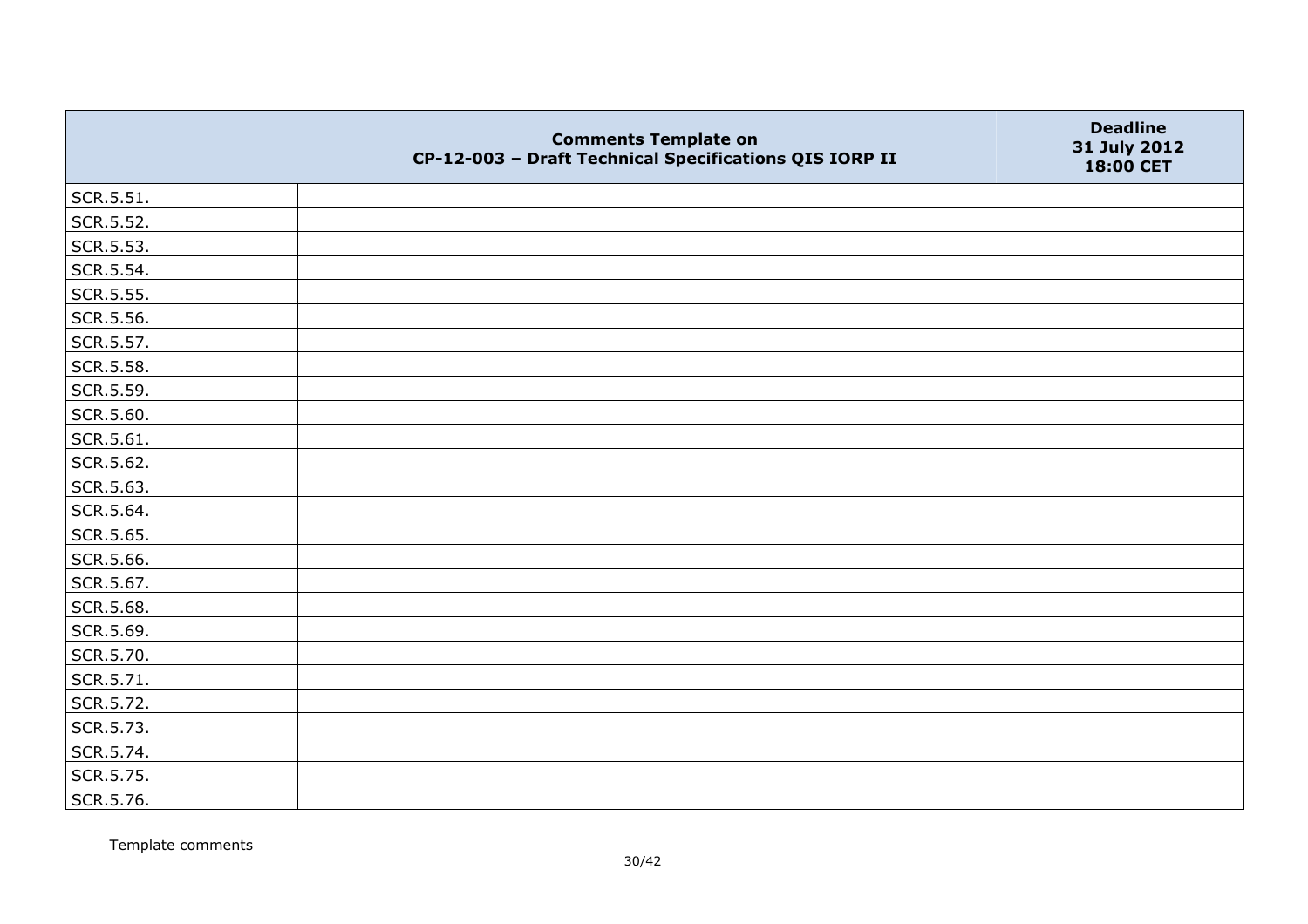|           | <b>Comments Template on</b><br>CP-12-003 - Draft Technical Specifications QIS IORP II | <b>Deadline</b><br>31 July 2012<br>18:00 CET |
|-----------|---------------------------------------------------------------------------------------|----------------------------------------------|
| SCR.5.51. |                                                                                       |                                              |
| SCR.5.52. |                                                                                       |                                              |
| SCR.5.53. |                                                                                       |                                              |
| SCR.5.54. |                                                                                       |                                              |
| SCR.5.55. |                                                                                       |                                              |
| SCR.5.56. |                                                                                       |                                              |
| SCR.5.57. |                                                                                       |                                              |
| SCR.5.58. |                                                                                       |                                              |
| SCR.5.59. |                                                                                       |                                              |
| SCR.5.60. |                                                                                       |                                              |
| SCR.5.61. |                                                                                       |                                              |
| SCR.5.62. |                                                                                       |                                              |
| SCR.5.63. |                                                                                       |                                              |
| SCR.5.64. |                                                                                       |                                              |
| SCR.5.65. |                                                                                       |                                              |
| SCR.5.66. |                                                                                       |                                              |
| SCR.5.67. |                                                                                       |                                              |
| SCR.5.68. |                                                                                       |                                              |
| SCR.5.69. |                                                                                       |                                              |
| SCR.5.70. |                                                                                       |                                              |
| SCR.5.71. |                                                                                       |                                              |
| SCR.5.72. |                                                                                       |                                              |
| SCR.5.73. |                                                                                       |                                              |
| SCR.5.74. |                                                                                       |                                              |
| SCR.5.75. |                                                                                       |                                              |
| SCR.5.76. |                                                                                       |                                              |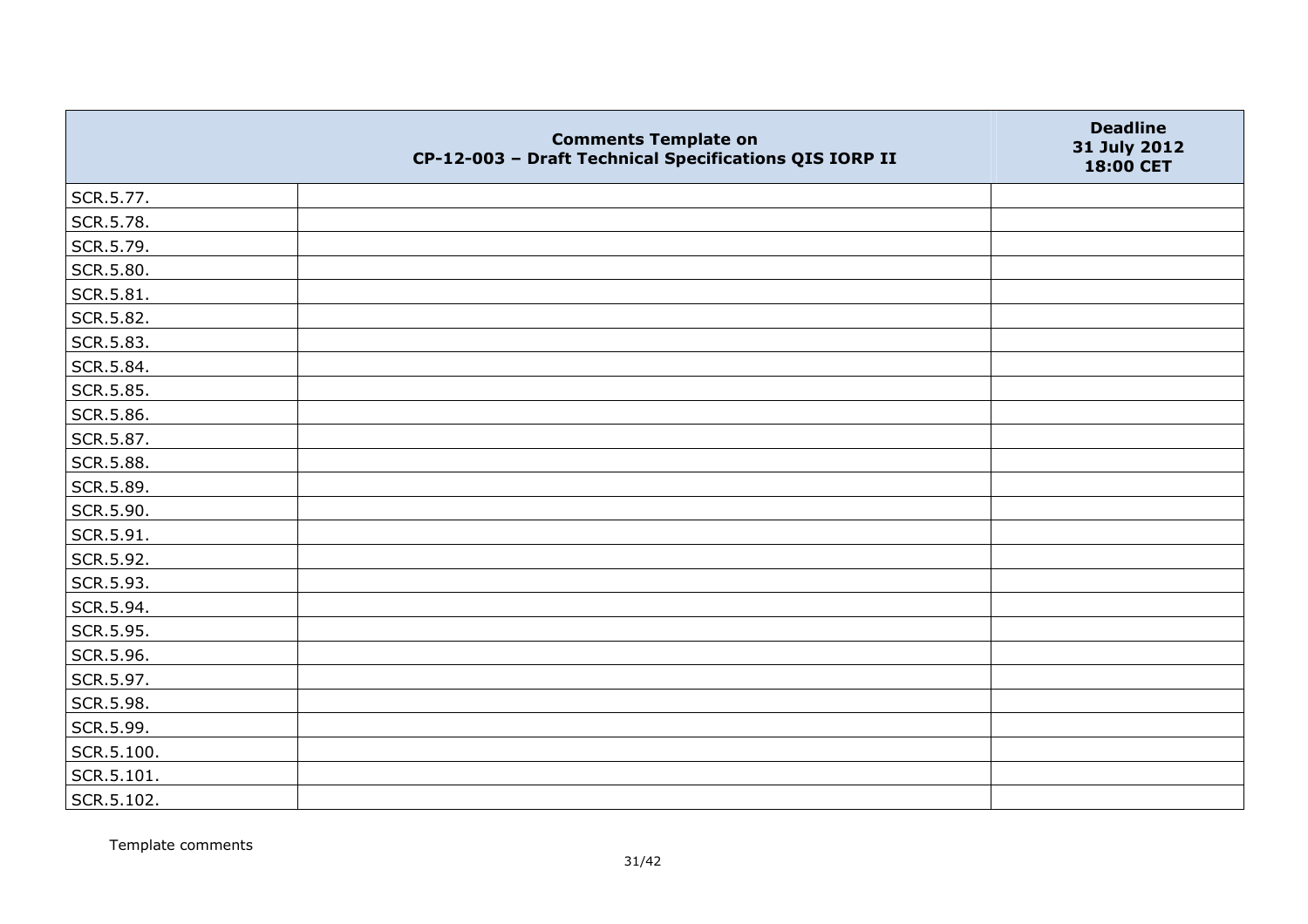|            | <b>Comments Template on</b><br>CP-12-003 - Draft Technical Specifications QIS IORP II | <b>Deadline</b><br>31 July 2012<br>18:00 CET |
|------------|---------------------------------------------------------------------------------------|----------------------------------------------|
| SCR.5.77.  |                                                                                       |                                              |
| SCR.5.78.  |                                                                                       |                                              |
| SCR.5.79.  |                                                                                       |                                              |
| SCR.5.80.  |                                                                                       |                                              |
| SCR.5.81.  |                                                                                       |                                              |
| SCR.5.82.  |                                                                                       |                                              |
| SCR.5.83.  |                                                                                       |                                              |
| SCR.5.84.  |                                                                                       |                                              |
| SCR.5.85.  |                                                                                       |                                              |
| SCR.5.86.  |                                                                                       |                                              |
| SCR.5.87.  |                                                                                       |                                              |
| SCR.5.88.  |                                                                                       |                                              |
| SCR.5.89.  |                                                                                       |                                              |
| SCR.5.90.  |                                                                                       |                                              |
| SCR.5.91.  |                                                                                       |                                              |
| SCR.5.92.  |                                                                                       |                                              |
| SCR.5.93.  |                                                                                       |                                              |
| SCR.5.94.  |                                                                                       |                                              |
| SCR.5.95.  |                                                                                       |                                              |
| SCR.5.96.  |                                                                                       |                                              |
| SCR.5.97.  |                                                                                       |                                              |
| SCR.5.98.  |                                                                                       |                                              |
| SCR.5.99.  |                                                                                       |                                              |
| SCR.5.100. |                                                                                       |                                              |
| SCR.5.101. |                                                                                       |                                              |
| SCR.5.102. |                                                                                       |                                              |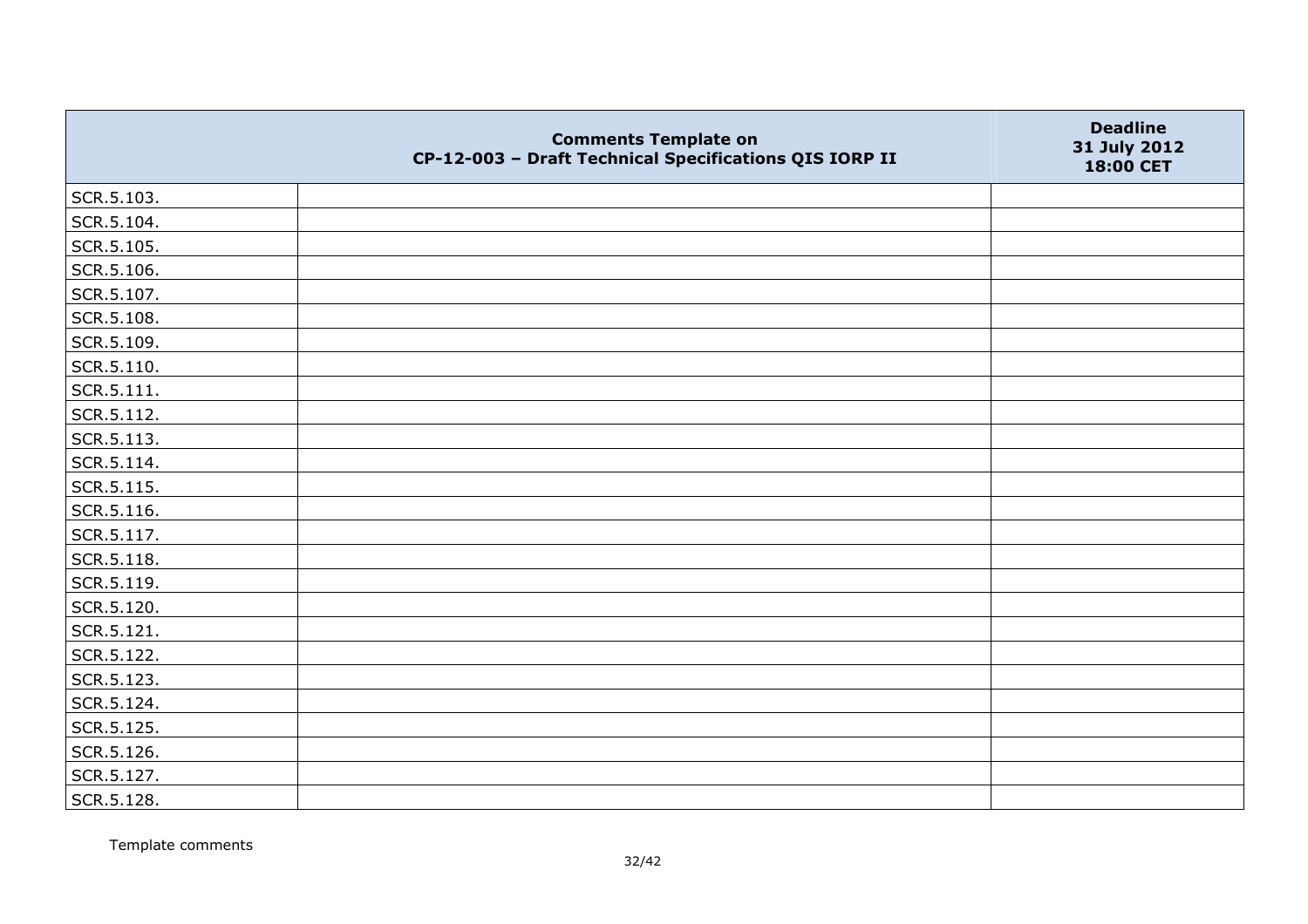|            | <b>Comments Template on</b><br>CP-12-003 - Draft Technical Specifications QIS IORP II | <b>Deadline</b><br>31 July 2012<br>18:00 CET |
|------------|---------------------------------------------------------------------------------------|----------------------------------------------|
| SCR.5.103. |                                                                                       |                                              |
| SCR.5.104. |                                                                                       |                                              |
| SCR.5.105. |                                                                                       |                                              |
| SCR.5.106. |                                                                                       |                                              |
| SCR.5.107. |                                                                                       |                                              |
| SCR.5.108. |                                                                                       |                                              |
| SCR.5.109. |                                                                                       |                                              |
| SCR.5.110. |                                                                                       |                                              |
| SCR.5.111. |                                                                                       |                                              |
| SCR.5.112. |                                                                                       |                                              |
| SCR.5.113. |                                                                                       |                                              |
| SCR.5.114. |                                                                                       |                                              |
| SCR.5.115. |                                                                                       |                                              |
| SCR.5.116. |                                                                                       |                                              |
| SCR.5.117. |                                                                                       |                                              |
| SCR.5.118. |                                                                                       |                                              |
| SCR.5.119. |                                                                                       |                                              |
| SCR.5.120. |                                                                                       |                                              |
| SCR.5.121. |                                                                                       |                                              |
| SCR.5.122. |                                                                                       |                                              |
| SCR.5.123. |                                                                                       |                                              |
| SCR.5.124. |                                                                                       |                                              |
| SCR.5.125. |                                                                                       |                                              |
| SCR.5.126. |                                                                                       |                                              |
| SCR.5.127. |                                                                                       |                                              |
| SCR.5.128. |                                                                                       |                                              |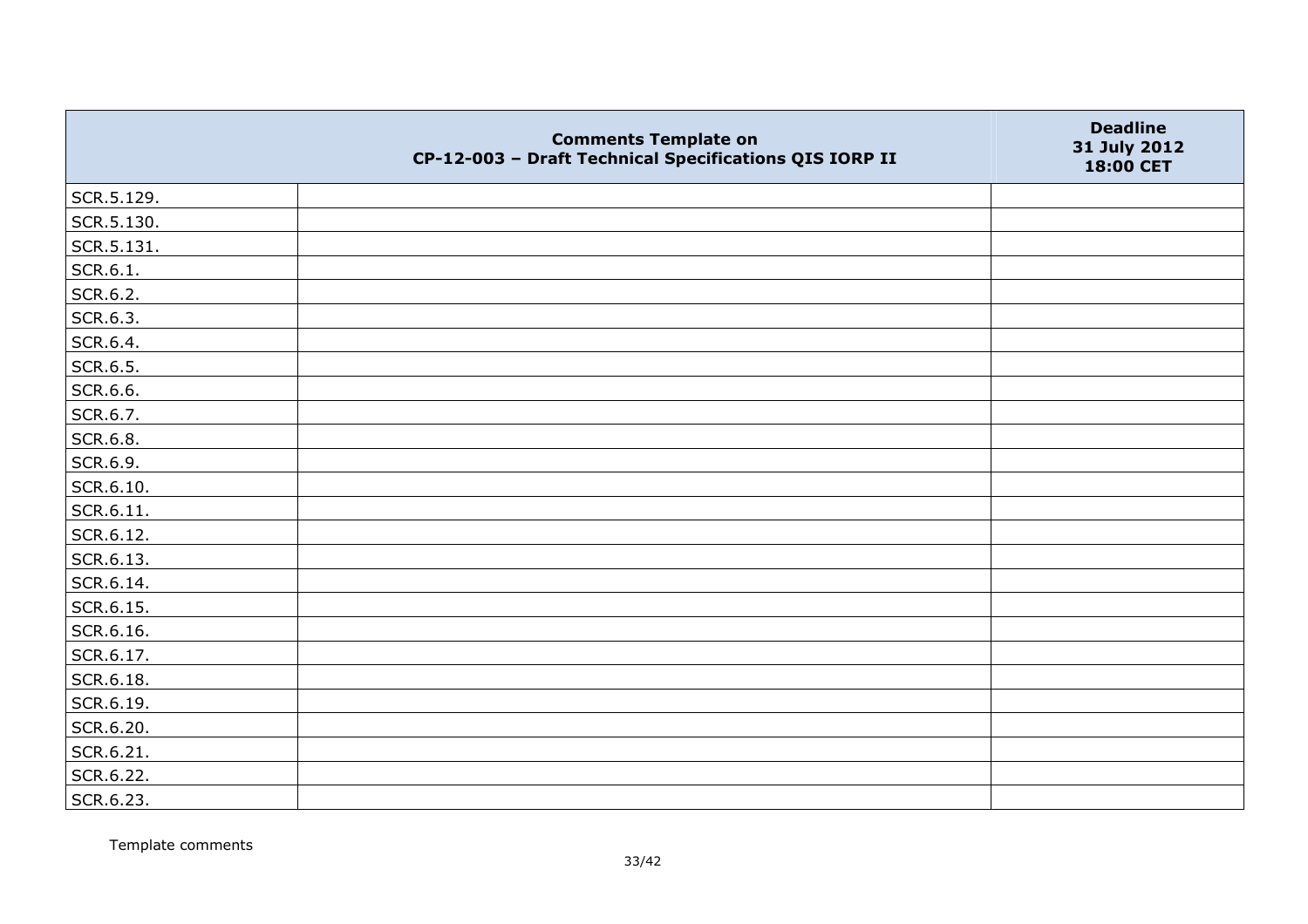|            | <b>Comments Template on</b><br>CP-12-003 - Draft Technical Specifications QIS IORP II | <b>Deadline</b><br>31 July 2012<br>18:00 CET |
|------------|---------------------------------------------------------------------------------------|----------------------------------------------|
| SCR.5.129. |                                                                                       |                                              |
| SCR.5.130. |                                                                                       |                                              |
| SCR.5.131. |                                                                                       |                                              |
| SCR.6.1.   |                                                                                       |                                              |
| SCR.6.2.   |                                                                                       |                                              |
| SCR.6.3.   |                                                                                       |                                              |
| SCR.6.4.   |                                                                                       |                                              |
| SCR.6.5.   |                                                                                       |                                              |
| SCR.6.6.   |                                                                                       |                                              |
| SCR.6.7.   |                                                                                       |                                              |
| SCR.6.8.   |                                                                                       |                                              |
| SCR.6.9.   |                                                                                       |                                              |
| SCR.6.10.  |                                                                                       |                                              |
| SCR.6.11.  |                                                                                       |                                              |
| SCR.6.12.  |                                                                                       |                                              |
| SCR.6.13.  |                                                                                       |                                              |
| SCR.6.14.  |                                                                                       |                                              |
| SCR.6.15.  |                                                                                       |                                              |
| SCR.6.16.  |                                                                                       |                                              |
| SCR.6.17.  |                                                                                       |                                              |
| SCR.6.18.  |                                                                                       |                                              |
| SCR.6.19.  |                                                                                       |                                              |
| SCR.6.20.  |                                                                                       |                                              |
| SCR.6.21.  |                                                                                       |                                              |
| SCR.6.22.  |                                                                                       |                                              |
| SCR.6.23.  |                                                                                       |                                              |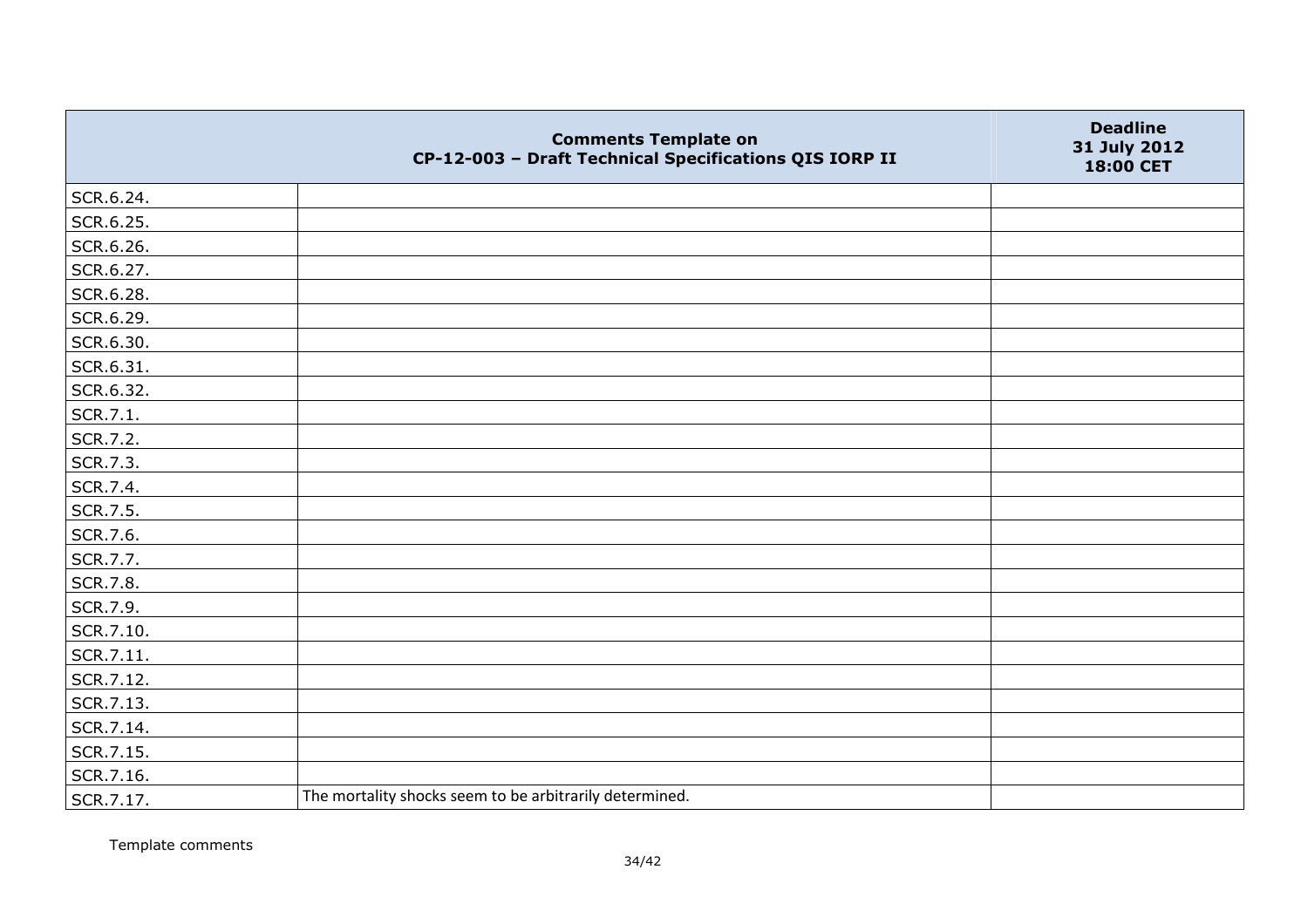|           | <b>Comments Template on</b><br>CP-12-003 - Draft Technical Specifications QIS IORP II | <b>Deadline</b><br>31 July 2012<br>18:00 CET |
|-----------|---------------------------------------------------------------------------------------|----------------------------------------------|
| SCR.6.24. |                                                                                       |                                              |
| SCR.6.25. |                                                                                       |                                              |
| SCR.6.26. |                                                                                       |                                              |
| SCR.6.27. |                                                                                       |                                              |
| SCR.6.28. |                                                                                       |                                              |
| SCR.6.29. |                                                                                       |                                              |
| SCR.6.30. |                                                                                       |                                              |
| SCR.6.31. |                                                                                       |                                              |
| SCR.6.32. |                                                                                       |                                              |
| SCR.7.1.  |                                                                                       |                                              |
| SCR.7.2.  |                                                                                       |                                              |
| SCR.7.3.  |                                                                                       |                                              |
| SCR.7.4.  |                                                                                       |                                              |
| SCR.7.5.  |                                                                                       |                                              |
| SCR.7.6.  |                                                                                       |                                              |
| SCR.7.7.  |                                                                                       |                                              |
| SCR.7.8.  |                                                                                       |                                              |
| SCR.7.9.  |                                                                                       |                                              |
| SCR.7.10. |                                                                                       |                                              |
| SCR.7.11. |                                                                                       |                                              |
| SCR.7.12. |                                                                                       |                                              |
| SCR.7.13. |                                                                                       |                                              |
| SCR.7.14. |                                                                                       |                                              |
| SCR.7.15. |                                                                                       |                                              |
| SCR.7.16. |                                                                                       |                                              |
| SCR.7.17. | The mortality shocks seem to be arbitrarily determined.                               |                                              |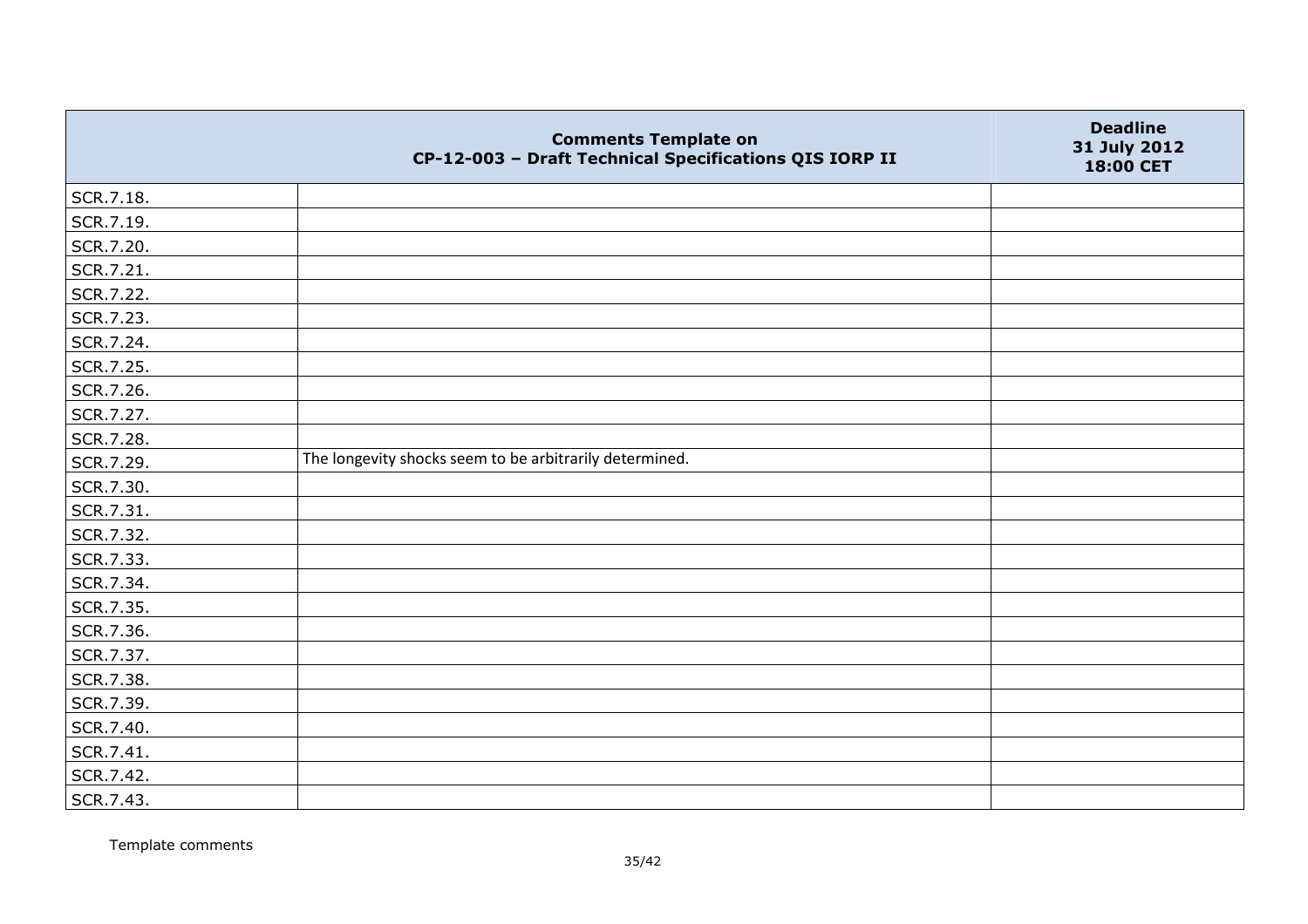|           | <b>Comments Template on</b><br>CP-12-003 - Draft Technical Specifications QIS IORP II | <b>Deadline</b><br>31 July 2012<br>18:00 CET |
|-----------|---------------------------------------------------------------------------------------|----------------------------------------------|
| SCR.7.18. |                                                                                       |                                              |
| SCR.7.19. |                                                                                       |                                              |
| SCR.7.20. |                                                                                       |                                              |
| SCR.7.21. |                                                                                       |                                              |
| SCR.7.22. |                                                                                       |                                              |
| SCR.7.23. |                                                                                       |                                              |
| SCR.7.24. |                                                                                       |                                              |
| SCR.7.25. |                                                                                       |                                              |
| SCR.7.26. |                                                                                       |                                              |
| SCR.7.27. |                                                                                       |                                              |
| SCR.7.28. |                                                                                       |                                              |
| SCR.7.29. | The longevity shocks seem to be arbitrarily determined.                               |                                              |
| SCR.7.30. |                                                                                       |                                              |
| SCR.7.31. |                                                                                       |                                              |
| SCR.7.32. |                                                                                       |                                              |
| SCR.7.33. |                                                                                       |                                              |
| SCR.7.34. |                                                                                       |                                              |
| SCR.7.35. |                                                                                       |                                              |
| SCR.7.36. |                                                                                       |                                              |
| SCR.7.37. |                                                                                       |                                              |
| SCR.7.38. |                                                                                       |                                              |
| SCR.7.39. |                                                                                       |                                              |
| SCR.7.40. |                                                                                       |                                              |
| SCR.7.41. |                                                                                       |                                              |
| SCR.7.42. |                                                                                       |                                              |
| SCR.7.43. |                                                                                       |                                              |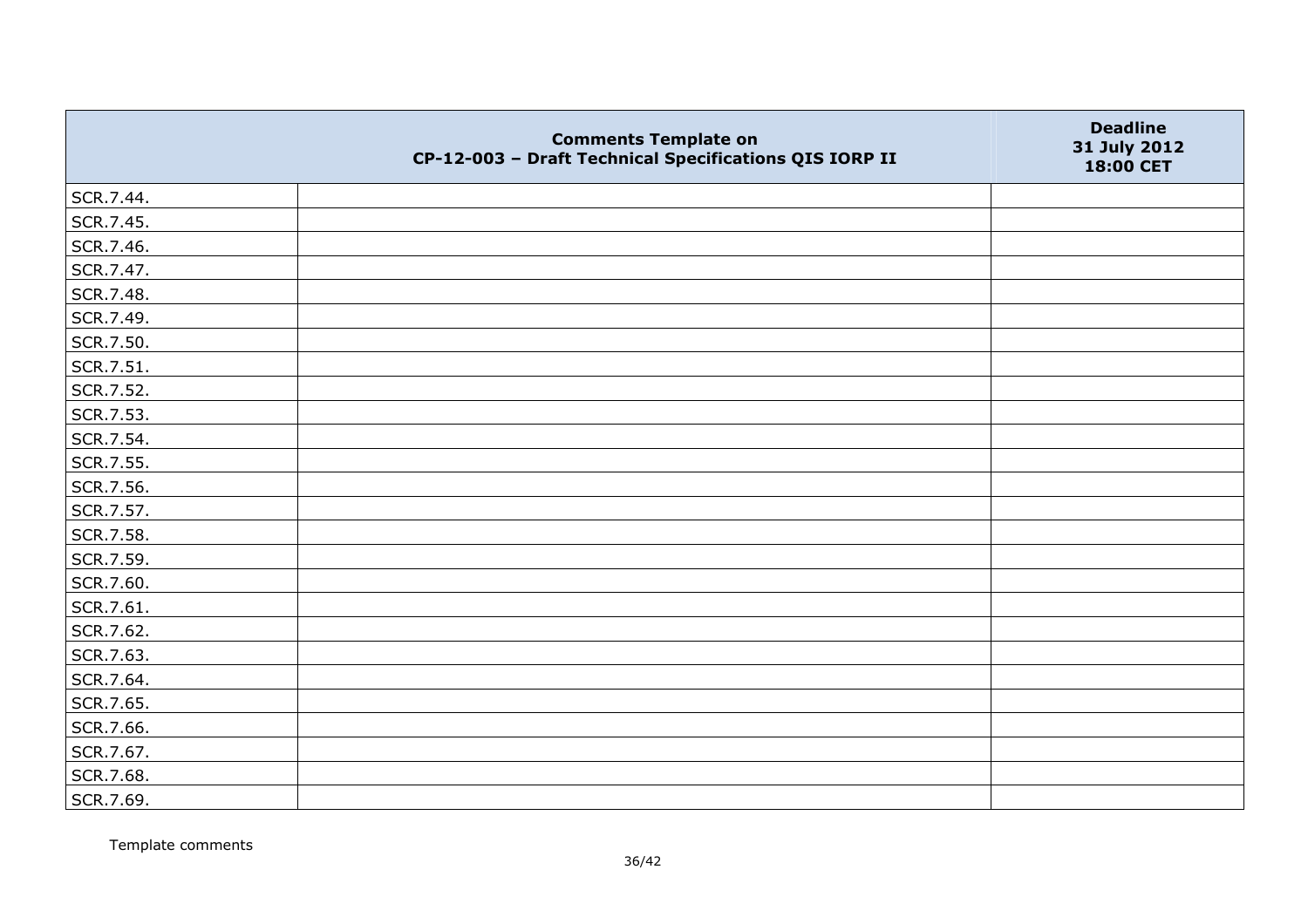|           | <b>Comments Template on</b><br>CP-12-003 - Draft Technical Specifications QIS IORP II | <b>Deadline</b><br>31 July 2012<br>18:00 CET |
|-----------|---------------------------------------------------------------------------------------|----------------------------------------------|
| SCR.7.44. |                                                                                       |                                              |
| SCR.7.45. |                                                                                       |                                              |
| SCR.7.46. |                                                                                       |                                              |
| SCR.7.47. |                                                                                       |                                              |
| SCR.7.48. |                                                                                       |                                              |
| SCR.7.49. |                                                                                       |                                              |
| SCR.7.50. |                                                                                       |                                              |
| SCR.7.51. |                                                                                       |                                              |
| SCR.7.52. |                                                                                       |                                              |
| SCR.7.53. |                                                                                       |                                              |
| SCR.7.54. |                                                                                       |                                              |
| SCR.7.55. |                                                                                       |                                              |
| SCR.7.56. |                                                                                       |                                              |
| SCR.7.57. |                                                                                       |                                              |
| SCR.7.58. |                                                                                       |                                              |
| SCR.7.59. |                                                                                       |                                              |
| SCR.7.60. |                                                                                       |                                              |
| SCR.7.61. |                                                                                       |                                              |
| SCR.7.62. |                                                                                       |                                              |
| SCR.7.63. |                                                                                       |                                              |
| SCR.7.64. |                                                                                       |                                              |
| SCR.7.65. |                                                                                       |                                              |
| SCR.7.66. |                                                                                       |                                              |
| SCR.7.67. |                                                                                       |                                              |
| SCR.7.68. |                                                                                       |                                              |
| SCR.7.69. |                                                                                       |                                              |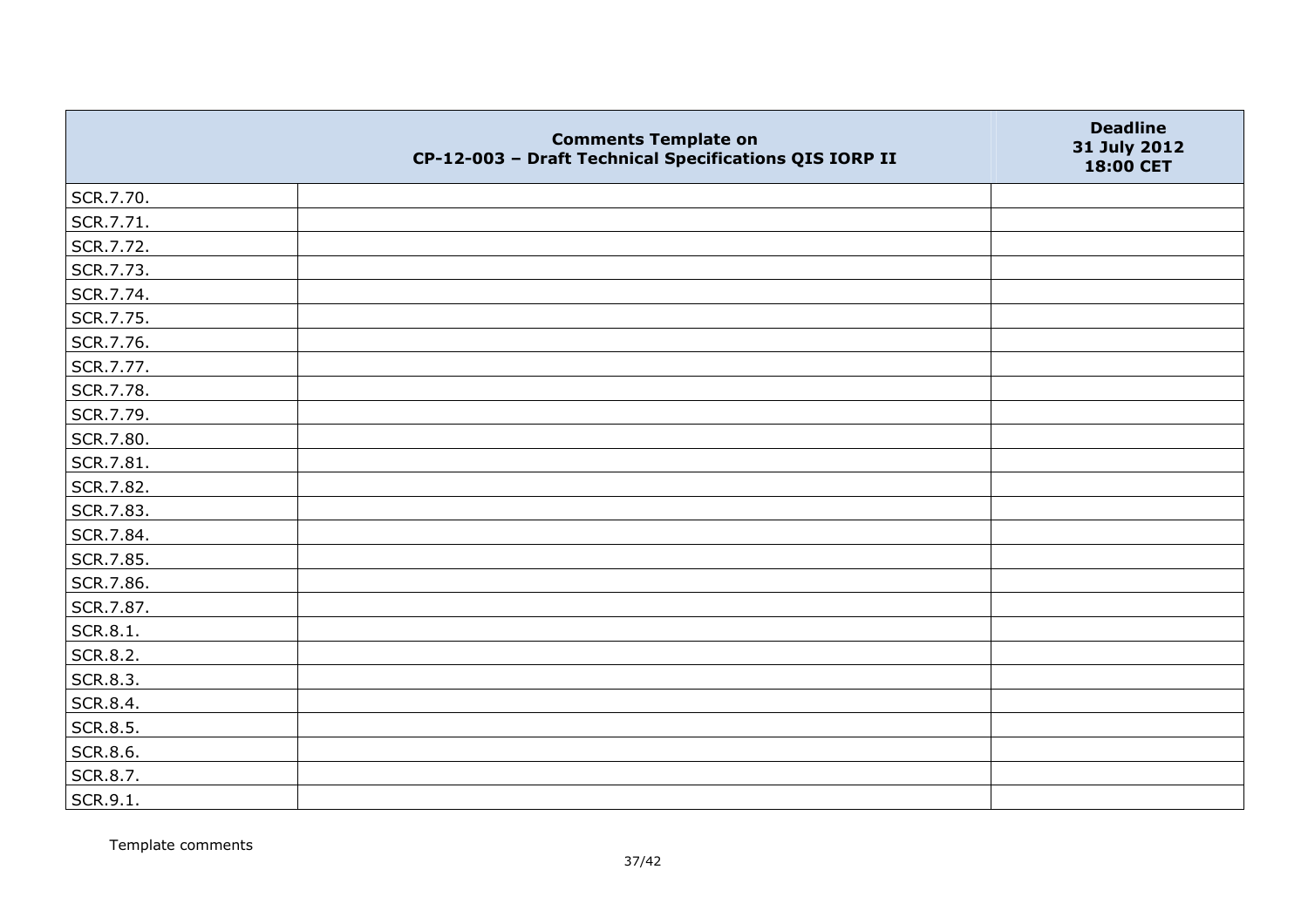|           | <b>Comments Template on</b><br>CP-12-003 - Draft Technical Specifications QIS IORP II | <b>Deadline</b><br>31 July 2012<br>18:00 CET |
|-----------|---------------------------------------------------------------------------------------|----------------------------------------------|
| SCR.7.70. |                                                                                       |                                              |
| SCR.7.71. |                                                                                       |                                              |
| SCR.7.72. |                                                                                       |                                              |
| SCR.7.73. |                                                                                       |                                              |
| SCR.7.74. |                                                                                       |                                              |
| SCR.7.75. |                                                                                       |                                              |
| SCR.7.76. |                                                                                       |                                              |
| SCR.7.77. |                                                                                       |                                              |
| SCR.7.78. |                                                                                       |                                              |
| SCR.7.79. |                                                                                       |                                              |
| SCR.7.80. |                                                                                       |                                              |
| SCR.7.81. |                                                                                       |                                              |
| SCR.7.82. |                                                                                       |                                              |
| SCR.7.83. |                                                                                       |                                              |
| SCR.7.84. |                                                                                       |                                              |
| SCR.7.85. |                                                                                       |                                              |
| SCR.7.86. |                                                                                       |                                              |
| SCR.7.87. |                                                                                       |                                              |
| SCR.8.1.  |                                                                                       |                                              |
| SCR.8.2.  |                                                                                       |                                              |
| SCR.8.3.  |                                                                                       |                                              |
| SCR.8.4.  |                                                                                       |                                              |
| SCR.8.5.  |                                                                                       |                                              |
| SCR.8.6.  |                                                                                       |                                              |
| SCR.8.7.  |                                                                                       |                                              |
| SCR.9.1.  |                                                                                       |                                              |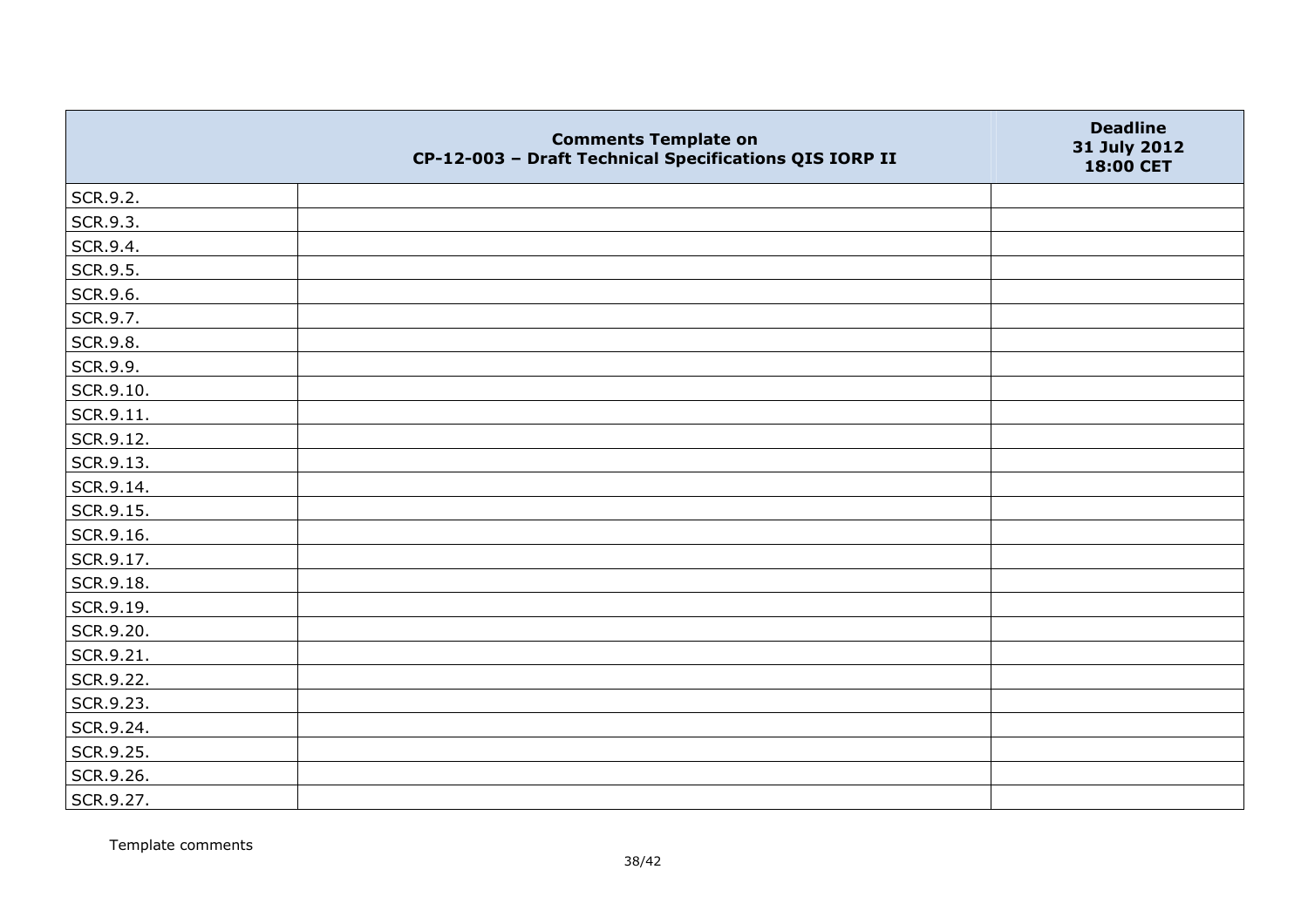|           | <b>Comments Template on</b><br>CP-12-003 - Draft Technical Specifications QIS IORP II | <b>Deadline</b><br>31 July 2012<br>18:00 CET |
|-----------|---------------------------------------------------------------------------------------|----------------------------------------------|
| SCR.9.2.  |                                                                                       |                                              |
| SCR.9.3.  |                                                                                       |                                              |
| SCR.9.4.  |                                                                                       |                                              |
| SCR.9.5.  |                                                                                       |                                              |
| SCR.9.6.  |                                                                                       |                                              |
| SCR.9.7.  |                                                                                       |                                              |
| SCR.9.8.  |                                                                                       |                                              |
| SCR.9.9.  |                                                                                       |                                              |
| SCR.9.10. |                                                                                       |                                              |
| SCR.9.11. |                                                                                       |                                              |
| SCR.9.12. |                                                                                       |                                              |
| SCR.9.13. |                                                                                       |                                              |
| SCR.9.14. |                                                                                       |                                              |
| SCR.9.15. |                                                                                       |                                              |
| SCR.9.16. |                                                                                       |                                              |
| SCR.9.17. |                                                                                       |                                              |
| SCR.9.18. |                                                                                       |                                              |
| SCR.9.19. |                                                                                       |                                              |
| SCR.9.20. |                                                                                       |                                              |
| SCR.9.21. |                                                                                       |                                              |
| SCR.9.22. |                                                                                       |                                              |
| SCR.9.23. |                                                                                       |                                              |
| SCR.9.24. |                                                                                       |                                              |
| SCR.9.25. |                                                                                       |                                              |
| SCR.9.26. |                                                                                       |                                              |
| SCR.9.27. |                                                                                       |                                              |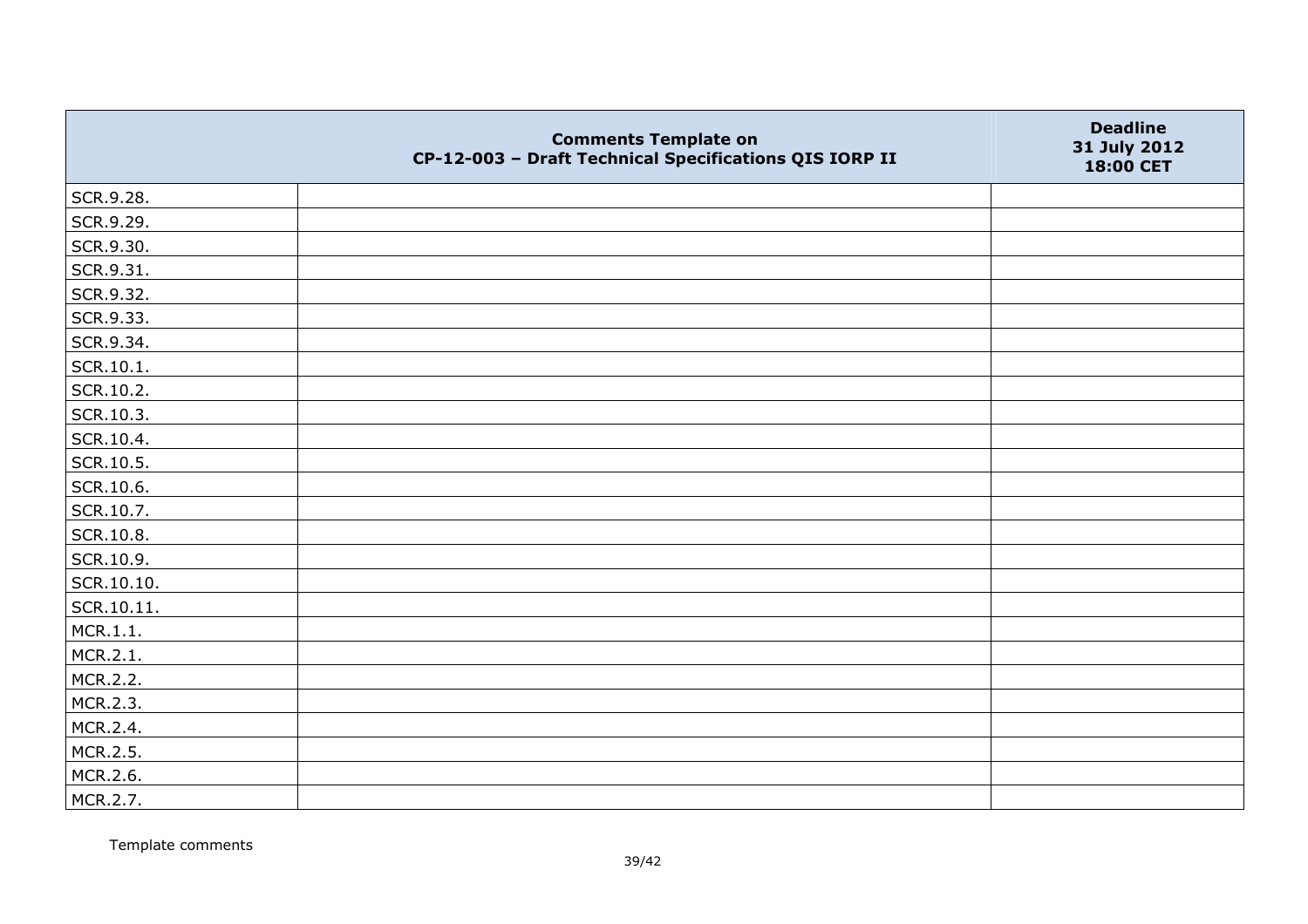|            | <b>Comments Template on</b><br>CP-12-003 - Draft Technical Specifications QIS IORP II | <b>Deadline</b><br>31 July 2012<br>18:00 CET |
|------------|---------------------------------------------------------------------------------------|----------------------------------------------|
| SCR.9.28.  |                                                                                       |                                              |
| SCR.9.29.  |                                                                                       |                                              |
| SCR.9.30.  |                                                                                       |                                              |
| SCR.9.31.  |                                                                                       |                                              |
| SCR.9.32.  |                                                                                       |                                              |
| SCR.9.33.  |                                                                                       |                                              |
| SCR.9.34.  |                                                                                       |                                              |
| SCR.10.1.  |                                                                                       |                                              |
| SCR.10.2.  |                                                                                       |                                              |
| SCR.10.3.  |                                                                                       |                                              |
| SCR.10.4.  |                                                                                       |                                              |
| SCR.10.5.  |                                                                                       |                                              |
| SCR.10.6.  |                                                                                       |                                              |
| SCR.10.7.  |                                                                                       |                                              |
| SCR.10.8.  |                                                                                       |                                              |
| SCR.10.9.  |                                                                                       |                                              |
| SCR.10.10. |                                                                                       |                                              |
| SCR.10.11. |                                                                                       |                                              |
| MCR.1.1.   |                                                                                       |                                              |
| MCR.2.1.   |                                                                                       |                                              |
| MCR.2.2.   |                                                                                       |                                              |
| MCR.2.3.   |                                                                                       |                                              |
| MCR.2.4.   |                                                                                       |                                              |
| MCR.2.5.   |                                                                                       |                                              |
| MCR.2.6.   |                                                                                       |                                              |
| MCR.2.7.   |                                                                                       |                                              |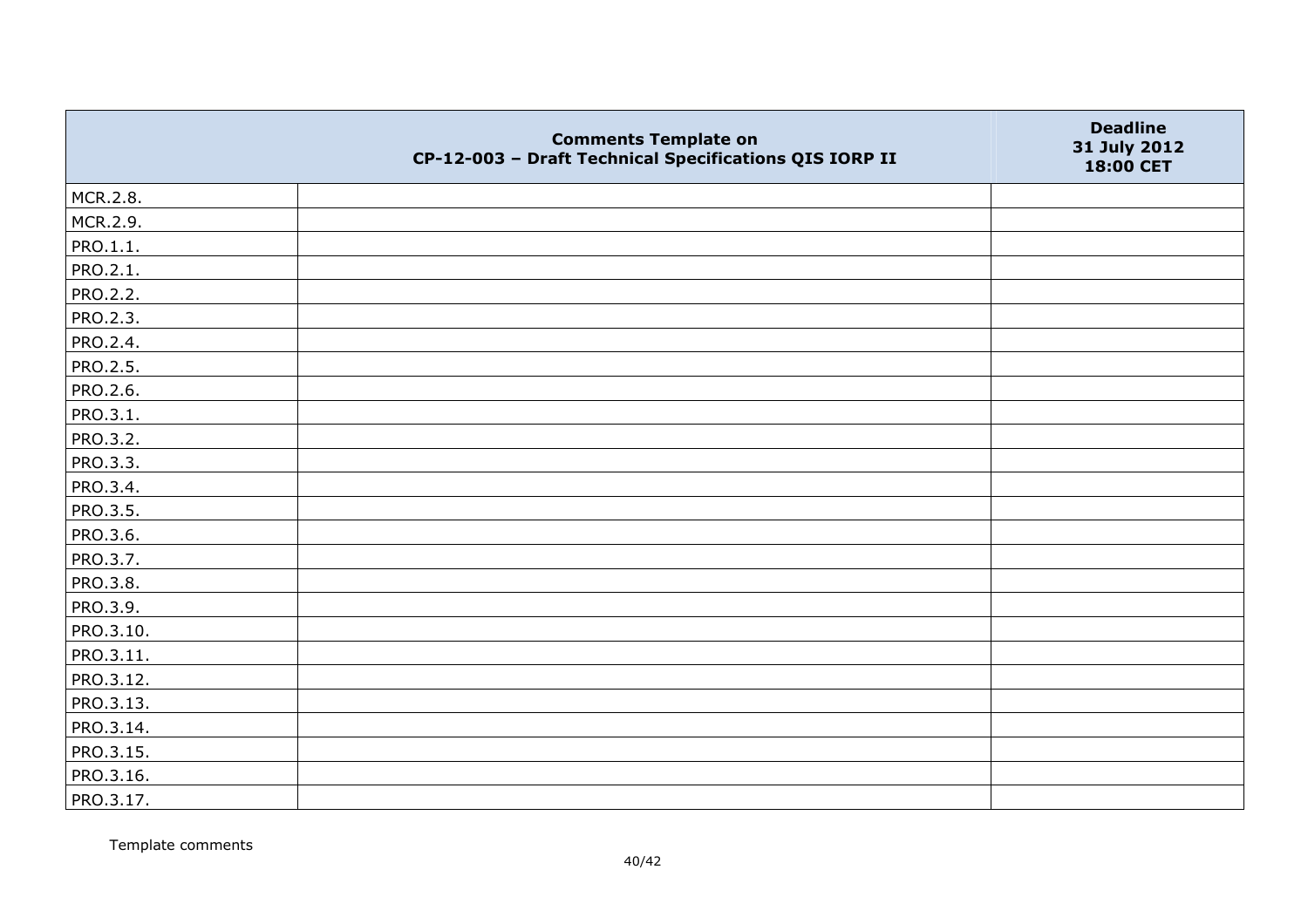|                 | <b>Comments Template on</b><br>CP-12-003 - Draft Technical Specifications QIS IORP II | <b>Deadline</b><br>31 July 2012<br>18:00 CET |
|-----------------|---------------------------------------------------------------------------------------|----------------------------------------------|
| MCR.2.8.        |                                                                                       |                                              |
| MCR.2.9.        |                                                                                       |                                              |
| PRO.1.1.        |                                                                                       |                                              |
| PRO.2.1.        |                                                                                       |                                              |
| PRO.2.2.        |                                                                                       |                                              |
| <b>PRO.2.3.</b> |                                                                                       |                                              |
| PRO.2.4.        |                                                                                       |                                              |
| PRO.2.5.        |                                                                                       |                                              |
| PRO.2.6.        |                                                                                       |                                              |
| PRO.3.1.        |                                                                                       |                                              |
| PRO.3.2.        |                                                                                       |                                              |
| PRO.3.3.        |                                                                                       |                                              |
| PRO.3.4.        |                                                                                       |                                              |
| PRO.3.5.        |                                                                                       |                                              |
| PRO.3.6.        |                                                                                       |                                              |
| PRO.3.7.        |                                                                                       |                                              |
| <b>PRO.3.8.</b> |                                                                                       |                                              |
| PRO.3.9.        |                                                                                       |                                              |
| PRO.3.10.       |                                                                                       |                                              |
| PRO.3.11.       |                                                                                       |                                              |
| PRO.3.12.       |                                                                                       |                                              |
| PRO.3.13.       |                                                                                       |                                              |
| PRO.3.14.       |                                                                                       |                                              |
| PRO.3.15.       |                                                                                       |                                              |
| PRO.3.16.       |                                                                                       |                                              |
| PRO.3.17.       |                                                                                       |                                              |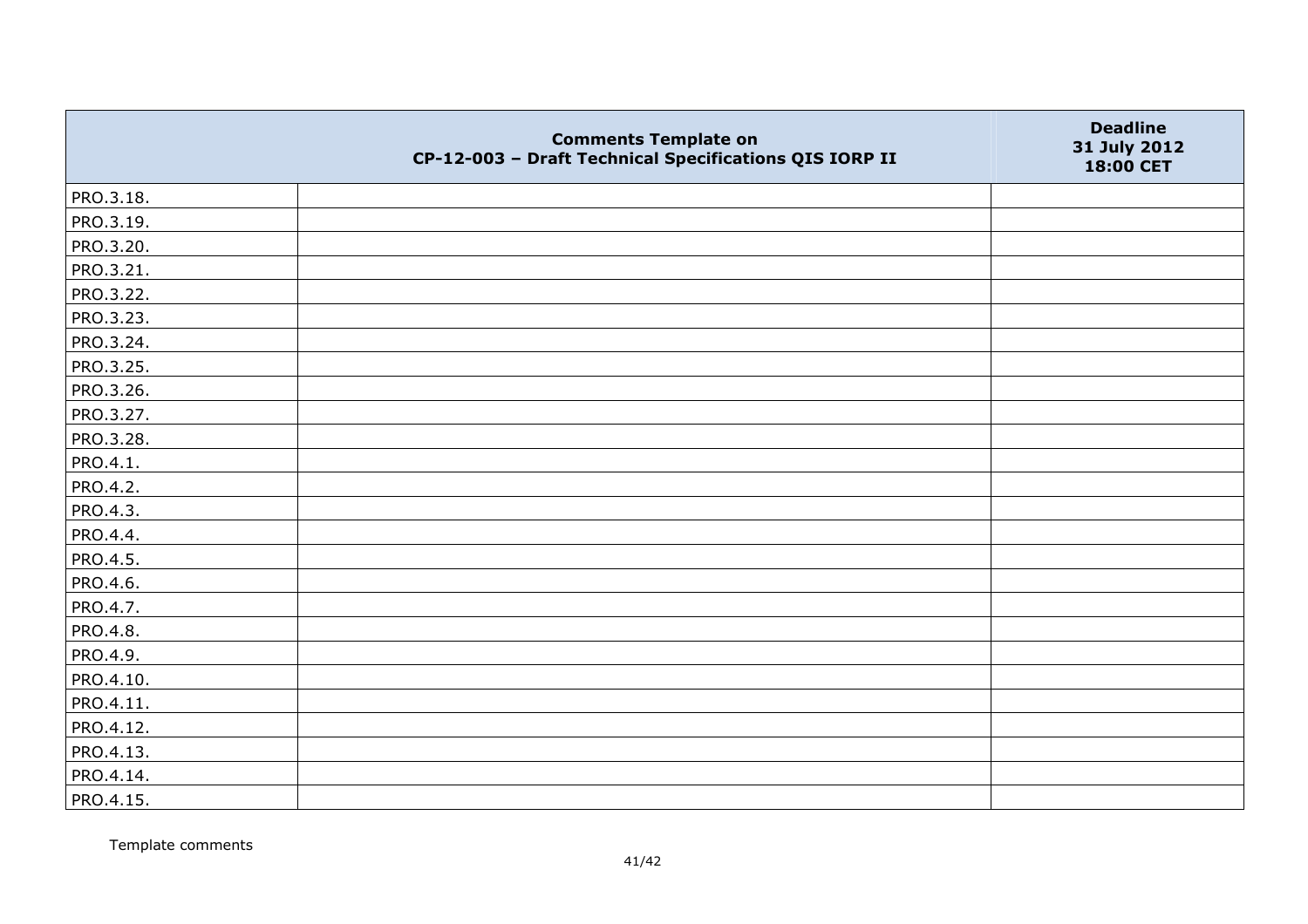|           | <b>Comments Template on</b><br>CP-12-003 - Draft Technical Specifications QIS IORP II | <b>Deadline</b><br>31 July 2012<br>18:00 CET |
|-----------|---------------------------------------------------------------------------------------|----------------------------------------------|
| PRO.3.18. |                                                                                       |                                              |
| PRO.3.19. |                                                                                       |                                              |
| PRO.3.20. |                                                                                       |                                              |
| PRO.3.21. |                                                                                       |                                              |
| PRO.3.22. |                                                                                       |                                              |
| PRO.3.23. |                                                                                       |                                              |
| PRO.3.24. |                                                                                       |                                              |
| PRO.3.25. |                                                                                       |                                              |
| PRO.3.26. |                                                                                       |                                              |
| PRO.3.27. |                                                                                       |                                              |
| PRO.3.28. |                                                                                       |                                              |
| PRO.4.1.  |                                                                                       |                                              |
| PRO.4.2.  |                                                                                       |                                              |
| PRO.4.3.  |                                                                                       |                                              |
| PRO.4.4.  |                                                                                       |                                              |
| PRO.4.5.  |                                                                                       |                                              |
| PRO.4.6.  |                                                                                       |                                              |
| PRO.4.7.  |                                                                                       |                                              |
| PRO.4.8.  |                                                                                       |                                              |
| PRO.4.9.  |                                                                                       |                                              |
| PRO.4.10. |                                                                                       |                                              |
| PRO.4.11. |                                                                                       |                                              |
| PRO.4.12. |                                                                                       |                                              |
| PRO.4.13. |                                                                                       |                                              |
| PRO.4.14. |                                                                                       |                                              |
| PRO.4.15. |                                                                                       |                                              |